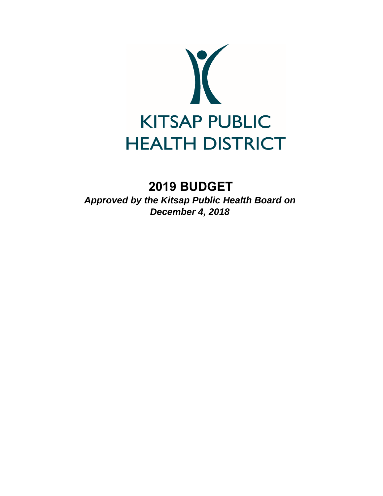

# **2019 BUDGET**

*Approved by the Kitsap Public Health Board on December 4, 2018*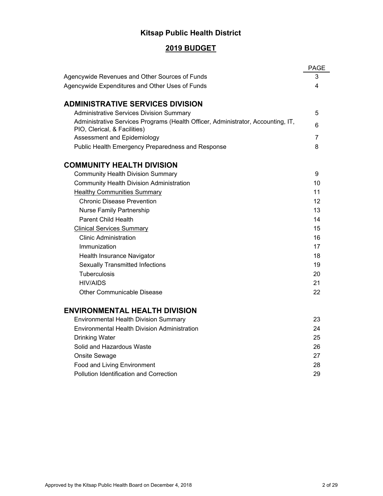## **Kitsap Public Health District**

## **2019 BUDGET**

|                                                                                                                  | <b>PAGE</b> |
|------------------------------------------------------------------------------------------------------------------|-------------|
| Agencywide Revenues and Other Sources of Funds                                                                   | 3           |
| Agencywide Expenditures and Other Uses of Funds                                                                  | 4           |
|                                                                                                                  |             |
| <b>ADMINISTRATIVE SERVICES DIVISION</b>                                                                          |             |
| <b>Administrative Services Division Summary</b>                                                                  | 5           |
| Administrative Services Programs (Health Officer, Administrator, Accounting, IT,<br>PIO, Clerical, & Facilities) | 6           |
| Assessment and Epidemiology                                                                                      | 7           |
| Public Health Emergency Preparedness and Response                                                                | 8           |
| <b>COMMUNITY HEALTH DIVISION</b>                                                                                 |             |
| <b>Community Health Division Summary</b>                                                                         | 9           |
| <b>Community Health Division Administration</b>                                                                  | 10          |
| <b>Healthy Communities Summary</b>                                                                               | 11          |
| <b>Chronic Disease Prevention</b>                                                                                | 12          |
| <b>Nurse Family Partnership</b>                                                                                  | 13          |
| <b>Parent Child Health</b>                                                                                       | 14          |
| <b>Clinical Services Summary</b>                                                                                 | 15          |
| <b>Clinic Administration</b>                                                                                     | 16          |
| Immunization                                                                                                     | 17          |
| Health Insurance Navigator                                                                                       | 18          |
| <b>Sexually Transmitted Infections</b>                                                                           | 19          |
| Tuberculosis                                                                                                     | 20          |
| <b>HIV/AIDS</b>                                                                                                  | 21          |
| Other Communicable Disease                                                                                       | 22          |
| <b>ENVIRONMENTAL HEALTH DIVISION</b>                                                                             |             |
| <b>Environmental Health Division Summary</b>                                                                     | 23          |
| Environmental Health Division Administration                                                                     | 24          |
| <b>Drinking Water</b>                                                                                            | 25          |
| Solid and Hazardous Waste                                                                                        | 26          |
| Onsite Sewage                                                                                                    | 27          |
| Food and Living Environment                                                                                      | 28          |
| Pollution Identification and Correction                                                                          | 29          |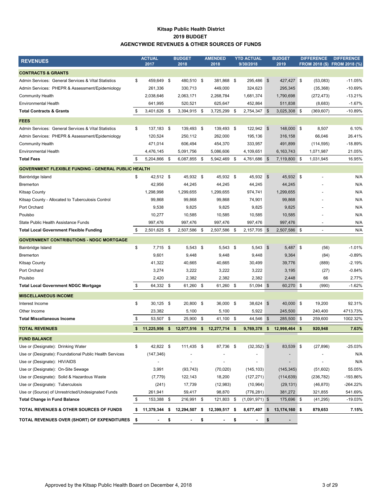#### **Kitsap Public Health District 2019 BUDGET AGENCYWIDE REVENUES & OTHER SOURCES OF FUNDS**

| <b>REVENUES</b>                                            |     | <b>ACTUAL</b><br>2017 |      | <b>BUDGET</b><br>2018 |     | <b>AMENDED</b><br>2018 | <b>YTD ACTUAL</b><br>9/30/2018 |           | <b>BUDGET</b><br>2019 |            | <b>DIFFERENCE</b> | <b>DIFFERENCE</b><br>FROM 2018 (\$) FROM 2018 (%) |
|------------------------------------------------------------|-----|-----------------------|------|-----------------------|-----|------------------------|--------------------------------|-----------|-----------------------|------------|-------------------|---------------------------------------------------|
| <b>CONTRACTS &amp; GRANTS</b>                              |     |                       |      |                       |     |                        |                                |           |                       |            |                   |                                                   |
| Admin Services: General Services & Vital Statistics        | \$  | 459,649 \$            |      | 480,510 \$            |     | 381,868                | \$<br>295,486 \$               |           | 427,427               | $\sqrt{3}$ | (53,083)          | $-11.05%$                                         |
| Admin Services: PHEPR & Assessment/Epidemiology            |     | 261,336               |      | 330,713               |     | 449,000                | 324,623                        |           | 295,345               |            | (35, 368)         | $-10.69%$                                         |
| <b>Community Health</b>                                    |     | 2,038,646             |      | 2,063,171             |     | 2,268,784              | 1,681,374                      |           | 1,790,698             |            | (272, 473)        | $-13.21%$                                         |
| <b>Environmental Health</b>                                |     | 641,995               |      | 520,521               |     | 625,647                | 452,864                        |           | 511,838               |            | (8,683)           | $-1.67%$                                          |
| <b>Total Contracts &amp; Grants</b>                        | \$  | 3,401,626 \$          |      | 3,394,915 \$          |     | 3,725,299 \$           | 2,754,347 \$                   |           | 3,025,308 \$          |            | (369, 607)        | -10.89%                                           |
| <b>FEES</b>                                                |     |                       |      |                       |     |                        |                                |           |                       |            |                   |                                                   |
| Admin Services: General Services & Vital Statistics        | \$  | 137,183 \$            |      | 139,493 \$            |     | 139,493 \$             | 122,942 \$                     |           | 148,000 \$            |            | 8,507             | 6.10%                                             |
| Admin Services: PHEPR & Assessment/Epidemiology            |     | 120,524               |      | 250,112               |     | 262,000                | 195,136                        |           | 316,158               |            | 66,046            | 26.41%                                            |
| <b>Community Health</b>                                    |     | 471,014               |      | 606,494               |     | 454,370                | 333,957                        |           | 491,899               |            | (114, 595)        | $-18.89%$                                         |
| <b>Environmental Health</b>                                |     | 4,476,145             |      | 5,091,756             |     | 5,086,606              | 4,109,651                      |           | 6,163,743             |            | 1,071,987         | 21.05%                                            |
| <b>Total Fees</b>                                          | \$  | 5,204,866 \$          |      | 6,087,855             | -\$ | 5,942,469              | \$<br>4,761,686                | <b>S</b>  | 7,119,800 \$          |            | 1,031,945         | 16.95%                                            |
| <b>GOVERNMENT FLEXIBLE FUNDING - GENERAL PUBLIC HEALTH</b> |     |                       |      |                       |     |                        |                                |           |                       |            |                   |                                                   |
| Bainbridge Island                                          | \$  | 42,512 \$             |      | 45,932 \$             |     | 45,932 \$              | 45,932 \$                      |           | 45,932 \$             |            |                   | N/A                                               |
| <b>Bremerton</b>                                           |     | 42,956                |      | 44,245                |     | 44,245                 | 44,245                         |           | 44,245                |            |                   | N/A                                               |
| <b>Kitsap County</b>                                       |     | 1,298,998             |      | 1,299,655             |     | 1,299,655              | 974,741                        |           | 1,299,655             |            |                   | N/A                                               |
| Kitsap County - Allocated to Tuberculosis Control          |     | 99,868                |      | 99,868                |     | 99,868                 | 74,901                         |           | 99,868                |            |                   | N/A                                               |
| Port Orchard                                               |     | 9,538                 |      | 9,825                 |     | 9,825                  | 9,825                          |           | 9,825                 |            |                   | N/A                                               |
| Poulsbo                                                    |     | 10,277                |      | 10,585                |     | 10,585                 | 10,585                         |           | 10,585                |            |                   | N/A                                               |
| State Public Health Assistance Funds                       |     | 997,476               |      | 997,476               |     | 997,476                | 997,476                        |           | 997,476               |            |                   | N/A                                               |
| <b>Total Local Government Flexible Funding</b>             | \$  | 2,501,625             | - \$ | 2,507,586 \$          |     | 2,507,586              | \$<br>2,157,705                | <b>\$</b> | 2,507,586 \$          |            |                   | N/A                                               |
| <b>GOVERNMENT CONTRIBUTIONS - NDGC MORTGAGE</b>            |     |                       |      |                       |     |                        |                                |           |                       |            |                   |                                                   |
| Bainbridge Island                                          | \$  | 7,715 \$              |      | $5,543$ \$            |     | $5,543$ \$             | $5,543$ \$                     |           | 5,487 \$              |            | (56)              | $-1.01%$                                          |
| <b>Bremerton</b>                                           |     | 9,601                 |      | 9,448                 |     | 9,448                  | 9,448                          |           | 9,364                 |            | (84)              | $-0.89%$                                          |
| <b>Kitsap County</b>                                       |     | 41,322                |      | 40,665                |     | 40,665                 | 30,499                         |           | 39,776                |            | (889)             | $-2.19%$                                          |
| Port Orchard                                               |     | 3,274                 |      | 3,222                 |     | 3,222                  | 3,222                          |           | 3,195                 |            | (27)              | $-0.84%$                                          |
| Poulsbo                                                    |     | 2,420                 |      | 2,382                 |     | 2,382                  | 2,382                          |           | 2,448                 |            | 66                | 2.77%                                             |
| <b>Total Local Government NDGC Mortgage</b>                | \$  | 64,332 \$             |      | 61,260 \$             |     | 61,260                 | \$<br>51,094 \$                |           | 60,270 \$             |            | (990)             | $-1.62%$                                          |
| <b>MISCELLANEOUS INCOME</b>                                |     |                       |      |                       |     |                        |                                |           |                       |            |                   |                                                   |
| Interest Income                                            | \$  | $30,125$ \$           |      | 20,800 \$             |     | 36,000 \$              | 38,624 \$                      |           | 40,000 \$             |            | 19,200            | 92.31%                                            |
| Other Income                                               |     | 23,382                |      | 5,100                 |     | 5,100                  | 5,922                          |           | 245,500               |            | 240,400           | 4713.73%                                          |
| <b>Total Miscellaneous Income</b>                          | \$  | 53,507 \$             |      | 25,900 \$             |     | 41,100 \$              | 44,546 \$                      |           | 285,500               | <b>S</b>   | 259,600           | 1002.32%                                          |
| <b>TOTAL REVENUES</b>                                      | \$  | 11,225,956            | - \$ | 12,077,516 \$         |     | 12,277,714 \$          | 9,769,378                      | -\$       | 12,998,464            | \$         | 920,948           | 7.63%                                             |
| <b>FUND BALANCE</b>                                        |     |                       |      |                       |     |                        |                                |           |                       |            |                   |                                                   |
| Use or (Designate): Drinking Water                         | \$  | 42,822 \$             |      | 111,435 \$            |     | 87,736 \$              | $(32, 352)$ \$                 |           | 83,539 \$             |            | (27, 896)         | $-25.03%$                                         |
| Use or (Designate): Foundational Public Health Services    |     | (147, 346)            |      |                       |     |                        |                                |           |                       |            |                   | N/A                                               |
| Use or (Designate): HIV/AIDS                               |     |                       |      |                       |     |                        |                                |           |                       |            |                   | N/A                                               |
| Use or (Designate): On-Site Sewage                         |     | 3,991                 |      | (93, 743)             |     | (70, 020)              | (145, 103)                     |           | (145, 345)            |            | (51,602)          | 55.05%                                            |
| Use or (Designate): Solid & Hazardous Waste                |     | (7, 779)              |      | 122,143               |     | 18,200                 | (127, 271)                     |           | (114, 639)            |            | (236, 782)        | -193.86%                                          |
| Use or (Designate): Tuberculosis                           |     | (241)                 |      | 17,739                |     | (12,983)               | (10, 964)                      |           | (29, 131)             |            | (46, 870)         | -264.22%                                          |
| Use or (Source) of Unrestricted/Undesignated Funds         |     | 261,941               |      | 59,417                |     | 98,870                 | (776, 281)                     |           | 381,272               |            | 321,855           | 541.69%                                           |
| <b>Total Change in Fund Balance</b>                        | \$  | 153,388 \$            |      | 216,991 \$            |     | 121,803                | \$<br>$(1,091,971)$ \$         |           | 175,696 \$            |            | (41, 295)         | $-19.03%$                                         |
| TOTAL REVENUES & OTHER SOURCES OF FUNDS                    | \$  | 11,379,344 \$         |      | 12,294,507 \$         |     | 12,399,517 \$          | 8,677,407 \$                   |           | 13,174,160 \$         |            | 879,653           | 7.15%                                             |
| TOTAL REVENUES OVER (SHORT) OF EXPENDITURES                | -\$ |                       | \$   |                       | \$  | ٠                      | \$<br>$\overline{a}$           | \$        |                       |            |                   |                                                   |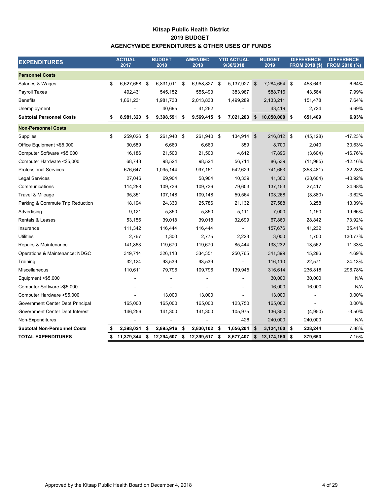## **Kitsap Public Health District AGENCYWIDE EXPENDITURES & OTHER USES OF FUNDS 2019 BUDGET**

| <b>EXPENDITURES</b>                 |    | <b>ACTUAL</b><br>2017 |      | <b>BUDGET</b><br>2018 |      | <b>AMENDED</b><br>2018 |      | <b>YTD ACTUAL</b><br>9/30/2018 |                           | <b>BUDGET</b><br>2019 | <b>DIFFERENCE</b><br><b>FROM 2018 (\$)</b> | <b>DIFFERENCE</b><br><b>FROM 2018 (%)</b> |
|-------------------------------------|----|-----------------------|------|-----------------------|------|------------------------|------|--------------------------------|---------------------------|-----------------------|--------------------------------------------|-------------------------------------------|
| <b>Personnel Costs</b>              |    |                       |      |                       |      |                        |      |                                |                           |                       |                                            |                                           |
| Salaries & Wages                    | \$ | 6,627,658             | - \$ | 6,831,011 \$          |      | 6,958,827              | \$   | 5,137,927                      | $\boldsymbol{\mathsf{S}}$ | 7,284,654             | 453,643<br>\$                              | 6.64%                                     |
| Payroll Taxes                       |    | 492,431               |      | 545,152               |      | 555,493                |      | 383,987                        |                           | 588,716               | 43,564                                     | 7.99%                                     |
| <b>Benefits</b>                     |    | 1,861,231             |      | 1,981,733             |      | 2,013,833              |      | 1,499,289                      |                           | 2,133,211             | 151,478                                    | 7.64%                                     |
| Unemployment                        |    |                       |      | 40,695                |      | 41,262                 |      |                                |                           | 43,419                | 2,724                                      | 6.69%                                     |
| <b>Subtotal Personnel Costs</b>     | \$ | 8,981,320             | \$   | 9,398,591             | - \$ | 9,569,415 \$           |      | 7,021,203                      | \$                        | $10,050,000$ \$       | 651,409                                    | 6.93%                                     |
| <b>Non-Personnel Costs</b>          |    |                       |      |                       |      |                        |      |                                |                           |                       |                                            |                                           |
| Supplies                            | \$ | 259,026 \$            |      | 261,940 \$            |      | 261,940                | - \$ | 134,914                        | \$                        | 216,812 \$            | (45, 128)                                  | $-17.23%$                                 |
| Office Equipment <\$5,000           |    | 30,589                |      | 6,660                 |      | 6,660                  |      | 359                            |                           | 8,700                 | 2,040                                      | 30.63%                                    |
| Computer Software <\$5,000          |    | 16,186                |      | 21,500                |      | 21,500                 |      | 4,612                          |                           | 17,896                | (3,604)                                    | $-16.76%$                                 |
| Computer Hardware <\$5,000          |    | 68,743                |      | 98,524                |      | 98,524                 |      | 56,714                         |                           | 86,539                | (11, 985)                                  | $-12.16%$                                 |
| <b>Professional Services</b>        |    | 676,647               |      | 1,095,144             |      | 997,161                |      | 542,629                        |                           | 741,663               | (353, 481)                                 | $-32.28%$                                 |
| Legal Services                      |    | 27,046                |      | 69,904                |      | 58,904                 |      | 10,339                         |                           | 41,300                | (28, 604)                                  | -40.92%                                   |
| Communications                      |    | 114,288               |      | 109,736               |      | 109,736                |      | 79,603                         |                           | 137,153               | 27,417                                     | 24.98%                                    |
| Travel & Mileage                    |    | 95,351                |      | 107,148               |      | 109,148                |      | 59,564                         |                           | 103,268               | (3,880)                                    | $-3.62%$                                  |
| Parking & Commute Trip Reduction    |    | 18,194                |      | 24,330                |      | 25,786                 |      | 21,132                         |                           | 27,588                | 3,258                                      | 13.39%                                    |
| Advertising                         |    | 9,121                 |      | 5,850                 |      | 5,850                  |      | 5,111                          |                           | 7,000                 | 1,150                                      | 19.66%                                    |
| <b>Rentals &amp; Leases</b>         |    | 53,156                |      | 39,018                |      | 39,018                 |      | 32,699                         |                           | 67,860                | 28,842                                     | 73.92%                                    |
| Insurance                           |    | 111,342               |      | 116,444               |      | 116,444                |      | $\blacksquare$                 |                           | 157,676               | 41,232                                     | 35.41%                                    |
| <b>Utilities</b>                    |    | 2,767                 |      | 1,300                 |      | 2,775                  |      | 2,223                          |                           | 3,000                 | 1,700                                      | 130.77%                                   |
| Repairs & Maintenance               |    | 141,863               |      | 119,670               |      | 119,670                |      | 85,444                         |                           | 133,232               | 13,562                                     | 11.33%                                    |
| Operations & Maintenance: NDGC      |    | 319,714               |      | 326,113               |      | 334,351                |      | 250,765                        |                           | 341,399               | 15,286                                     | 4.69%                                     |
| Training                            |    | 32,124                |      | 93,539                |      | 93,539                 |      |                                |                           | 116,110               | 22,571                                     | 24.13%                                    |
| Miscellaneous                       |    | 110,611               |      | 79,796                |      | 109,796                |      | 139,945                        |                           | 316,614               | 236,818                                    | 296.78%                                   |
| Equipment >\$5,000                  |    |                       |      |                       |      |                        |      |                                |                           | 30,000                | 30,000                                     | N/A                                       |
| Computer Software > \$5,000         |    |                       |      |                       |      |                        |      |                                |                           | 16,000                | 16,000                                     | N/A                                       |
| Computer Hardware >\$5,000          |    |                       |      | 13,000                |      | 13,000                 |      |                                |                           | 13,000                |                                            | 0.00%                                     |
| Government Center Debt Principal    |    | 165,000               |      | 165,000               |      | 165,000                |      | 123,750                        |                           | 165,000               |                                            | 0.00%                                     |
| Government Center Debt Interest     |    | 146,256               |      | 141,300               |      | 141,300                |      | 105,975                        |                           | 136,350               | (4,950)                                    | $-3.50%$                                  |
| Non-Expenditures                    |    |                       |      |                       |      |                        |      | 426                            |                           | 240,000               | 240,000                                    | N/A                                       |
| <b>Subtotal Non-Personnel Costs</b> | \$ | 2,398,024             | \$   | 2,895,916             | \$   | 2,830,102              | -\$  | 1,656,204                      | \$                        | 3,124,160             | 228,244<br>\$                              | 7.88%                                     |
| <b>TOTAL EXPENDITURES</b>           | S  | 11,379,344            | \$   | 12,294,507            | \$   | 12,399,517             | - \$ | 8,677,407                      | \$                        | 13,174,160 \$         | 879,653                                    | 7.15%                                     |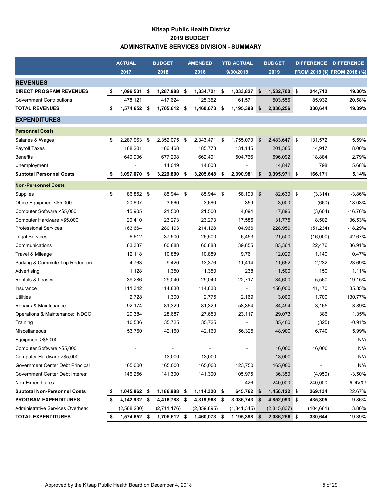## **Kitsap Public Health District 2019 BUDGET ADMINSTRATIVE SERVICES DIVISION - SUMMARY**

|                                     |    | <b>ACTUAL</b>  | <b>BUDGET</b>      |      | <b>AMENDED</b> | <b>YTD ACTUAL</b>  |               | <b>BUDGET</b>  | <b>DIFFERENCE</b> | <b>DIFFERENCE</b>            |
|-------------------------------------|----|----------------|--------------------|------|----------------|--------------------|---------------|----------------|-------------------|------------------------------|
|                                     |    | 2017           | 2018               |      | 2018           | 9/30/2018          |               | 2019           |                   | FROM 2018 (\$) FROM 2018 (%) |
| <b>REVENUES</b>                     |    |                |                    |      |                |                    |               |                |                   |                              |
| <b>DIRECT PROGRAM REVENUES</b>      | \$ | 1,096,531      | \$<br>1,287,988    | \$   | 1,334,721      | \$<br>1,033,827    | \$            | 1,532,700 \$   | 244,712           | 19.00%                       |
| <b>Government Contributions</b>     |    | 478.121        | 417,624            |      | 125,352        | 161,571            |               | 503,556        | 85,932            | 20.58%                       |
| <b>TOTAL REVENUES</b>               | S  | 1,574,652      | \$<br>1,705,612 \$ |      | 1,460,073      | \$<br>1,195,398    | \$            | 2,036,256      | 330,644           | 19.39%                       |
| <b>EXPENDITURES</b>                 |    |                |                    |      |                |                    |               |                |                   |                              |
| <b>Personnel Costs</b>              |    |                |                    |      |                |                    |               |                |                   |                              |
| Salaries & Wages                    | \$ | 2,287,963      | \$<br>2,352,075 \$ |      | 2,343,471      | \$<br>1,755,070    | $\sqrt[6]{3}$ | 2,483,647 \$   | 131,572           | 5.59%                        |
| Payroll Taxes                       |    | 168,201        | 186,468            |      | 185,773        | 131,145            |               | 201,385        | 14,917            | 8.00%                        |
| <b>Benefits</b>                     |    | 640,906        | 677,208            |      | 662,401        | 504,766            |               | 696,092        | 18,884            | 2.79%                        |
| Unemployment                        |    |                | 14,049             |      | 14,003         |                    |               | 14,847         | 798               | 5.68%                        |
| <b>Subtotal Personnel Costs</b>     | \$ | 3,097,070      | \$<br>3,229,800    | \$   | 3,205,648      | \$<br>2,390,981    | -\$           | $3,395,971$ \$ | 166,171           | 5.14%                        |
| <b>Non-Personnel Costs</b>          |    |                |                    |      |                |                    |               |                |                   |                              |
| Supplies                            | \$ | 86,852 \$      | 85,944             | \$   | 85,944 \$      | 58,193             | $\sqrt{3}$    | 82,630 \$      | (3, 314)          | $-3.86%$                     |
| Office Equipment <\$5,000           |    | 20,607         | 3,660              |      | 3,660          | 359                |               | 3,000          | (660)             | $-18.03%$                    |
| Computer Software <\$5,000          |    | 15,905         | 21,500             |      | 21,500         | 4,094              |               | 17,896         | (3,604)           | $-16.76%$                    |
| Computer Hardware <\$5,000          |    | 20,410         | 23,273             |      | 23,273         | 17,586             |               | 31,775         | 8,502             | 36.53%                       |
| <b>Professional Services</b>        |    | 163,664        | 280,193            |      | 214,128        | 104,966            |               | 228,959        | (51, 234)         | $-18.29%$                    |
| <b>Legal Services</b>               |    | 6,612          | 37,500             |      | 26,500         | 6,453              |               | 21,500         | (16,000)          | $-42.67%$                    |
| Communications                      |    | 63,337         | 60,888             |      | 60,888         | 39,855             |               | 83,364         | 22,476            | 36.91%                       |
| Travel & Mileage                    |    | 12,118         | 10,889             |      | 10,889         | 9,761              |               | 12,029         | 1,140             | 10.47%                       |
| Parking & Commute Trip Reduction    |    | 4,763          | 9,420              |      | 13,376         | 11,414             |               | 11,652         | 2,232             | 23.69%                       |
| Advertising                         |    | 1,128          | 1,350              |      | 1,350          | 238                |               | 1,500          | 150               | 11.11%                       |
| Rentals & Leases                    |    | 39,286         | 29,040             |      | 29,040         | 22,717             |               | 34,600         | 5,560             | 19.15%                       |
| Insurance                           |    | 111,342        | 114,830            |      | 114,830        |                    |               | 156,000        | 41,170            | 35.85%                       |
| <b>Utilities</b>                    |    | 2,728          | 1,300              |      | 2,775          | 2,169              |               | 3,000          | 1,700             | 130.77%                      |
| Repairs & Maintenance               |    | 92,174         | 81,329             |      | 81,329         | 58,364             |               | 84,494         | 3,165             | 3.89%                        |
| Operations & Maintenance: NDGC      |    | 29,384         | 28,687             |      | 27,653         | 23,117             |               | 29,073         | 386               | 1.35%                        |
| Training                            |    | 10,536         | 35,725             |      | 35,725         |                    |               | 35,400         | (325)             | $-0.91%$                     |
| Miscellaneous                       |    | 53,760         | 42,160             |      | 42,160         | 56,325             |               | 48,900         | 6,740             | 15.99%                       |
| Equipment >\$5,000                  |    |                |                    |      |                |                    |               |                |                   | N/A                          |
| Computer Software >\$5,000          |    |                |                    |      |                |                    |               | 16,000         | 16,000            | N/A                          |
| Computer Hardware >\$5,000          |    |                | 13,000             |      | 13,000         |                    |               | 13,000         |                   | N/A                          |
| Government Center Debt Principal    |    | 165,000        | 165,000            |      | 165,000        | 123,750            |               | 165,000        |                   | N/A                          |
| Government Center Debt Interest     |    | 146,256        | 141,300            |      | 141,300        | 105,975            |               | 136,350        | (4,950)           | $-3.50%$                     |
| Non-Expenditures                    |    |                |                    |      |                | 426                |               | 240,000        | 240,000           | #DIV/0!                      |
| <b>Subtotal Non-Personnel Costs</b> | \$ | 1,045,862 \$   | 1,186,988          | - \$ | 1,114,320 \$   | 645,762 \$         |               | 1,456,122 \$   | 269,134           | 22.67%                       |
| <b>PROGRAM EXPENDITURES</b>         | \$ | 4, 142, 932 \$ | 4,416,788          | - 56 | 4,319,968 \$   | 3,036,743 \$       |               | 4,852,093 \$   | 435,305           | 9.86%                        |
| Administrative Services Overhead    |    | (2,568,280)    | (2,711,176)        |      | (2,859,895)    | (1,841,345)        |               | (2,815,837)    | (104, 661)        | 3.86%                        |
| <b>TOTAL EXPENDITURES</b>           | \$ | 1,574,652 \$   | 1,705,612 \$       |      | 1,460,073      | \$<br>1,195,398 \$ |               | 2,036,256 \$   | 330,644           | 19.39%                       |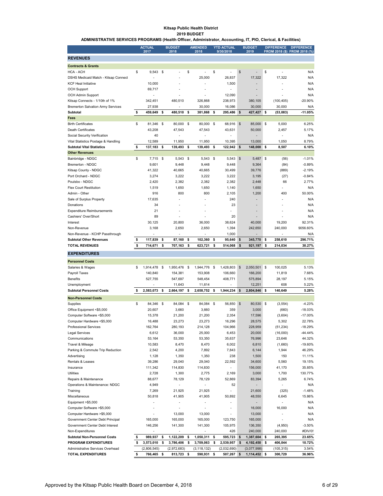#### **Kitsap Public Health District 2019 BUDGET**

**ADMINISTRATIVE SERVICES PROGRAMS (Health Officer, Administrator, Accounting, IT, PIO, Clerical, & Facilities)**

|                                                          | <b>ACTUAL</b><br>2017     |      | <b>BUDGET</b><br>2018     |     | <b>AMENDED</b><br>2018    |      | <b>YTD ACTUAL</b><br>9/30/2018 |            | <b>BUDGET</b><br>2019     |    | <b>DIFFERENCE</b>        | <b>DIFFERENCE</b><br>FROM 2018 (\$) FROM 2018 (%) |
|----------------------------------------------------------|---------------------------|------|---------------------------|-----|---------------------------|------|--------------------------------|------------|---------------------------|----|--------------------------|---------------------------------------------------|
| <b>REVENUES</b>                                          |                           |      |                           |     |                           |      |                                |            |                           |    |                          |                                                   |
| <b>Contracts &amp; Grants</b>                            |                           |      |                           |     |                           |      |                                |            |                           |    |                          |                                                   |
| <b>HCA - ACH</b>                                         | \$<br>9,543               | - \$ |                           | \$  |                           | \$   |                                | \$         |                           | \$ |                          | N/A                                               |
| DSHS Medicaid Match - Kitsap Connect                     |                           |      |                           |     | 25.000                    |      | 26,837                         |            | 17,322                    |    | 17.322                   | N/A                                               |
| <b>KCF Heal Initiative</b>                               | 10,000                    |      |                           |     | Ĭ.                        |      | 1,500                          |            |                           |    |                          | N/A                                               |
| <b>OCH Support</b>                                       | 69,717                    |      |                           |     |                           |      |                                |            |                           |    |                          | N/A                                               |
| <b>OCH Admin Support</b>                                 |                           |      |                           |     |                           |      | 12,090                         |            |                           |    |                          | N/A                                               |
| Kitsap Connects - 1/10th of 1%                           | 342,451                   |      | 480,510                   |     | 326,868                   |      | 238,973                        |            | 380,105                   |    | (100, 405)               | $-20.90%$                                         |
| <b>Bremerton Salvation Army Services</b>                 | 27,938                    |      |                           |     | 30.000                    |      | 16.086                         |            | 30,000                    |    | 30.000                   | N/A                                               |
| Subtotal<br>Fees                                         | \$<br>459,649             | \$   | 480,510                   | \$  | 381,868                   | \$   | 295,486                        | \$         | 427,427                   | \$ | (53,083)                 | $-11.05%$                                         |
| <b>Birth Certificates</b>                                | \$<br>81,346 \$           |      | 80,000 \$                 |     | 80,000                    | -\$  | 68,916                         | $\sqrt{3}$ | 85,000 \$                 |    | 5,000                    | 6.25%                                             |
| Death Certificates                                       | 43,208                    |      | 47,543                    |     | 47,543                    |      | 43,631                         |            | 50,000                    |    | 2,457                    | 5.17%                                             |
| Social Security Verification                             | 40                        |      | $\overline{a}$            |     | $\overline{a}$            |      | $\overline{a}$                 |            | $\overline{a}$            |    | $\overline{a}$           | N/A                                               |
| Vital Statistics Postage & Handling                      | 12,589                    |      | 11,950                    |     | 11,950                    |      | 10,395                         |            | 13,000                    |    | 1,050                    | 8.79%                                             |
| <b>Subtotal Vital Statistics</b>                         | \$<br>137,183             | \$   | 139,493                   | \$  | 139,493                   | \$   | 122,942                        | \$         | 148,000                   | \$ | 8,507                    | 6.10%                                             |
| <b>Other Revenues</b>                                    |                           |      |                           |     |                           |      |                                |            |                           |    |                          |                                                   |
| Bainbridge - NDGC                                        | \$<br>7,715               | \$   | 5,543                     | \$  | 5,543                     | \$   | 5,543                          | \$         | 5,487                     | \$ | (56)                     | $-1.01%$                                          |
| Bremerton - NDGC                                         | 9,601                     |      | 9,448                     |     | 9,448                     |      | 9,448                          |            | 9,364                     |    | (84)                     | $-0.89%$                                          |
| Kitsap County - NDGC                                     | 41,322                    |      | 40,665                    |     | 40,665                    |      | 30,499                         |            | 39,776                    |    | (889)                    | $-2.19%$                                          |
| Port Orchard - NDGC                                      | 3,274                     |      | 3,222                     |     | 3,222                     |      | 3,222                          |            | 3,195                     |    | (27)                     | $-0.84%$                                          |
| Poulsbo - NDGC                                           | 2,420                     |      | 2,382                     |     | 2,382                     |      | 2,382                          |            | 2,448                     |    | 66                       | 2.77%                                             |
| <b>Flex Court Restitution</b>                            | 1,519                     |      | 1,650                     |     | 1,650                     |      | 1,140                          |            | 1,650                     |    |                          | N/A                                               |
| Admin - Other                                            | 916                       |      | 800                       |     | 800                       |      | 2,105                          |            | 1,200                     |    | 400                      | 50.00%                                            |
| Sale of Surplus Property                                 | 17,635                    |      | $\overline{a}$            |     |                           |      | 240                            |            | $\overline{a}$            |    |                          | N/A                                               |
| Donations                                                | 34                        |      |                           |     |                           |      | 23                             |            | $\overline{a}$            |    |                          | N/A                                               |
| <b>Expenditure Reimbursements</b>                        | 21                        |      | $\overline{a}$            |     | Ĭ.                        |      |                                |            | L,                        |    |                          | N/A                                               |
| Cashiers' Over/Short                                     | 89                        |      |                           |     |                           |      | 20<br>38.624                   |            |                           |    |                          | N/A                                               |
| Interest<br>Non-Revenue                                  | 30,125<br>3,168           |      | 20,800<br>2,650           |     | 36,000<br>2,650           |      |                                |            | 40,000                    |    | 19,200<br>240,000        | 92.31%<br>9056.60%                                |
| Non-Revenue - KCHP Passthrough                           | $\overline{a}$            |      |                           |     |                           |      | 1,394<br>1,000                 |            | 242,650<br>$\overline{a}$ |    | $\overline{a}$           | N/A                                               |
| <b>Subtotal Other Revenues</b>                           | \$<br>117,839             | \$   | 87,160                    | \$  | 102,360                   | \$   | 95,640                         | \$         | 345,770                   | \$ | 258,610                  | 296.71%                                           |
| <b>TOTAL REVENUES</b>                                    | \$<br>714,671             | \$   | 707,163                   | \$  | 623,721                   | \$   | 514,068                        | \$         | 921,197                   | \$ | 214,034                  | 30.27%                                            |
| <b>EXPENDITURES</b>                                      |                           |      |                           |     |                           |      |                                |            |                           |    |                          |                                                   |
|                                                          |                           |      |                           |     |                           |      |                                |            |                           |    |                          |                                                   |
| <b>Personnel Costs</b>                                   |                           |      |                           |     |                           |      |                                |            |                           |    |                          |                                                   |
| Salaries & Wages                                         | \$<br>1,914,478           | -\$  | 1,950,476                 | -\$ | 1,944,776                 | - \$ | 1,428,803                      | \$         | 2,050,501                 | \$ | 100,025                  | 5.13%                                             |
| Payroll Taxes                                            | 140,840                   |      | 154,381                   |     | 153,908                   |      | 106,660                        |            | 166,200                   |    | 11,819                   | 7.66%                                             |
| <b>Benefits</b><br>Unemployment                          | 527,755                   |      | 547,697<br>11,643         |     | 548,454<br>11,614         |      | 408,771                        |            | 575,894<br>12,251         |    | 28,197<br>608            | 5.15%<br>5.22%                                    |
| <b>Subtotal Personnel Costs</b>                          | \$<br>2,583,073           | \$   | 2,664,197                 | \$  | 2,658,752                 | \$   | 1,944,234                      | \$         | 2,804,846                 | s  | 140.649                  | 5.28%                                             |
|                                                          |                           |      |                           |     |                           |      |                                |            |                           |    |                          |                                                   |
| <b>Non-Personnel Costs</b>                               |                           |      |                           |     |                           |      |                                |            |                           |    |                          |                                                   |
| Supplies                                                 | \$<br>84,346              | -\$  | 84,084                    | -\$ | 84,084                    | -\$  | 56,850                         | \$         | 80,530 \$                 |    | (3, 554)                 | $-4.23%$<br>$-18.03%$                             |
| Office Equipment <\$5,000                                | 20,607                    |      | 3,660                     |     | 3,660                     |      | 359                            |            | 3,000                     |    | (660)                    | $-17.00%$                                         |
| Computer Software <\$5,000<br>Computer Hardware <\$5,000 | 15,378<br>16,488          |      | 21,200<br>23,273          |     | 21,200<br>23,273          |      | 2,354<br>16,296                |            | 17,596<br>28,575          |    | (3,604)<br>5,302         | 22.78%                                            |
| <b>Professional Services</b>                             | 162,764                   |      | 280,193                   |     | 214,128                   |      | 104,966                        |            | 228,959                   |    | (51, 234)                | $-18.29%$                                         |
| Legal Services                                           | 6,612                     |      | 36,000                    |     | 25,000                    |      | 6,453                          |            | 20,000                    |    | (16,000)                 | $-44.44%$                                         |
| Communications                                           | 53,164                    |      | 53,350                    |     | 53,350                    |      | 35,637                         |            | 76,996                    |    | 23,646                   | 44.32%                                            |
| Travel & Mileage                                         | 10,583                    |      | 8,470                     |     | 8,470                     |      | 6,002                          |            | 6,810                     |    | (1,660)                  | $-19.60%$                                         |
| Parking & Commute Trip Reduction                         | 2,542                     |      | 4,200                     |     | 7,892                     |      | 7,843                          |            | 6,144                     |    | 1,944                    | 46.29%                                            |
| Advertising                                              | 1,128                     |      | 1,350                     |     | 1,350                     |      | 238                            |            | 1,500                     |    | 150                      | 11.11%                                            |
| Rentals & Leases                                         | 39,286                    |      | 29,040                    |     | 29,040                    |      | 22,592                         |            | 34,600                    |    | 5,560                    | 19.15%                                            |
| Insurance                                                | 111,342                   |      | 114,830                   |     | 114,830                   |      | $\overline{a}$                 |            | 156,000                   |    | 41,170                   | 35.85%                                            |
| Utilities                                                | 2,728                     |      | 1,300                     |     | 2,775                     |      | 2,169                          |            | 3,000                     |    | 1,700                    | 130.77%                                           |
| Repairs & Maintenance                                    | 88,677                    |      | 78,129                    |     | 78,129                    |      | 52,869                         |            | 83,394                    |    | 5,265                    | 6.74%                                             |
| Operations & Maintenance: NDGC                           | 4,949                     |      | $\overline{a}$            |     | $\blacksquare$            |      | 52                             |            | $\overline{\phantom{0}}$  |    | $\overline{\phantom{a}}$ | N/A                                               |
| Training                                                 | 7,269                     |      | 21,925                    |     | 21,925                    |      | $\overline{a}$                 |            | 21,600                    |    | (325)                    | $-1.48%$                                          |
| Miscellaneous                                            | 50,818                    |      | 41,905                    |     | 41,905                    |      | 50,892                         |            | 48,550                    |    | 6,645                    | 15.86%                                            |
| Equipment >\$5,000                                       | $\overline{a}$            |      | $\overline{\phantom{a}}$  |     | $\overline{\phantom{a}}$  |      | $\overline{a}$                 |            | $\overline{\phantom{0}}$  |    | $\overline{\phantom{a}}$ | N/A                                               |
| Computer Software >\$5,000                               | $\overline{a}$            |      | $\overline{a}$            |     | $\overline{\phantom{a}}$  |      | $\overline{a}$                 |            | 16,000                    |    | 16,000                   | N/A                                               |
| Computer Hardware >\$5,000                               | $\overline{a}$            |      | 13,000                    |     | 13,000                    |      |                                |            | 13,000                    |    | $\overline{\phantom{0}}$ | N/A                                               |
| Government Center Debt Principal                         | 165,000                   |      | 165,000                   |     | 165,000                   |      | 123,750                        |            | 165,000                   |    | $\overline{\phantom{a}}$ | N/A                                               |
| Government Center Debt Interest                          | 146,256<br>$\overline{a}$ |      | 141,300<br>$\overline{a}$ |     | 141,300<br>$\overline{a}$ |      | 105,975                        |            | 136,350                   |    | (4,950)                  | $-3.50%$                                          |
| Non-Expenditures<br><b>Subtotal Non-Personnel Costs</b>  | \$<br>989,937             | \$   | 1,122,209                 | \$  | 1,050,311                 | \$   | 426<br>595,723                 | \$         | 240,000<br>1,387,604      | \$ | 240,000<br>265,395       | #DIV/0!<br>23.65%                                 |
| PROGRAM EXPENDITURES                                     | \$<br>3,573,010           | \$   | 3,786,406                 | \$  | 3,709,063                 | \$   | 2,539,957                      | \$         | 4,192,450                 | \$ | 406,044                  | 10.72%                                            |
| Administrative Services Overhead                         | (2,806,545)               |      | (2,972,683)               |     | (3, 118, 132)             |      | (2,032,690)                    |            | (3,077,998)               |    | (105, 315)               | 3.54%                                             |
| <b>TOTAL EXPENDITURES</b>                                | \$<br>766,465 \$          |      | 813,723 \$                |     | 590,931                   | \$   | 507,267 \$                     |            | 1,114,452 \$              |    | 300,729                  | 36.96%                                            |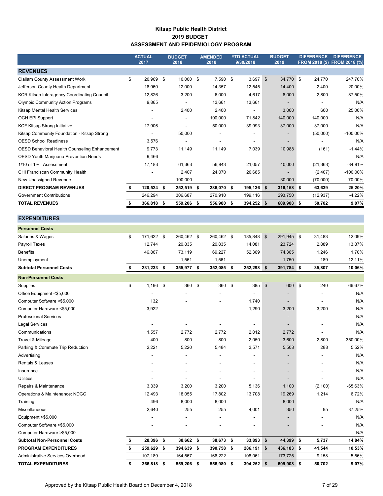#### **Kitsap Public Health District 2019 BUDGET ASSESSMENT AND EPIDEMIOLOGY PROGRAM**

|                                                    | <b>ACTUAL</b><br>2017 |      | <b>BUDGET</b><br>2018    | <b>AMENDED</b><br>2018   | <b>YTD ACTUAL</b><br>9/30/2018 |     | <b>BUDGET</b><br>2019    | <b>DIFFERENCE</b> | <b>DIFFERENCE</b><br>FROM 2018 (\$) FROM 2018 (%) |
|----------------------------------------------------|-----------------------|------|--------------------------|--------------------------|--------------------------------|-----|--------------------------|-------------------|---------------------------------------------------|
| <b>REVENUES</b>                                    |                       |      |                          |                          |                                |     |                          |                   |                                                   |
| <b>Clallam County Assessment Work</b>              | \$<br>20,969          | - \$ | $10,000$ \$              | 7,590                    | \$<br>3,697                    | \$  | 34,770 \$                | 24,770            | 247.70%                                           |
| Jefferson County Health Department                 | 18,960                |      | 12,000                   | 14,357                   | 12,545                         |     | 14,400                   | 2,400             | 20.00%                                            |
| <b>KCR Kitsap Interagency Coordinating Council</b> | 12,826                |      | 3,200                    | 6,000                    | 4,617                          |     | 6,000                    | 2,800             | 87.50%                                            |
| <b>Olympic Community Action Programs</b>           | 9,865                 |      |                          | 13,661                   | 13,661                         |     |                          |                   | N/A                                               |
| Kitsap Mental Health Services                      |                       |      | 2,400                    | 2,400                    |                                |     | 3,000                    | 600               | 25.00%                                            |
| <b>OCH EPI Support</b>                             |                       |      | $\overline{\phantom{a}}$ | 100,000                  | 71,842                         |     | 140,000                  | 140,000           | N/A                                               |
| <b>KCF Kitsap Strong Initiative</b>                | 17,906                |      |                          | 50,000                   | 39,993                         |     | 37,000                   | 37,000            | N/A                                               |
| Kitsap Community Foundation - Kitsap Strong        |                       |      | 50,000                   |                          |                                |     | $\overline{\phantom{a}}$ | (50,000)          | $-100.00\%$                                       |
| <b>OESD School Readiness</b>                       | 3,576                 |      |                          |                          |                                |     | $\overline{\phantom{a}}$ |                   | N/A                                               |
| OESD Behavioral Health Counseling Enhancement      | 9,773                 |      | 11,149                   | 11,149                   | 7,039                          |     | 10,988                   | (161)             | $-1.44%$                                          |
| OESD Youth Marijuana Prevention Needs              | 9,466                 |      | $\overline{\phantom{a}}$ | $\blacksquare$           | ٠                              |     | $\overline{\phantom{a}}$ |                   | N/A                                               |
| 1/10 of 1%: Assessment                             | 17,183                |      | 61,363                   | 56,843                   | 21,057                         |     | 40,000                   | (21, 363)         | $-34.81%$                                         |
| CHI Franciscan Community Health                    |                       |      | 2,407                    | 24,070                   | 20,685                         |     | $\overline{\phantom{0}}$ | (2, 407)          | $-100.00\%$                                       |
| New Unassigned Revenue                             |                       |      | 100,000                  | $\overline{\phantom{a}}$ | $\overline{\phantom{a}}$       |     | 30,000                   | (70,000)          | $-70.00\%$                                        |
| <b>DIRECT PROGRAM REVENUES</b>                     | 120,524 \$            |      | 252,519 \$               | 286,070 \$               | 195,136                        | -\$ | $316,158$ \$             | 63,639            | 25.20%                                            |
| <b>Government Contributions</b>                    | 246,294               |      | 306,687                  | 270,910                  | 199,116                        |     | 293,750                  | (12, 937)         | $-4.22%$                                          |
| <b>TOTAL REVENUES</b>                              | 366,818               | -S   | 559,206 \$               | 556,980                  | \$<br>394,252                  | \$  | 609,908 \$               | 50,702            | 9.07%                                             |

| <b>Personnel Costs</b>              |                  |                  |      |                          |      |            |            |                              |          |         |           |
|-------------------------------------|------------------|------------------|------|--------------------------|------|------------|------------|------------------------------|----------|---------|-----------|
| Salaries & Wages                    | \$<br>171,622 \$ | 260,462 \$       |      | 260,462 \$               |      | 185,848    | $\sqrt{3}$ | 291,945 \$                   |          | 31,483  | 12.09%    |
| Payroll Taxes                       | 12,744           | 20,835           |      | 20,835                   |      | 14,081     |            | 23,724                       |          | 2,889   | 13.87%    |
| <b>Benefits</b>                     | 46,867           | 73.119           |      | 69,227                   |      | 52,369     |            | 74,365                       |          | 1,246   | 1.70%     |
| Unemployment                        |                  | 1,561            |      | 1,561                    |      |            |            | 1,750                        |          | 189     | 12.11%    |
| <b>Subtotal Personnel Costs</b>     | \$<br>231,233    | \$<br>355,977 \$ |      | 352,085 \$               |      | 252,298 \$ |            | 391,784 \$                   |          | 35,807  | 10.06%    |
| <b>Non-Personnel Costs</b>          |                  |                  |      |                          |      |            |            |                              |          |         |           |
| Supplies                            | \$<br>1,196      | \$<br>360        | \$   | 360                      | \$   | 385        | \$         | 600                          | <b>S</b> | 240     | 66.67%    |
| Office Equipment <\$5,000           |                  |                  |      |                          |      |            |            |                              |          |         | N/A       |
| Computer Software <\$5,000          | 132              |                  |      |                          |      | 1,740      |            | $\qquad \qquad \blacksquare$ |          |         | N/A       |
| Computer Hardware <\$5,000          | 3,922            |                  |      |                          |      | 1,290      |            | 3,200                        |          | 3,200   | N/A       |
| <b>Professional Services</b>        | $\overline{a}$   |                  |      |                          |      |            |            | $\overline{\phantom{m}}$     |          | ä,      | N/A       |
| <b>Legal Services</b>               |                  |                  |      |                          |      |            |            | $\overline{\phantom{a}}$     |          |         | N/A       |
| Communications                      | 1,557            | 2,772            |      | 2,772                    |      | 2,012      |            | 2,772                        |          |         | N/A       |
| Travel & Mileage                    | 400              | 800              |      | 800                      |      | 2,050      |            | 3,600                        |          | 2,800   | 350.00%   |
| Parking & Commute Trip Reduction    | 2,221            | 5,220            |      | 5,484                    |      | 3,571      |            | 5,508                        |          | 288     | 5.52%     |
| Advertising                         |                  |                  |      | $\overline{\phantom{a}}$ |      |            |            | $\overline{\phantom{a}}$     |          |         | N/A       |
| <b>Rentals &amp; Leases</b>         |                  |                  |      |                          |      |            |            | $\overline{\phantom{a}}$     |          |         | N/A       |
| Insurance                           |                  |                  |      |                          |      |            |            | $\overline{\phantom{a}}$     |          |         | N/A       |
| <b>Utilities</b>                    |                  |                  |      |                          |      |            |            |                              |          |         | N/A       |
| Repairs & Maintenance               | 3,339            | 3,200            |      | 3,200                    |      | 5,136      |            | 1,100                        |          | (2,100) | $-65.63%$ |
| Operations & Maintenance: NDGC      | 12,493           | 18,055           |      | 17,802                   |      | 13,708     |            | 19,269                       |          | 1,214   | 6.72%     |
| Training                            | 496              | 8,000            |      | 8,000                    |      |            |            | 8,000                        |          |         | N/A       |
| Miscellaneous                       | 2,640            | 255              |      | 255                      |      | 4,001      |            | 350                          |          | 95      | 37.25%    |
| Equipment >\$5,000                  |                  |                  |      |                          |      |            |            |                              |          |         | N/A       |
| Computer Software >\$5,000          |                  | ٠                |      |                          |      |            |            | $\overline{\phantom{a}}$     |          |         | N/A       |
| Computer Hardware > \$5,000         |                  |                  |      |                          |      |            |            | $\overline{a}$               |          |         | N/A       |
| <b>Subtotal Non-Personnel Costs</b> | \$<br>28,396     | \$<br>38,662 \$  |      | 38,673 \$                |      | 33,893     | \$         | 44,399 \$                    |          | 5,737   | 14.84%    |
| <b>PROGRAM EXPENDITURES</b>         | \$<br>259,629    | \$<br>394,639 \$ |      | 390,758 \$               |      | 286,191    | - \$       | 436,183 \$                   |          | 41,544  | 10.53%    |
| Administrative Services Overhead    | 107,189          | 164,567          |      | 166,222                  |      | 108,061    |            | 173,725                      |          | 9,158   | 5.56%     |
| <b>TOTAL EXPENDITURES</b>           | \$<br>366,818    | \$<br>559,206    | - \$ | 556,980                  | - \$ | 394,252 \$ |            | 609,908 \$                   |          | 50,702  | 9.07%     |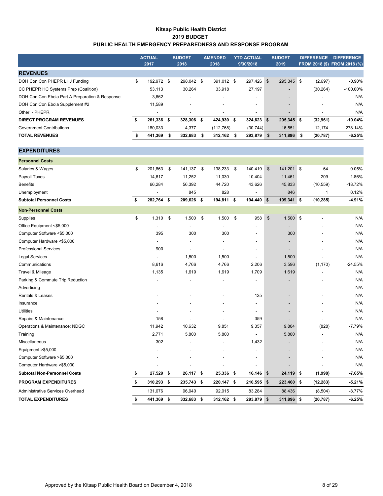#### **Kitsap Public Health District 2019 BUDGET PUBLIC HEALTH EMERGENCY PREPAREDNESS AND RESPONSE PROGRAM**

|                                                 | <b>ACTUAL</b><br>2017    | <b>BUDGET</b><br>2018    |     | <b>AMENDED</b><br>2018   |      | <b>YTD ACTUAL</b><br>9/30/2018 | <b>BUDGET</b><br>2019    |   | <b>DIFFERENCE</b> | <b>DIFFERENCE</b><br>FROM 2018 (\$) FROM 2018 (%) |
|-------------------------------------------------|--------------------------|--------------------------|-----|--------------------------|------|--------------------------------|--------------------------|---|-------------------|---------------------------------------------------|
| <b>REVENUES</b>                                 |                          |                          |     |                          |      |                                |                          |   |                   |                                                   |
| DOH Con Con PHEPR LHJ Funding                   | \$<br>192.972 \$         | 298.042 \$               |     | 391,012 \$               |      | 297,426 \$                     | 295,345 \$               |   | (2,697)           | $-0.90\%$                                         |
| CC PHEPR HC Systems Prep (Coalition)            | 53.113                   | 30,264                   |     | 33.918                   |      | 27,197                         |                          |   | (30, 264)         | $-100.00\%$                                       |
| DOH Con Con Ebola Part A Preparation & Response | 3,662                    |                          |     | $\overline{\phantom{a}}$ |      | ۰.                             | $\overline{\phantom{a}}$ |   |                   | N/A                                               |
| DOH Con Con Ebola Supplement #2                 | 11.589                   | $\overline{\phantom{a}}$ |     | ٠                        |      | ۰.                             | $\overline{\phantom{a}}$ |   |                   | N/A                                               |
| Other - PHEPR                                   | $\overline{\phantom{a}}$ | $\overline{\phantom{a}}$ |     | $\overline{\phantom{a}}$ |      | $\overline{\phantom{a}}$       |                          |   |                   | N/A                                               |
| <b>DIRECT PROGRAM REVENUES</b>                  | 261,336 \$               | 328.306 \$               |     | 424.930 \$               |      | $324.623$ \$                   | 295.345 \$               |   | (32,961)          | $-10.04%$                                         |
| Government Contributions                        | 180,033                  | 4,377                    |     | (112, 768)               |      | (30, 744)                      | 16,551                   |   | 12.174            | 278.14%                                           |
| <b>TOTAL REVENUES</b>                           | 441,369                  | 332.683                  | - S | 312.162                  | - 56 | 293.879 \$                     | 311,896                  | S | (20, 787)         | $-6.25%$                                          |

| <b>Personnel Costs</b>              |                  |            |                |             |                          |                         |            |              |           |
|-------------------------------------|------------------|------------|----------------|-------------|--------------------------|-------------------------|------------|--------------|-----------|
| Salaries & Wages                    | \$<br>201,863    | \$         | 141,137 \$     | 138,233     | \$<br>140,419            | $\mathfrak{F}$          | 141,201 \$ | 64           | 0.05%     |
| Payroll Taxes                       | 14,617           |            | 11,252         | 11,030      | 10,404                   |                         | 11,461     | 209          | 1.86%     |
| <b>Benefits</b>                     | 66,284           |            | 56,392         | 44,720      | 43,626                   |                         | 45,833     | (10, 559)    | $-18.72%$ |
| Unemployment                        |                  |            | 845            | 828         |                          |                         | 846        | $\mathbf{1}$ | 0.12%     |
| <b>Subtotal Personnel Costs</b>     | \$<br>282,764 \$ |            | 209,626 \$     | 194,811 \$  | 194,449 \$               |                         | 199,341 \$ | (10, 285)    | $-4.91%$  |
| <b>Non-Personnel Costs</b>          |                  |            |                |             |                          |                         |            |              |           |
| Supplies                            | \$<br>1,310      | $^{\circ}$ | 1,500          | \$<br>1,500 | \$<br>958                | $\sqrt[6]{\frac{1}{2}}$ | $1,500$ \$ |              | N/A       |
| Office Equipment <\$5,000           |                  |            |                |             |                          |                         |            |              | N/A       |
| Computer Software <\$5,000          | 395              |            | 300            | 300         |                          |                         | 300        |              | N/A       |
| Computer Hardware <\$5,000          |                  |            |                |             | $\blacksquare$           |                         |            |              | N/A       |
| <b>Professional Services</b>        | 900              |            | $\blacksquare$ |             | $\overline{\phantom{a}}$ |                         |            |              | N/A       |
| <b>Legal Services</b>               |                  |            | 1,500          | 1,500       |                          |                         | 1,500      |              | N/A       |
| Communications                      | 8,616            |            | 4,766          | 4,766       | 2,206                    |                         | 3,596      | (1, 170)     | $-24.55%$ |
| Travel & Mileage                    | 1,135            |            | 1,619          | 1,619       | 1,709                    |                         | 1,619      |              | N/A       |
| Parking & Commute Trip Reduction    |                  |            |                |             |                          |                         |            |              | N/A       |
| Advertising                         |                  |            |                |             | $\blacksquare$           |                         |            |              | N/A       |
| Rentals & Leases                    |                  |            |                |             | 125                      |                         |            |              | N/A       |
| Insurance                           |                  |            |                |             |                          |                         |            |              | N/A       |
| <b>Utilities</b>                    |                  |            |                |             | $\overline{a}$           |                         |            |              | N/A       |
| Repairs & Maintenance               | 158              |            |                |             | 359                      |                         |            |              | N/A       |
| Operations & Maintenance: NDGC      | 11,942           |            | 10,632         | 9,851       | 9,357                    |                         | 9,804      | (828)        | $-7.79%$  |
| Training                            | 2,771            |            | 5,800          | 5,800       | $\overline{\phantom{a}}$ |                         | 5,800      |              | N/A       |
| Miscellaneous                       | 302              |            |                |             | 1,432                    |                         |            |              | N/A       |
| Equipment >\$5,000                  |                  |            |                |             | $\overline{\phantom{a}}$ |                         |            |              | N/A       |
| Computer Software >\$5,000          |                  |            |                |             | $\overline{a}$           |                         |            |              | N/A       |
| Computer Hardware >\$5,000          |                  |            |                |             |                          |                         |            |              | N/A       |
| <b>Subtotal Non-Personnel Costs</b> | \$<br>27,529 \$  |            | 26,117 \$      | 25,336 \$   | 16,146 \$                |                         | 24,119 \$  | (1,998)      | $-7.65%$  |
| <b>PROGRAM EXPENDITURES</b>         | \$<br>310,293 \$ |            | 235,743 \$     | 220,147 \$  | 210,595 \$               |                         | 223,460 \$ | (12, 283)    | $-5.21%$  |
| Administrative Services Overhead    | 131,076          |            | 96,940         | 92,015      | 83,284                   |                         | 88,436     | (8, 504)     | $-8.77%$  |
| <b>TOTAL EXPENDITURES</b>           | \$<br>441,369    | \$         | 332,683 \$     | 312,162 \$  | 293,879                  | \$                      | 311,896 \$ | (20, 787)    | $-6.25%$  |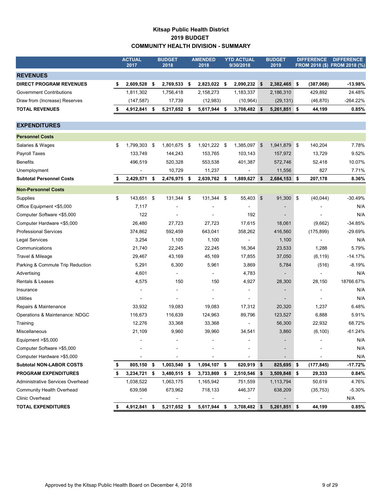## **Kitsap Public Health District 2019 BUDGET COMMUNITY HEALTH DIVISION - SUMMARY**

|                                  | <b>ACTUAL</b><br>2017 |     | <b>BUDGET</b><br>2018 | <b>AMENDED</b><br>2018 | <b>YTD ACTUAL</b><br>9/30/2018 |            | <b>BUDGET</b><br>2019 |            | <b>DIFFERENCE</b> | <b>DIFFERENCE</b><br>FROM 2018 (\$) FROM 2018 (%) |
|----------------------------------|-----------------------|-----|-----------------------|------------------------|--------------------------------|------------|-----------------------|------------|-------------------|---------------------------------------------------|
| <b>REVENUES</b>                  |                       |     |                       |                        |                                |            |                       |            |                   |                                                   |
| <b>DIRECT PROGRAM REVENUES</b>   | \$<br>2,609,528       | \$  | 2,769,533 \$          | 2,823,022 \$           | 2,090,232                      | $\sqrt{3}$ | 2,382,465 \$          |            | (387,068)         | $-13.98%$                                         |
| <b>Government Contributions</b>  | 1,811,302             |     | 1,756,418             | 2,158,273              | 1,183,337                      |            | 2,186,310             |            | 429,892           | 24.48%                                            |
| Draw from (Increase) Reserves    | (147, 587)            |     | 17,739                | (12,983)               | (10, 964)                      |            | (29, 131)             |            | (46, 870)         | $-264.22%$                                        |
| <b>TOTAL REVENUES</b>            | \$<br>4,912,841       | \$  | 5,217,652             | \$<br>5,617,944 \$     | 3,708,482 \$                   |            | 5,261,851 \$          |            | 44,199            | 0.85%                                             |
| <b>EXPENDITURES</b>              |                       |     |                       |                        |                                |            |                       |            |                   |                                                   |
|                                  |                       |     |                       |                        |                                |            |                       |            |                   |                                                   |
| <b>Personnel Costs</b>           |                       |     |                       |                        |                                |            |                       |            |                   |                                                   |
| Salaries & Wages                 | \$<br>1,799,303       | -\$ | 1,801,675 \$          | 1,921,222 \$           | 1,385,097                      | \$         | 1,941,879 \$          |            | 140,204           | 7.78%                                             |
| Payroll Taxes                    | 133,749               |     | 144,243               | 153,765                | 103,143                        |            | 157,972               |            | 13,729            | 9.52%                                             |
| <b>Benefits</b>                  | 496,519               |     | 520,328               | 553,538                | 401,387                        |            | 572,746               |            | 52,418            | 10.07%                                            |
| Unemployment                     |                       |     | 10,729                | 11,237                 |                                |            | 11,556                |            | 827               | 7.71%                                             |
| <b>Subtotal Personnel Costs</b>  | \$<br>2,429,571       | \$  | 2,476,975             | \$<br>2,639,762 \$     | 1,889,627                      | \$         | 2,684,153 \$          |            | 207,178           | 8.36%                                             |
| <b>Non-Personnel Costs</b>       |                       |     |                       |                        |                                |            |                       |            |                   |                                                   |
| Supplies                         | \$<br>143,651         | \$  | 131,344               | \$<br>131,344 \$       | 55,403 \$                      |            | 91,300                | $\sqrt{3}$ | (40, 044)         | $-30.49%$                                         |
| Office Equipment <\$5,000        | 7,117                 |     |                       |                        |                                |            |                       |            |                   | N/A                                               |
| Computer Software <\$5,000       | 122                   |     |                       |                        | 192                            |            |                       |            |                   | N/A                                               |
| Computer Hardware <\$5,000       | 26,480                |     | 27,723                | 27,723                 | 17,615                         |            | 18,061                |            | (9,662)           | $-34.85%$                                         |
| <b>Professional Services</b>     | 374,862               |     | 592,459               | 643,041                | 358,262                        |            | 416,560               |            | (175, 899)        | $-29.69%$                                         |
| <b>Legal Services</b>            | 3,254                 |     | 1,100                 | 1,100                  |                                |            | 1,100                 |            |                   | N/A                                               |
| Communications                   | 21,740                |     | 22,245                | 22,245                 | 16,364                         |            | 23,533                |            | 1,288             | 5.79%                                             |
| Travel & Mileage                 | 29,467                |     | 43,169                | 45,169                 | 17,855                         |            | 37,050                |            | (6, 119)          | $-14.17%$                                         |
| Parking & Commute Trip Reduction | 5,291                 |     | 6,300                 | 5,961                  | 3,869                          |            | 5,784                 |            | (516)             | $-8.19%$                                          |
| Advertising                      | 4,601                 |     |                       |                        | 4,783                          |            |                       |            |                   | N/A                                               |
| <b>Rentals &amp; Leases</b>      | 4,575                 |     | 150                   | 150                    | 4,927                          |            | 28,300                |            | 28,150            | 18766.67%                                         |
| Insurance                        |                       |     |                       |                        |                                |            |                       |            |                   | N/A                                               |
| <b>Utilities</b>                 |                       |     |                       |                        |                                |            |                       |            |                   | N/A                                               |
| Repairs & Maintenance            | 33,932                |     | 19,083                | 19,083                 | 17,312                         |            | 20,320                |            | 1,237             | 6.48%                                             |
| Operations & Maintenance: NDGC   | 116,673               |     | 116,639               | 124,963                | 89,796                         |            | 123,527               |            | 6,888             | 5.91%                                             |

Training 12,276 33,368 33,368 - 56,300 22,932 68.72% Miscellaneous 21,109 9,960 39,960 34,541 3,860 (6,100) -61.24% equipment >\$5,000 and the state of the state of the state of the state of the state of the state of the state of the state of the state of the state of the state of the state of the state of the state of the state of the s Computer Software >\$5,000 - - - - - N/A - Computer Hardware >\$5,000 - - - - - N/A - **Subtotal NON-LABOR COSTS \$ 805,150 \$ 1,003,540 \$ 1,094,107 \$ 620,919 \$ 825,695 \$ (177,845) -17.72% PROGRAM EXPENDITURES \$ 3,234,721 \$ 3,480,515 \$ 3,733,869 \$ 2,510,546 \$ 3,509,848 \$ 29,333 0.84%** Administrative Services Overhead 1,038,522 1,063,175 1,165,942 751,559 1,113,794 50,619 4.76% Community Health Overhead 639,598 673,962 718,133 446,377 638,209 (35,753) -5.30% Clinic Overhead - - - - - N/A - **TOTAL EXPENDITURES \$ 4,912,841 \$ 5,217,652 \$ 5,617,944 \$ 3,708,482 \$ 5,261,851 \$ 44,199 0.85%**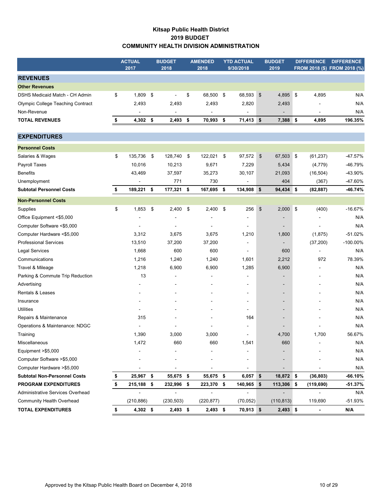## **Kitsap Public Health District 2019 BUDGET COMMUNITY HEALTH DIVISION ADMINISTRATION**

|                                     | <b>ACTUAL</b><br>2017 | <b>BUDGET</b><br>2018 | <b>AMENDED</b><br>2018 | <b>YTD ACTUAL</b><br>9/30/2018 |               | <b>BUDGET</b><br>2019    | <b>DIFFERENCE</b>        | <b>DIFFERENCE</b><br>FROM 2018 (\$) FROM 2018 (%) |
|-------------------------------------|-----------------------|-----------------------|------------------------|--------------------------------|---------------|--------------------------|--------------------------|---------------------------------------------------|
|                                     |                       |                       |                        |                                |               |                          |                          |                                                   |
| <b>REVENUES</b>                     |                       |                       |                        |                                |               |                          |                          |                                                   |
| <b>Other Revenues</b>               |                       |                       |                        |                                |               |                          |                          |                                                   |
| DSHS Medicaid Match - CH Admin      | \$<br>1,809           | \$                    | \$<br>68,500 \$        | 68,593                         | \$            | 4,895 \$                 | 4,895                    | N/A                                               |
| Olympic College Teaching Contract   | 2,493                 | 2,493                 | 2,493                  | 2,820                          |               | 2,493                    |                          | N/A                                               |
| Non-Revenue                         |                       | $\blacksquare$        |                        | $\blacksquare$                 |               |                          | $\blacksquare$           | N/A                                               |
| <b>TOTAL REVENUES</b>               | \$<br>4,302           | \$<br>2,493           | \$<br>70,993           | \$<br>71,413                   | \$            | 7,388                    | \$<br>4,895              | 196.35%                                           |
| <b>EXPENDITURES</b>                 |                       |                       |                        |                                |               |                          |                          |                                                   |
| <b>Personnel Costs</b>              |                       |                       |                        |                                |               |                          |                          |                                                   |
| Salaries & Wages                    | \$<br>135,736         | \$<br>128,740 \$      | 122,021                | \$<br>97,572                   | \$            | 67,503 \$                | (61, 237)                | $-47.57%$                                         |
| Payroll Taxes                       | 10,016                | 10,213                | 9,671                  | 7,229                          |               | 5,434                    | (4, 779)                 | -46.79%                                           |
| <b>Benefits</b>                     | 43,469                | 37,597                | 35,273                 | 30,107                         |               | 21,093                   | (16, 504)                | -43.90%                                           |
| Unemployment                        |                       | 771                   | 730                    |                                |               | 404                      | (367)                    | -47.60%                                           |
| <b>Subtotal Personnel Costs</b>     | \$<br>189,221         | \$<br>177,321 \$      | 167,695 \$             | 134,908                        | \$            | 94,434 \$                | (82, 887)                | -46.74%                                           |
| <b>Non-Personnel Costs</b>          |                       |                       |                        |                                |               |                          |                          |                                                   |
| Supplies                            | \$<br>1,853           | \$<br>2,400           | \$<br>$2,400$ \$       | 256                            | $\frac{1}{2}$ | $2,000$ \$               | (400)                    | $-16.67%$                                         |
| Office Equipment <\$5,000           |                       |                       |                        |                                |               |                          |                          | N/A                                               |
| Computer Software <\$5,000          |                       |                       |                        |                                |               |                          |                          | N/A                                               |
| Computer Hardware <\$5,000          | 3,312                 | 3,675                 | 3,675                  | 1,210                          |               | 1,800                    | (1,875)                  | $-51.02%$                                         |
| <b>Professional Services</b>        | 13,510                | 37,200                | 37,200                 |                                |               |                          | (37, 200)                | $-100.00\%$                                       |
| <b>Legal Services</b>               | 1,668                 | 600                   | 600                    | $\overline{a}$                 |               | 600                      | $\overline{a}$           | N/A                                               |
| Communications                      | 1,216                 | 1,240                 | 1,240                  | 1,601                          |               | 2,212                    | 972                      | 78.39%                                            |
| Travel & Mileage                    | 1,218                 | 6,900                 | 6,900                  | 1,285                          |               | 6,900                    |                          | N/A                                               |
| Parking & Commute Trip Reduction    | 13                    |                       |                        |                                |               |                          |                          | N/A                                               |
| Advertising                         |                       |                       |                        | $\overline{\phantom{a}}$       |               |                          |                          | N/A                                               |
| Rentals & Leases                    |                       |                       |                        | $\blacksquare$                 |               | ٠                        |                          | N/A                                               |
| Insurance                           |                       |                       |                        | $\overline{\phantom{a}}$       |               | $\overline{\phantom{a}}$ |                          | N/A                                               |
| <b>Utilities</b>                    |                       |                       |                        |                                |               |                          |                          | N/A                                               |
| Repairs & Maintenance               | 315                   |                       |                        | 164                            |               |                          |                          | N/A                                               |
| Operations & Maintenance: NDGC      |                       |                       |                        |                                |               |                          |                          | N/A                                               |
| Training                            | 1,390                 | 3,000                 | 3,000                  | $\sim$                         |               | 4,700                    | 1,700                    | 56.67%                                            |
| Miscellaneous                       | 1,472                 | 660                   | 660                    | 1,541                          |               | 660                      |                          | N/A                                               |
| Equipment >\$5,000                  |                       |                       |                        |                                |               |                          |                          | N/A                                               |
| Computer Software > \$5,000         |                       |                       |                        | $\qquad \qquad \blacksquare$   |               |                          |                          | N/A                                               |
| Computer Hardware >\$5,000          |                       |                       |                        |                                |               |                          |                          | N/A                                               |
| <b>Subtotal Non-Personnel Costs</b> | 25,967                | \$<br>55,675 \$       | 55,675 \$              | 6,057                          | \$            | 18,872                   | \$<br>(36, 803)          | $-66.10%$                                         |
| <b>PROGRAM EXPENDITURES</b>         | \$<br>215,188         | \$<br>232,996 \$      | 223,370 \$             | 140,965                        | \$            | 113,306 \$               | (119, 690)               | $-51.37%$                                         |
| Administrative Services Overhead    |                       | $\blacksquare$        | $\blacksquare$         | $\overline{a}$                 |               |                          |                          | N/A                                               |
| <b>Community Health Overhead</b>    | (210, 886)            | (230, 503)            | (220, 877)             | (70, 052)                      |               | (110, 813)               | 119,690                  | $-51.93%$                                         |
| <b>TOTAL EXPENDITURES</b>           | \$<br>4,302 \$        | $2,493$ \$            | $2,493$ \$             | 70,913 \$                      |               | 2,493 \$                 | $\overline{\phantom{a}}$ | N/A                                               |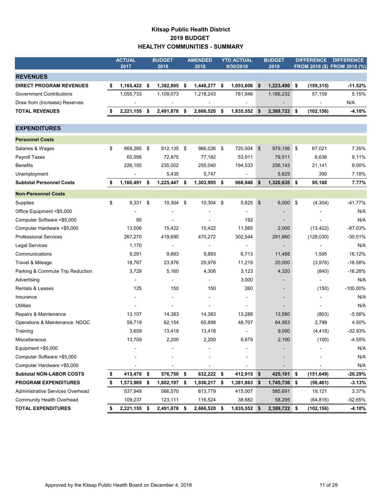## **Kitsap Public Health District 2019 BUDGET HEALTHY COMMUNITIES - SUMMARY**

|                                  | <b>ACTUAL</b>      |     | <b>BUDGET</b> |      | <b>AMENDED</b> | <b>YTD ACTUAL</b>  |               | <b>BUDGET</b>                |    | <b>DIFFERENCE</b> | <b>DIFFERENCE</b>            |
|----------------------------------|--------------------|-----|---------------|------|----------------|--------------------|---------------|------------------------------|----|-------------------|------------------------------|
|                                  | 2017               |     | 2018          |      | 2018           | 9/30/2018          |               | 2019                         |    |                   | FROM 2018 (\$) FROM 2018 (%) |
| <b>REVENUES</b>                  |                    |     |               |      |                |                    |               |                              |    |                   |                              |
| <b>DIRECT PROGRAM REVENUES</b>   | \$<br>1,165,422    | -\$ | 1,382,805     | \$   | 1,448,277      | \$<br>1,053,606    | \$            | 1,223,490                    | 5  | (159, 315)        | $-11.52%$                    |
| <b>Government Contributions</b>  | 1,055,733          |     | 1,109,073     |      | 1,218,243      | 781,946            |               | 1,166,232                    |    | 57,159            | 5.15%                        |
| Draw from (Increase) Reserves    |                    |     |               |      |                |                    |               |                              |    |                   | N/A                          |
| <b>TOTAL REVENUES</b>            | 2,221,155 \$       |     | 2,491,878     | \$   | 2,666,520      | \$<br>1,835,552 \$ |               | 2,389,722 \$                 |    | (102, 156)        | $-4.10%$                     |
|                                  |                    |     |               |      |                |                    |               |                              |    |                   |                              |
| <b>EXPENDITURES</b>              |                    |     |               |      |                |                    |               |                              |    |                   |                              |
| <b>Personnel Costs</b>           |                    |     |               |      |                |                    |               |                              |    |                   |                              |
| Salaries & Wages                 | \$<br>869,285 \$   |     | 912,135 \$    |      | 966,026 \$     | 720,504            | $\frac{3}{2}$ | 979,156 \$                   |    | 67,021            | 7.35%                        |
| Payroll Taxes                    | 65,056             |     | 72,875        |      | 77,182         | 53,911             |               | 79,511                       |    | 6,636             | 9.11%                        |
| <b>Benefits</b>                  | 226,150            |     | 235,002       |      | 255,040        | 194,533            |               | 256,143                      |    | 21,141            | 9.00%                        |
| Unemployment                     |                    |     | 5,435         |      | 5,747          |                    |               | 5,825                        |    | 390               | 7.18%                        |
| <b>Subtotal Personnel Costs</b>  | \$<br>1,160,491 \$ |     | 1,225,447 \$  |      | 1,303,995 \$   | 968,948            | - \$          | 1,320,635 \$                 |    | 95,188            | 7.77%                        |
| <b>Non-Personnel Costs</b>       |                    |     |               |      |                |                    |               |                              |    |                   |                              |
| Supplies                         | \$<br>$9,331$ \$   |     | 10,304        | \$   | 10,304 \$      | 5,625              | $\frac{1}{2}$ | $6,000$ \$                   |    | (4, 304)          | $-41.77%$                    |
| Office Equipment <\$5,000        |                    |     |               |      |                |                    |               |                              |    |                   | N/A                          |
| Computer Software <\$5,000       | 95                 |     |               |      |                | 192                |               |                              |    |                   | N/A                          |
| Computer Hardware <\$5,000       | 13,506             |     | 15,422        |      | 15,422         | 11,565             |               | 2,000                        |    | (13, 422)         | $-87.03%$                    |
| <b>Professional Services</b>     | 267,270            |     | 419,690       |      | 470,272        | 302,544            |               | 291,660                      |    | (128,030)         | $-30.51%$                    |
| Legal Services                   | 1,170              |     |               |      | -              |                    |               |                              |    |                   | N/A                          |
| Communications                   | 9,291              |     | 9,893         |      | 9,893          | 6,713              |               | 11,488                       |    | 1,595             | 16.12%                       |
| Travel & Mileage                 | 18,767             |     | 23,976        |      | 25,976         | 11,219             |               | 20,000                       |    | (3,976)           | $-16.58%$                    |
| Parking & Commute Trip Reduction | 3,729              |     | 5,160         |      | 4,306          | 3,123              |               | 4,320                        |    | (840)             | $-16.28%$                    |
| Advertising                      |                    |     |               |      |                | 3,000              |               |                              |    |                   | N/A                          |
| Rentals & Leases                 | 125                |     | 150           |      | 150            | 260                |               | $\overline{\phantom{0}}$     |    | (150)             | $-100.00\%$                  |
| Insurance                        |                    |     |               |      |                |                    |               | $\qquad \qquad \blacksquare$ |    |                   | N/A                          |
| <b>Utilities</b>                 |                    |     |               |      |                |                    |               |                              |    |                   | N/A                          |
| Repairs & Maintenance            | 13,107             |     | 14,383        |      | 14,383         | 13,288             |               | 13,580                       |    | (803)             | $-5.58%$                     |
| Operations & Maintenance: NDGC   | 59,719             |     | 62,154        |      | 65,898         | 48,707             |               | 64,953                       |    | 2,799             | 4.50%                        |
| Training                         | 3,659              |     | 13,418        |      | 13,418         |                    |               | 9,000                        |    | (4, 418)          | $-32.93%$                    |
| Miscellaneous                    | 13,709             |     | 2,200         |      | 2,200          | 6,679              |               | 2,100                        |    | (100)             | $-4.55%$                     |
| Equipment >\$5,000               |                    |     |               |      |                |                    |               |                              |    |                   | N/A                          |
| Computer Software >\$5,000       |                    |     |               |      |                |                    |               |                              |    |                   | N/A                          |
| Computer Hardware >\$5,000       |                    |     |               |      |                |                    |               |                              |    |                   | N/A                          |
| <b>Subtotal NON-LABOR COSTS</b>  | \$<br>413,478 \$   |     | 576,750 \$    |      | 632,222 \$     | 412,915 \$         |               | 425,101 \$                   |    | (151, 649)        | $-26.29%$                    |
| <b>PROGRAM EXPENDITURES</b>      | 1,573,969          | \$  | 1,802,197     | - \$ | 1,936,217      | \$<br>1,381,863    | \$            | 1,745,736                    | \$ | (56, 461)         | $-3.13%$                     |
| Administrative Services Overhead | 537,949            |     | 566,570       |      | 613,779        | 415,007            |               | 585,691                      |    | 19,121            | 3.37%                        |
| <b>Community Health Overhead</b> | 109,237            |     | 123,111       |      | 116,524        | 38,682             |               | 58,295                       |    | (64, 816)         | $-52.65%$                    |
| <b>TOTAL EXPENDITURES</b>        | \$<br>2,221,155 \$ |     | 2,491,878 \$  |      | 2,666,520 \$   | 1,835,552 \$       |               | 2,389,722 \$                 |    | (102, 156)        | $-4.10%$                     |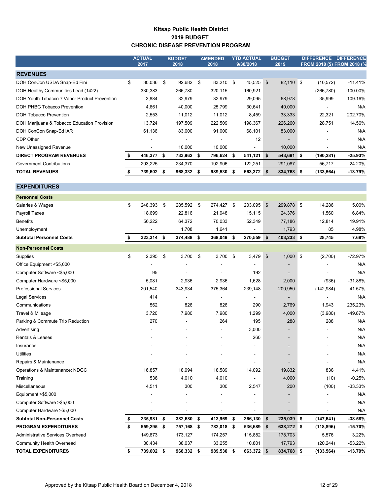## **Kitsap Public Health District 2019 BUDGET CHRONIC DISEASE PREVENTION PROGRAM**

|                                              | <b>ACTUAL</b><br>2017 |      | <b>BUDGET</b><br>2018    | <b>AMENDED</b><br>2018 |     | <b>YTD ACTUAL</b><br>9/30/2018 |                | <b>BUDGET</b><br>2019    | DIFFERENCE DIFFERENCE<br>FROM 2018 (\$) FROM 2018 (% |            |
|----------------------------------------------|-----------------------|------|--------------------------|------------------------|-----|--------------------------------|----------------|--------------------------|------------------------------------------------------|------------|
| <b>REVENUES</b>                              |                       |      |                          |                        |     |                                |                |                          |                                                      |            |
| DOH ConCon USDA Snap-Ed Fini                 | \$<br>30,036          | \$   | 92,682                   | \$<br>83,210 \$        |     | 45,525                         | $\mathfrak{S}$ | 82,110 \$                | (10, 572)                                            | $-11.41%$  |
| DOH Healthy Communities Lead (1422)          | 330,383               |      | 266,780                  | 320,115                |     | 160,921                        |                | $\blacksquare$           | (266, 780)                                           | -100.00%   |
| DOH Youth Tobacco 7 Vapor Product Prevention | 3,884                 |      | 32,979                   | 32,979                 |     | 29,095                         |                | 68,978                   | 35,999                                               | 109.16%    |
| DOH PHBG Tobacco Prevention                  | 4,661                 |      | 40,000                   | 25,799                 |     | 30,641                         |                | 40,000                   |                                                      | N/A        |
| <b>DOH Tobacco Prevention</b>                | 2,553                 |      | 11,012                   | 11,012                 |     | 8,459                          |                | 33,333                   | 22,321                                               | 202.70%    |
| DOH Marijuana & Tobacco Education Provision  | 13,724                |      | 197,509                  | 222,509                |     | 198,367                        |                | 226,260                  | 28,751                                               | 14.56%     |
| DOH ConCon Snap-Ed IAR                       | 61,136                |      | 83,000                   | 91,000                 |     | 68,101                         |                | 83,000                   |                                                      | N/A        |
| CDP Other                                    |                       |      |                          | $\blacksquare$         |     | 12                             |                | $\blacksquare$           |                                                      | N/A        |
| New Unassigned Revenue                       |                       |      | 10,000                   | 10,000                 |     |                                |                | 10,000                   |                                                      | N/A        |
| <b>DIRECT PROGRAM REVENUES</b>               | \$<br>446,377         | - \$ | 733,962 \$               | 796,624 \$             |     | 541,121 \$                     |                | 543,681 \$               | (190, 281)                                           | -25.93%    |
| Government Contributions                     | 293,225               |      | 234,370                  | 192,906                |     | 122,251                        |                | 291,087                  | 56,717                                               | 24.20%     |
| <b>TOTAL REVENUES</b>                        | \$<br>739,602 \$      |      | 968,332                  | \$<br>989,530 \$       |     | 663,372 \$                     |                | 834,768 \$               | (133, 564)                                           | $-13.79%$  |
| <b>EXPENDITURES</b>                          |                       |      |                          |                        |     |                                |                |                          |                                                      |            |
| <b>Personnel Costs</b>                       |                       |      |                          |                        |     |                                |                |                          |                                                      |            |
| Salaries & Wages                             | \$<br>248,393         | -\$  | 285,592                  | \$<br>274,427 \$       |     | 203,095                        | $\frac{3}{2}$  | 299,878 \$               | 14,286                                               | 5.00%      |
| Payroll Taxes                                | 18,699                |      | 22,816                   | 21,948                 |     | 15,115                         |                | 24,376                   | 1,560                                                | 6.84%      |
| <b>Benefits</b>                              | 56,222                |      | 64,372                   | 70,033                 |     | 52,349                         |                | 77,186                   | 12,814                                               | 19.91%     |
| Unemployment                                 |                       |      | 1,708                    | 1,641                  |     |                                |                | 1,793                    | 85                                                   | 4.98%      |
| <b>Subtotal Personnel Costs</b>              | \$<br>323,314         | \$   | 374,488                  | \$<br>368,049          | -\$ | 270,559                        | \$             | 403,233 \$               | 28,745                                               | 7.68%      |
| <b>Non-Personnel Costs</b>                   |                       |      |                          |                        |     |                                |                |                          |                                                      |            |
| Supplies                                     | \$<br>2,395           | \$   | 3,700                    | \$<br>$3,700$ \$       |     | 3,479                          | $\frac{3}{2}$  | $1,000$ \$               | (2,700)                                              | $-72.97%$  |
| Office Equipment <\$5,000                    |                       |      |                          |                        |     |                                |                |                          |                                                      | N/A        |
| Computer Software <\$5,000                   | 95                    |      |                          |                        |     | 192                            |                |                          |                                                      | N/A        |
| Computer Hardware <\$5,000                   | 5,081                 |      | 2,936                    | 2,936                  |     | 1,628                          |                | 2,000                    | (936)                                                | $-31.88%$  |
| <b>Professional Services</b>                 | 201,540               |      | 343,934                  | 375,364                |     | 239,148                        |                | 200,950                  | (142, 984)                                           | -41.57%    |
| Legal Services                               | 414                   |      | $\overline{\phantom{a}}$ | $\blacksquare$         |     |                                |                | $\blacksquare$           | ۰                                                    | N/A        |
| Communications                               | 562                   |      | 826                      | 826                    |     | 290                            |                | 2,769                    | 1,943                                                | 235.23%    |
| Travel & Mileage                             | 3,720                 |      | 7,980                    | 7,980                  |     | 1,299                          |                | 4,000                    | (3,980)                                              | -49.87%    |
| Parking & Commute Trip Reduction             | 270                   |      |                          | 264                    |     | 195                            |                | 288                      | 288                                                  | N/A        |
| Advertising                                  |                       |      |                          |                        |     | 3,000                          |                | $\overline{\phantom{a}}$ |                                                      | N/A        |
| Rentals & Leases                             |                       |      |                          |                        |     | 260                            |                |                          |                                                      | N/A        |
| Insurance                                    |                       |      |                          |                        |     |                                |                |                          |                                                      | N/A        |
| <b>Utilities</b>                             |                       |      |                          |                        |     |                                |                |                          |                                                      | N/A        |
| Repairs & Maintenance                        |                       |      |                          |                        |     |                                |                |                          |                                                      | N/A        |
| Operations & Maintenance: NDGC               | 16,857                |      | 18,994                   | 18,589                 |     | 14,092                         |                | 19,832                   | 838                                                  | 4.41%      |
| Training                                     | 536                   |      | 4,010                    | 4,010                  |     |                                |                | 4,000                    | (10)                                                 | $-0.25%$   |
| Miscellaneous                                | 4,511                 |      | 300                      | 300                    |     | 2,547                          |                | 200                      | (100)                                                | $-33.33\%$ |
| Equipment $> $5,000$                         |                       |      |                          |                        |     |                                |                |                          |                                                      | N/A        |
| Computer Software > \$5,000                  |                       |      |                          |                        |     |                                |                |                          |                                                      | N/A        |
| Computer Hardware >\$5,000                   |                       |      |                          |                        |     |                                |                |                          |                                                      | N/A        |
| <b>Subtotal Non-Personnel Costs</b>          | \$<br>235,981         | \$   | 382,680                  | \$<br>413,969 \$       |     | 266,130                        | - \$           | 235,039 \$               | (147, 641)                                           | -38.58%    |
| <b>PROGRAM EXPENDITURES</b>                  | \$<br>559,295         | - \$ | 757,168                  | \$<br>782,018 \$       |     | 536,689                        | \$             | 638,272 \$               | (118, 896)                                           | $-15.70%$  |
| Administrative Services Overhead             | 149,873               |      | 173,127                  | 174,257                |     | 115,882                        |                | 178,703                  | 5,576                                                | 3.22%      |
| Community Health Overhead                    | 30,434                |      | 38,037                   | 33,255                 |     | 10,801                         |                | 17,793                   | (20, 244)                                            | $-53.22%$  |
| <b>TOTAL EXPENDITURES</b>                    | \$<br>739,602 \$      |      | 968,332 \$               | 989,530 \$             |     | 663,372 \$                     |                | 834,768 \$               | (133, 564)                                           | $-13.79%$  |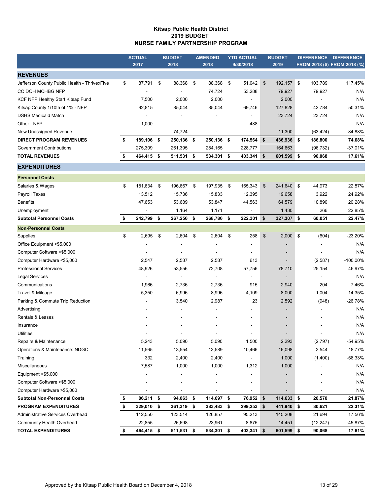#### **Kitsap Public Health District 2019 BUDGET NURSE FAMILY PARTNERSHIP PROGRAM**

|                                              | <b>ACTUAL</b>    |     | <b>BUDGET</b> |      | <b>AMENDED</b> |      | <b>YTD ACTUAL</b>        | <b>BUDGET</b>    |           | DIFFERENCE DIFFERENCE        |
|----------------------------------------------|------------------|-----|---------------|------|----------------|------|--------------------------|------------------|-----------|------------------------------|
|                                              | 2017             |     | 2018          |      | 2018           |      | 9/30/2018                | 2019             |           | FROM 2018 (\$) FROM 2018 (%) |
| <b>REVENUES</b>                              |                  |     |               |      |                |      |                          |                  |           |                              |
| Jefferson County Public Health - ThrivexFive | \$<br>87,791     | -\$ | 88,368        | - \$ | 88,368         | \$   | 51,042                   | \$<br>192,157 \$ | 103,789   | 117.45%                      |
| CC DOH MCHBG NFP                             |                  |     |               |      | 74,724         |      | 53,288                   | 79,927           | 79,927    | N/A                          |
| KCF NFP Healthy Start Kitsap Fund            | 7,500            |     | 2,000         |      | 2,000          |      |                          | 2,000            |           | N/A                          |
| Kitsap County 1/10th of 1% - NFP             | 92,815           |     | 85,044        |      | 85,044         |      | 69,746                   | 127,828          | 42,784    | 50.31%                       |
| <b>DSHS Medicaid Match</b>                   |                  |     |               |      |                |      |                          | 23,724           | 23,724    | N/A                          |
| Other - NFP                                  | 1,000            |     |               |      |                |      | 488                      |                  |           | N/A                          |
| New Unassigned Revenue                       | $\blacksquare$   |     | 74,724        |      | $\blacksquare$ |      |                          | 11,300           | (63, 424) | $-84.88%$                    |
| <b>DIRECT PROGRAM REVENUES</b>               | \$<br>189,106 \$ |     | 250,136 \$    |      | 250,136        | - \$ | 174,564                  | \$<br>436,936 \$ | 186,800   | 74.68%                       |
| Government Contributions                     | 275,309          |     | 261,395       |      | 284,165        |      | 228,777                  | 164,663          | (96, 732) | -37.01%                      |
| <b>TOTAL REVENUES</b>                        | \$<br>464,415 \$ |     | 511,531 \$    |      | 534,301 \$     |      | 403,341                  | \$<br>601,599 \$ | 90,068    | 17.61%                       |
| <b>EXPENDITURES</b>                          |                  |     |               |      |                |      |                          |                  |           |                              |
| <b>Personnel Costs</b>                       |                  |     |               |      |                |      |                          |                  |           |                              |
| Salaries & Wages                             | \$<br>181,634 \$ |     | 196,667 \$    |      | 197,935 \$     |      | 165,343                  | \$<br>241,640 \$ | 44,973    | 22.87%                       |
| Payroll Taxes                                | 13,512           |     | 15,736        |      | 15,833         |      | 12,395                   | 19,658           | 3,922     | 24.92%                       |
| <b>Benefits</b>                              | 47,653           |     | 53,689        |      | 53,847         |      | 44,563                   | 64,579           | 10,890    | 20.28%                       |
| Unemployment                                 |                  |     | 1,164         |      | 1,171          |      |                          | 1,430            | 266       | 22.85%                       |
| <b>Subtotal Personnel Costs</b>              | \$<br>242,799    | \$  | 267,256 \$    |      | 268,786 \$     |      | 222,301                  | \$<br>327,307 \$ | 60,051    | 22.47%                       |
| <b>Non-Personnel Costs</b>                   |                  |     |               |      |                |      |                          |                  |           |                              |
| Supplies                                     | \$<br>2,695      | \$  | 2,604         | \$   | 2,604          | \$   | 258                      | \$<br>$2,000$ \$ | (604)     | $-23.20%$                    |
| Office Equipment <\$5,000                    |                  |     |               |      |                |      |                          |                  |           | N/A                          |
| Computer Software <\$5,000                   |                  |     |               |      |                |      |                          |                  |           | N/A                          |
| Computer Hardware <\$5,000                   | 2,547            |     | 2,587         |      | 2,587          |      | 613                      |                  | (2,587)   | $-100.00\%$                  |
| <b>Professional Services</b>                 | 48,926           |     | 53,556        |      | 72,708         |      | 57,756                   | 78,710           | 25,154    | 46.97%                       |
| <b>Legal Services</b>                        |                  |     |               |      |                |      |                          |                  |           | N/A                          |
| Communications                               | 1,966            |     | 2,736         |      | 2,736          |      | 915                      | 2,940            | 204       | 7.46%                        |
| Travel & Mileage                             | 5,350            |     | 6,996         |      | 8,996          |      | 4,109                    | 8,000            | 1,004     | 14.35%                       |
| Parking & Commute Trip Reduction             |                  |     | 3,540         |      | 2,987          |      | 23                       | 2,592            | (948)     | -26.78%                      |
| Advertising                                  |                  |     |               |      |                |      |                          |                  |           | N/A                          |
| Rentals & Leases                             |                  |     |               |      |                |      |                          |                  |           | N/A                          |
| Insurance                                    |                  |     |               |      |                |      |                          |                  |           | N/A                          |
| Utilities                                    |                  |     |               |      |                |      |                          |                  |           | N/A                          |
| Repairs & Maintenance                        | 5,243            |     | 5,090         |      | 5,090          |      | 1,500                    | 2,293            | (2,797)   | -54.95%                      |
| Operations & Maintenance: NDGC               | 11,565           |     | 13,554        |      | 13,589         |      | 10,466                   | 16,098           | 2,544     | 18.77%                       |
| Training                                     | 332              |     | 2,400         |      | 2,400          |      |                          | 1,000            | (1,400)   | -58.33%                      |
| Miscellaneous                                | 7,587            |     | 1,000         |      | 1,000          |      | 1,312                    | 1,000            |           | N/A                          |
| Equipment > \$5,000                          |                  |     |               |      |                |      |                          |                  |           | N/A                          |
| Computer Software > \$5,000                  |                  |     |               |      |                |      | $\overline{\phantom{a}}$ |                  |           | N/A                          |
| Computer Hardware >\$5,000                   |                  |     |               |      |                |      |                          |                  |           | N/A                          |
| <b>Subtotal Non-Personnel Costs</b>          | \$<br>86,211     | \$  | 94,063        | \$   | 114,697        | \$   | 76,952                   | \$<br>114,633 \$ | 20,570    | 21.87%                       |
| <b>PROGRAM EXPENDITURES</b>                  | \$<br>329,010 \$ |     | 361,319 \$    |      | 383,483        | - \$ | 299,253                  | \$<br>441,940 \$ | 80,621    | 22.31%                       |
| Administrative Services Overhead             | 112,550          |     | 123,514       |      | 126,857        |      | 95,213                   | 145,208          | 21,694    | 17.56%                       |
| Community Health Overhead                    | 22,855           |     | 26,698        |      | 23,961         |      | 8,875                    | 14,451           | (12, 247) | -45.87%                      |
| <b>TOTAL EXPENDITURES</b>                    | \$<br>464,415 \$ |     | 511,531 \$    |      | 534,301 \$     |      | 403,341 \$               | 601,599 \$       | 90,068    | 17.61%                       |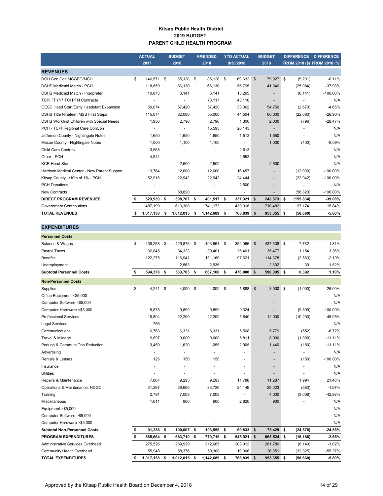#### **Kitsap Public Health District 2019 BUDGET PARENT CHILD HEALTH PROGRAM**

|                                              | <b>ACTUAL</b>            |    | <b>BUDGET</b> | <b>AMENDED</b>  |      | <b>YTD ACTUAL</b>        | <b>BUDGET</b>            | <b>DIFFERENCE</b> | <b>DIFFERENCE</b>            |
|----------------------------------------------|--------------------------|----|---------------|-----------------|------|--------------------------|--------------------------|-------------------|------------------------------|
|                                              | 2017                     |    | 2018          | 2018            |      | 9/30/2018                | 2019                     |                   | FROM 2018 (\$) FROM 2018 (%) |
| <b>REVENUES</b>                              |                          |    |               |                 |      |                          |                          |                   |                              |
| DOH Con Con MCGBG/MCH                        | \$<br>146,571            | \$ | 85,128 \$     | 85,128 \$       |      | 69,632                   | \$<br>79,927 \$          | (5,201)           | $-6.11%$                     |
| DSHS Medicaid Match - PCH                    | 118.859                  |    | 66,130        | 66.130          |      | 56,795                   | 41,046                   | (25,084)          | $-37.93%$                    |
| DSHS Medicaid Match - Interpreter            | 10,873                   |    | 6,141         | 6,141           |      | 13,295                   | $\overline{\phantom{a}}$ | (6, 141)          | $-100.00\%$                  |
| <b>TCPI FFY17 TCI PTN Contracts</b>          | $\overline{\phantom{a}}$ |    |               | 73,117          |      | 43,110                   | $\overline{\phantom{a}}$ |                   | N/A                          |
| OESD Head Start/Early Headstart Expansion    | 59,074                   |    | 57,420        | 57,420          |      | 33,062                   | 54,750                   | (2,670)           | $-4.65%$                     |
| DSHS Title Nineteen MSS First Steps          | 115,074                  |    | 82,080        | 55,000          |      | 44,504                   | 60,000                   | (22,080)          | $-26.90%$                    |
| DSHS Workfirst Children with Special Needs   | 1,950                    |    | 2,796         | 2,796           |      | 1,300                    | 2,000                    | (796)             | $-28.47%$                    |
| PCH - TCPI Regional Care ConCon              |                          |    |               | 15,593          |      | 26,143                   | $\overline{\phantom{a}}$ |                   | N/A                          |
| Jefferson County - Nightingale Notes         | 1,650                    |    | 1,650         | 1,650           |      | 1,513                    | 1,650                    | ٠                 | N/A                          |
| Mason County - Nightingale Notes             | 1,000                    |    | 1,100         | 1,100           |      |                          | 1,000                    | (100)             | $-9.09%$                     |
| <b>Child Care Centers</b>                    | 3,668                    |    |               | ٠               |      | 2,613                    | $\overline{\phantom{a}}$ |                   | N/A                          |
| Other - PCH                                  | 4,541                    |    |               |                 |      | 2,553                    | $\overline{\phantom{a}}$ |                   | N/A                          |
| <b>KCR Head Start</b>                        |                          |    | 2,500         | 2,500           |      |                          | 2,500                    |                   | N/A                          |
| Harrison Medical Center - New Parent Support | 13,764                   |    | 12,000        | 12,000          |      | 16,457                   | $\overline{\phantom{a}}$ | (12,000)          | $-100.00\%$                  |
| Kitsap County 1/10th of 1% - PCH             | 52,915                   |    | 22,942        | 22,942          |      | 24,444                   | $\overline{\phantom{a}}$ | (22, 942)         | $-100.00\%$                  |
| <b>PCH Donations</b>                         |                          |    |               |                 |      | 2,500                    | ۰.                       |                   | N/A                          |
| <b>New Contracts</b>                         | $\blacksquare$           |    | 58,820        | ٠               |      | $\overline{\phantom{a}}$ | $\overline{\phantom{a}}$ | (58, 820)         | $-100.00\%$                  |
| <b>DIRECT PROGRAM REVENUES</b>               | 529,939                  | \$ | 398,707 \$    | 401,517 \$      |      | 337,921                  | \$<br>242,873 \$         | (155, 834)        | $-39.08%$                    |
| <b>Government Contributions</b>              | 487,199                  |    | 613,308       | 741,172         |      | 430,918                  | 710,482                  | 97,174            | 15.84%                       |
| <b>TOTAL REVENUES</b>                        | 1,017,138                | s  | 1,012,015     | \$<br>1,142,689 | - \$ | 768,839                  | \$<br>953,355 \$         | (58, 660)         | $-5.80%$                     |

| <b>EXPENDITURES</b>                 |                 |                  |      |                      |      |                          |               |                          |                      |             |
|-------------------------------------|-----------------|------------------|------|----------------------|------|--------------------------|---------------|--------------------------|----------------------|-------------|
| <b>Personnel Costs</b>              |                 |                  |      |                      |      |                          |               |                          |                      |             |
| Salaries & Wages                    | \$<br>439,258   | \$<br>429,876 \$ |      | 493,664 \$           |      | 352,066                  | $\sqrt[6]{3}$ | 437,638 \$               | 7,762                | 1.81%       |
| Payroll Taxes                       | 32,845          | 34,323           |      | 39,401               |      | 26,401                   |               | 35,477                   | 1,154                | 3.36%       |
| <b>Benefits</b>                     | 122,275         | 116,941          |      | 131,160              |      | 97,621                   |               | 114,378                  | (2, 563)             | $-2.19%$    |
| Unemployment                        | ٠               | 2,563            |      | 2,935                |      | ÷                        |               | 2,602                    | 39                   | 1.52%       |
| <b>Subtotal Personnel Costs</b>     | \$<br>594,378   | \$<br>583,703 \$ |      | 667,160 \$           |      | 476,088                  | $\mathbf{s}$  | 590,095 \$               | 6,392                | 1.10%       |
| <b>Non-Personnel Costs</b>          |                 |                  |      |                      |      |                          |               |                          |                      |             |
| Supplies                            | \$<br>4,241     | \$<br>$4,000$ \$ |      | 4,000                | \$   | 1,888                    | $\mathsf{\$}$ | $3,000$ \$               | (1,000)              | $-25.00%$   |
| Office Equipment <\$5,000           |                 |                  |      |                      |      |                          |               |                          |                      | N/A         |
| Computer Software <\$5,000          |                 |                  |      | $\ddot{\phantom{1}}$ |      |                          |               |                          | $\ddot{\phantom{1}}$ | N/A         |
| Computer Hardware <\$5,000          | 5,878           | 9,899            |      | 9,899                |      | 9,324                    |               | $\overline{\phantom{a}}$ | (9,899)              | $-100.00\%$ |
| <b>Professional Services</b>        | 16,804          | 22,200           |      | 22,200               |      | 5,640                    |               | 12,000                   | (10, 200)            | -45.95%     |
| <b>Legal Services</b>               | 756             |                  |      |                      |      |                          |               |                          |                      | N/A         |
| Communications                      | 6,763           | 6,331            |      | 6,331                |      | 5,508                    |               | 5,779                    | (552)                | $-8.72%$    |
| Travel & Mileage                    | 9,697           | 9,000            |      | 9,000                |      | 5,811                    |               | 8,000                    | (1,000)              | $-11.11%$   |
| Parking & Commute Trip Reduction    | 3,459           | 1,620            |      | 1,055                |      | 2,905                    |               | 1,440                    | (180)                | $-11.11%$   |
| Advertising                         |                 |                  |      | $\blacksquare$       |      | ٠                        |               |                          |                      | N/A         |
| Rentals & Leases                    | 125             | 150              |      | 150                  |      |                          |               |                          | (150)                | $-100.00\%$ |
| Insurance                           |                 |                  |      | $\overline{a}$       |      |                          |               | $\overline{\phantom{a}}$ |                      | N/A         |
| <b>Utilities</b>                    |                 |                  |      |                      |      |                          |               |                          |                      | N/A         |
| Repairs & Maintenance               | 7,864           | 9,293            |      | 9,293                |      | 11,788                   |               | 11,287                   | 1,994                | 21.46%      |
| Operations & Maintenance: NDGC      | 31,297          | 29,606           |      | 33,720               |      | 24,149                   |               | 29,023                   | (583)                | $-1.97%$    |
| Training                            | 2,791           | 7,008            |      | 7,008                |      | $\overline{\phantom{a}}$ |               | 4,000                    | (3,008)              | -42.92%     |
| Miscellaneous                       | 1,611           | 900              |      | 900                  |      | 2,820                    |               | 900                      |                      | N/A         |
| Equipment >\$5,000                  |                 |                  |      | $\blacksquare$       |      |                          |               | $\blacksquare$           |                      | N/A         |
| Computer Software >\$5,000          |                 |                  |      |                      |      |                          |               | $\blacksquare$           |                      | N/A         |
| Computer Hardware >\$5,000          |                 |                  |      |                      |      |                          |               |                          |                      | N/A         |
| <b>Subtotal Non-Personnel Costs</b> | \$<br>91,286    | \$<br>100,007 \$ |      | 103,556              | - \$ | 69,833                   | \$            | 75,429 \$                | (24, 578)            | $-24.58%$   |
| PROGRAM EXPENDITURES                | \$<br>685,664   | \$<br>683,710 \$ |      | 770,716 \$           |      | 545,921                  | \$            | 665,524 \$               | (18, 186)            | $-2.66%$    |
| Administrative Services Overhead    | 275,526         | 269,929          |      | 312,665              |      | 203,912                  |               | 261,780                  | (8, 149)             | $-3.02%$    |
| Community Health Overhead           | 55,948          | 58,376           |      | 59,308               |      | 19,006                   |               | 26,051                   | (32, 325)            | $-55.37%$   |
| <b>TOTAL EXPENDITURES</b>           | \$<br>1,017,138 | \$<br>1,012,015  | - \$ | 1,142,689            | - \$ | 768,839                  | \$            | 953,355 \$               | (58, 660)            | $-5.80%$    |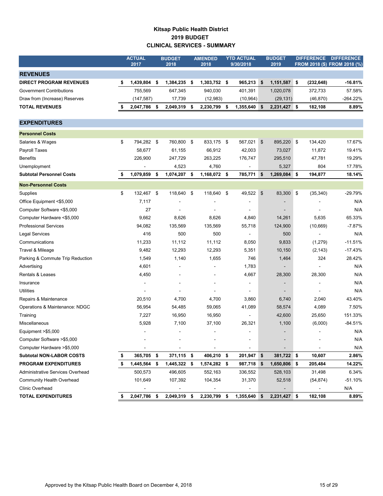## **Kitsap Public Health District 2019 BUDGET CLINICAL SERVICES - SUMMARY**

|                                  | <b>ACTUAL</b>    |      | <b>BUDGET</b>  |     | <b>AMENDED</b> | <b>YTD ACTUAL</b> |               | <b>BUDGET</b> |     | <b>DIFFERENCE</b> | <b>DIFFERENCE</b>            |
|----------------------------------|------------------|------|----------------|-----|----------------|-------------------|---------------|---------------|-----|-------------------|------------------------------|
|                                  | 2017             |      | 2018           |     | 2018           | 9/30/2018         |               | 2019          |     |                   | FROM 2018 (\$) FROM 2018 (%) |
| <b>REVENUES</b>                  |                  |      |                |     |                |                   |               |               |     |                   |                              |
| <b>DIRECT PROGRAM REVENUES</b>   | \$<br>1,439,804  | -\$  | 1,384,235 \$   |     | 1,303,752 \$   | 965,213           | \$            | 1,151,587 \$  |     | (232, 648)        | -16.81%                      |
| <b>Government Contributions</b>  | 755,569          |      | 647,345        |     | 940,030        | 401,391           |               | 1,020,078     |     | 372,733           | 57.58%                       |
| Draw from (Increase) Reserves    | (147,587)        |      | 17,739         |     | (12,983)       | (10, 964)         |               | (29, 131)     |     | (46, 870)         | $-264.22%$                   |
| <b>TOTAL REVENUES</b>            | 2,047,786        | \$   | 2,049,319      | \$  | 2,230,799      | \$<br>1,355,640   | \$            | 2,231,427 \$  |     | 182,108           | 8.89%                        |
|                                  |                  |      |                |     |                |                   |               |               |     |                   |                              |
| <b>EXPENDITURES</b>              |                  |      |                |     |                |                   |               |               |     |                   |                              |
| <b>Personnel Costs</b>           |                  |      |                |     |                |                   |               |               |     |                   |                              |
| Salaries & Wages                 | \$<br>794,282 \$ |      | 760,800 \$     |     | 833,175 \$     | 567,021           | $\frac{3}{2}$ | 895,220       | \$  | 134,420           | 17.67%                       |
| Payroll Taxes                    | 58,677           |      | 61,155         |     | 66,912         | 42,003            |               | 73,027        |     | 11,872            | 19.41%                       |
| <b>Benefits</b>                  | 226,900          |      | 247,729        |     | 263,225        | 176,747           |               | 295,510       |     | 47,781            | 19.29%                       |
| Unemployment                     |                  |      | 4,523          |     | 4,760          |                   |               | 5,327         |     | 804               | 17.78%                       |
| <b>Subtotal Personnel Costs</b>  | 1,079,859        | \$   | 1,074,207      | -\$ | 1,168,072      | \$<br>785,771     | \$            | 1,269,084     | -\$ | 194,877           | 18.14%                       |
| <b>Non-Personnel Costs</b>       |                  |      |                |     |                |                   |               |               |     |                   |                              |
| Supplies                         | \$<br>132,467 \$ |      | 118,640        | -\$ | 118,640        | \$<br>49,522      | \$            | 83,300 \$     |     | (35, 340)         | $-29.79%$                    |
| Office Equipment <\$5,000        | 7,117            |      |                |     |                |                   |               |               |     |                   | N/A                          |
| Computer Software <\$5,000       | 27               |      |                |     |                |                   |               |               |     |                   | N/A                          |
| Computer Hardware <\$5,000       | 9,662            |      | 8,626          |     | 8,626          | 4,840             |               | 14,261        |     | 5,635             | 65.33%                       |
| <b>Professional Services</b>     | 94,082           |      | 135,569        |     | 135,569        | 55,718            |               | 124,900       |     | (10, 669)         | $-7.87%$                     |
| <b>Legal Services</b>            | 416              |      | 500            |     | 500            |                   |               | 500           |     |                   | N/A                          |
| Communications                   | 11,233           |      | 11,112         |     | 11,112         | 8,050             |               | 9,833         |     | (1,279)           | $-11.51%$                    |
| Travel & Mileage                 | 9,482            |      | 12,293         |     | 12,293         | 5,351             |               | 10,150        |     | (2, 143)          | $-17.43%$                    |
| Parking & Commute Trip Reduction | 1,549            |      | 1,140          |     | 1,655          | 746               |               | 1,464         |     | 324               | 28.42%                       |
| Advertising                      | 4,601            |      |                |     |                | 1,783             |               |               |     |                   | N/A                          |
| Rentals & Leases                 | 4,450            |      |                |     |                | 4,667             |               | 28,300        |     | 28,300            | N/A                          |
| Insurance                        |                  |      |                |     |                |                   |               |               |     |                   | N/A                          |
| Utilities                        |                  |      |                |     |                |                   |               |               |     |                   | N/A                          |
| Repairs & Maintenance            | 20,510           |      | 4,700          |     | 4,700          | 3,860             |               | 6,740         |     | 2,040             | 43.40%                       |
| Operations & Maintenance: NDGC   | 56,954           |      | 54,485         |     | 59,065         | 41,089            |               | 58,574        |     | 4,089             | 7.50%                        |
| Training                         | 7,227            |      | 16,950         |     | 16,950         | $\overline{a}$    |               | 42,600        |     | 25,650            | 151.33%                      |
| Miscellaneous                    | 5,928            |      | 7,100          |     | 37,100         | 26,321            |               | 1,100         |     | (6,000)           | $-84.51%$                    |
| Equipment >\$5,000               |                  |      | $\overline{a}$ |     |                |                   |               |               |     |                   | N/A                          |
| Computer Software > \$5,000      |                  |      |                |     |                |                   |               |               |     |                   | N/A                          |
| Computer Hardware >\$5,000       |                  |      |                |     |                |                   |               |               |     |                   | N/A                          |
| <b>Subtotal NON-LABOR COSTS</b>  | \$<br>365,705 \$ |      | 371,115 \$     |     | 406,210        | \$<br>201,947 \$  |               | 381,722 \$    |     | 10,607            | 2.86%                        |
| <b>PROGRAM EXPENDITURES</b>      | \$<br>1,445,564  | \$   | 1,445,322 \$   |     | 1,574,282 \$   | 987,718           | -\$           | 1,650,806     | -\$ | 205,484           | 14.22%                       |
| Administrative Services Overhead | 500,573          |      | 496,605        |     | 552,163        | 336,552           |               | 528,103       |     | 31,498            | 6.34%                        |
| <b>Community Health Overhead</b> | 101,649          |      | 107,392        |     | 104,354        | 31,370            |               | 52,518        |     | (54, 874)         | $-51.10%$                    |
| <b>Clinic Overhead</b>           |                  |      |                |     |                |                   |               |               |     |                   | N/A                          |
| <b>TOTAL EXPENDITURES</b>        | \$<br>2,047,786  | - \$ | 2,049,319 \$   |     | 2,230,799      | \$<br>1,355,640   | - \$          | 2,231,427 \$  |     | 182,108           | 8.89%                        |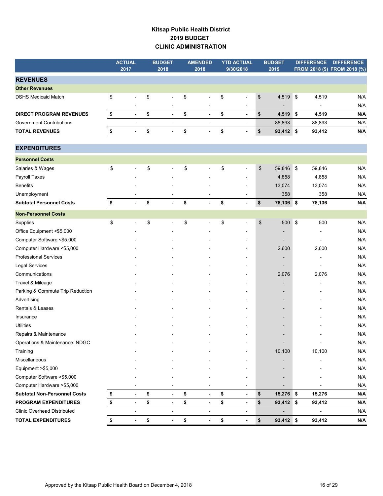## **Kitsap Public Health District 2019 BUDGET CLINIC ADMINISTRATION**

|                                     | <b>ACTUAL</b><br>2017          | <b>BUDGET</b><br>2018          | <b>AMENDED</b><br>2018 | <b>YTD ACTUAL</b><br>9/30/2018 | <b>BUDGET</b><br>2019        |            | <b>DIFFERENCE</b>        | <b>DIFFERENCE</b><br>FROM 2018 (\$) FROM 2018 (%) |
|-------------------------------------|--------------------------------|--------------------------------|------------------------|--------------------------------|------------------------------|------------|--------------------------|---------------------------------------------------|
| <b>REVENUES</b>                     |                                |                                |                        |                                |                              |            |                          |                                                   |
| <b>Other Revenues</b>               |                                |                                |                        |                                |                              |            |                          |                                                   |
| <b>DSHS Medicaid Match</b>          | \$<br>$\overline{a}$           | \$<br>$\overline{a}$           | \$<br>$\overline{a}$   | \$<br>$\overline{\phantom{a}}$ | \$<br>4,519 \$               |            | 4,519                    | N/A                                               |
|                                     |                                |                                |                        | $\blacksquare$                 | $\overline{\phantom{a}}$     |            | $\overline{\phantom{a}}$ | N/A                                               |
| <b>DIRECT PROGRAM REVENUES</b>      | \$<br>$\overline{\phantom{a}}$ | \$<br>$\overline{\phantom{a}}$ | \$<br>$\blacksquare$   | \$<br>$\blacksquare$           | \$<br>4,519 \$               |            | 4,519                    | N/A                                               |
| <b>Government Contributions</b>     | $\overline{a}$                 | $\overline{a}$                 | $\overline{a}$         | $\overline{\phantom{a}}$       | 88,893                       |            | 88,893                   | N/A                                               |
| <b>TOTAL REVENUES</b>               | \$<br>$\blacksquare$           | \$<br>$\overline{\phantom{a}}$ | \$<br>$\overline{a}$   | \$<br>$\blacksquare$           | \$<br>93,412 \$              |            | 93,412                   | N/A                                               |
| <b>EXPENDITURES</b>                 |                                |                                |                        |                                |                              |            |                          |                                                   |
| <b>Personnel Costs</b>              |                                |                                |                        |                                |                              |            |                          |                                                   |
| Salaries & Wages                    | \$                             | \$                             | \$                     | \$<br>÷,                       | \$<br>59,846 \$              |            | 59,846                   | N/A                                               |
| Payroll Taxes                       |                                |                                |                        | $\overline{a}$                 | 4,858                        |            | 4,858                    | N/A                                               |
| <b>Benefits</b>                     |                                |                                |                        |                                | 13,074                       |            | 13,074                   | N/A                                               |
| Unemployment                        |                                |                                | $\overline{a}$         | $\overline{\phantom{a}}$       | 358                          |            | 358                      | N/A                                               |
| <b>Subtotal Personnel Costs</b>     | \$<br>$\blacksquare$           | \$<br>$\blacksquare$           | \$<br>$\overline{a}$   | \$<br>$\overline{\phantom{a}}$ | \$<br>78,136 \$              |            | 78,136                   | N/A                                               |
| <b>Non-Personnel Costs</b>          |                                |                                |                        |                                |                              |            |                          |                                                   |
| Supplies                            | \$                             | \$                             | \$                     | \$<br>$\blacksquare$           | \$<br>500                    | $\sqrt{3}$ | 500                      | N/A                                               |
| Office Equipment <\$5,000           |                                |                                |                        |                                | $\overline{\phantom{0}}$     |            |                          | N/A                                               |
| Computer Software <\$5,000          |                                |                                |                        | $\blacksquare$                 | $\overline{\phantom{a}}$     |            | $\overline{\phantom{a}}$ | N/A                                               |
| Computer Hardware <\$5,000          |                                |                                |                        | $\blacksquare$                 | 2,600                        |            | 2,600                    | N/A                                               |
| <b>Professional Services</b>        |                                |                                |                        | $\overline{\phantom{a}}$       | $\overline{\phantom{0}}$     |            | $\blacksquare$           | N/A                                               |
| <b>Legal Services</b>               |                                |                                |                        |                                |                              |            |                          | N/A                                               |
| Communications                      |                                |                                |                        | $\overline{a}$                 | 2,076                        |            | 2,076                    | N/A                                               |
| Travel & Mileage                    |                                |                                |                        | $\blacksquare$                 | $\overline{\phantom{a}}$     |            |                          | N/A                                               |
| Parking & Commute Trip Reduction    |                                |                                |                        |                                | $\overline{\phantom{0}}$     |            |                          | N/A                                               |
| Advertising                         |                                |                                |                        | $\blacksquare$                 | $\overline{\phantom{a}}$     |            |                          | N/A                                               |
| Rentals & Leases                    |                                |                                |                        | $\blacksquare$                 | $\overline{\phantom{a}}$     |            |                          | N/A                                               |
| Insurance                           |                                |                                |                        | $\overline{\phantom{0}}$       | $\overline{\phantom{a}}$     |            |                          | N/A                                               |
| <b>Utilities</b>                    |                                |                                |                        | $\overline{\phantom{a}}$       | $\overline{\phantom{0}}$     |            |                          | N/A                                               |
| Repairs & Maintenance               |                                |                                |                        |                                |                              |            |                          | N/A                                               |
| Operations & Maintenance: NDGC      |                                |                                |                        |                                | $\qquad \qquad \blacksquare$ |            | $\overline{a}$           | N/A                                               |
| Training                            |                                |                                |                        |                                | 10,100                       |            | 10,100                   | N/A                                               |
| Miscellaneous                       |                                |                                |                        |                                |                              |            |                          | N/A                                               |
| Equipment >\$5,000                  |                                |                                |                        |                                |                              |            |                          | N/A                                               |
| Computer Software > \$5,000         |                                |                                |                        |                                |                              |            |                          | N/A                                               |
| Computer Hardware > \$5,000         |                                |                                |                        | $\overline{\phantom{a}}$       |                              |            |                          | N/A                                               |
| <b>Subtotal Non-Personnel Costs</b> | \$<br>$\blacksquare$           | \$                             | \$<br>$\blacksquare$   | \$<br>$\blacksquare$           | \$<br>15,276 \$              |            | 15,276                   | N/A                                               |
| <b>PROGRAM EXPENDITURES</b>         | \$<br>$\blacksquare$           | \$<br>$\blacksquare$           | \$<br>$\blacksquare$   | \$<br>$\blacksquare$           | \$<br>93,412 \$              |            | 93,412                   | N/A                                               |
| <b>Clinic Overhead Distributed</b>  |                                | $\overline{a}$                 | $\overline{a}$         | $\overline{a}$                 |                              |            |                          | N/A                                               |
| <b>TOTAL EXPENDITURES</b>           | \$<br>٠                        | \$<br>$\blacksquare$           | \$<br>$\blacksquare$   | \$<br>$\blacksquare$           | \$<br>93,412 \$              |            | 93,412                   | N/A                                               |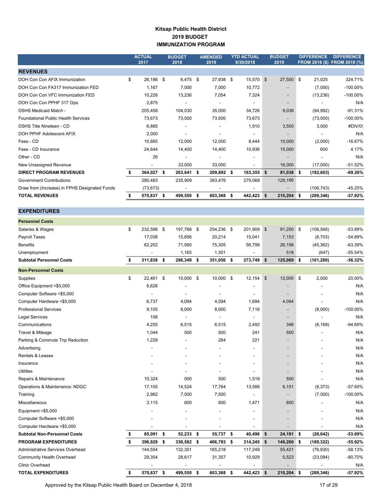#### **Kitsap Public Health District 2019 BUDGET IMMUNIZATION PROGRAM**

|                                               | <b>ACTUAL</b><br>2017 |      | <b>BUDGET</b><br>2018    |      | <b>AMENDED</b><br>2018 |   | <b>YTD ACTUAL</b><br>9/30/2018 |                | <b>BUDGET</b><br>2019    | <b>DIFFERENCE</b> | <b>DIFFERENCE</b><br>FROM 2018 (\$) FROM 2018 (%) |
|-----------------------------------------------|-----------------------|------|--------------------------|------|------------------------|---|--------------------------------|----------------|--------------------------|-------------------|---------------------------------------------------|
| <b>REVENUES</b>                               |                       |      |                          |      |                        |   |                                |                |                          |                   |                                                   |
| DOH Con Con AFIX Immunization                 | \$<br>26,186          | - \$ | 6,475 \$                 |      | 27,938 \$              |   | 15,570                         | $\mathfrak{L}$ | 27,500 \$                | 21,025            | 324.71%                                           |
| DOH Con Con FA317 Immunization FED            | 1,167                 |      | 7,000                    |      | 7,000                  |   | 10,772                         |                | $\overline{\phantom{a}}$ | (7,000)           | $-100.00\%$                                       |
| DOH Con Con VFC Immunization FED              | 10,228                |      | 13,236                   |      | 7,054                  |   | 7,324                          |                | $\overline{\phantom{a}}$ | (13, 236)         | $-100.00\%$                                       |
| DOH Con Con PPHF 317 Ops                      | 2,875                 |      |                          |      |                        |   |                                |                | $\overline{\phantom{a}}$ |                   | N/A                                               |
| <b>DSHS Medicaid Match -</b>                  | 205,458               |      | 104,030                  |      | 35,000                 |   | 34,726                         |                | 9,038                    | (94, 992)         | -91.31%                                           |
| <b>Foundational Public Health Services</b>    | 73,673                |      | 73,500                   |      | 73,500                 |   | 73,673                         |                | $\overline{\phantom{a}}$ | (73,500)          | $-100.00\%$                                       |
| DSHS Title Nineteen - CD                      | 6,885                 |      |                          |      |                        |   | 1,910                          |                | 3,500                    | 3,500             | #DIV/0!                                           |
| DOH PPHF Adolescent AFIX                      | 2,000                 |      | ٠                        |      |                        |   | ٠                              |                | $\overline{\phantom{a}}$ |                   | N/A                                               |
| Fees - CD                                     | 10,885                |      | 12,000                   |      | 12,000                 |   | 8,444                          |                | 10,000                   | (2,000)           | $-16.67%$                                         |
| Fees - CD Insurance                           | 24,644                |      | 14,400                   |      | 14,400                 |   | 10,936                         |                | 15,000                   | 600               | 4.17%                                             |
| Other - CD                                    | 26                    |      |                          |      |                        |   |                                |                | $\overline{\phantom{a}}$ |                   | N/A                                               |
| New Unassigned Revenue                        | ۰                     |      | 33,000                   |      | 33,000                 |   | ۰                              |                | 16,000                   | (17,000)          | $-51.52%$                                         |
| <b>DIRECT PROGRAM REVENUES</b>                | 364,027               | S    | 263,641 \$               |      | 209,892 \$             |   | 163,355                        | \$             | 81,038 \$                | (182, 603)        | $-69.26%$                                         |
| <b>Government Contributions</b>               | 280,483               |      | 235,909                  |      | 393,476                |   | 279,068                        |                | 129,166                  |                   |                                                   |
| Draw from (Increase) in FPHS Designated Funds | (73, 673)             |      | $\overline{\phantom{a}}$ |      |                        |   |                                |                | $\overline{\phantom{a}}$ | (106, 743)        | -45.25%                                           |
| <b>TOTAL REVENUES</b>                         | 570,837               | \$   | 499,550                  | - 56 | 603,368                | 5 | 442,423                        | \$             | 210,204 \$               | (289, 346)        | $-57.92%$                                         |

| <b>Personnel Costs</b>              |                  |     |            |                |     |                |                |                          |            |             |
|-------------------------------------|------------------|-----|------------|----------------|-----|----------------|----------------|--------------------------|------------|-------------|
| Salaries & Wages                    | \$<br>232,598 \$ |     | 197,768 \$ | 254,236 \$     |     | 201,909        | $\mathfrak{S}$ | 91,200 \$                | (106, 568) | -53.89%     |
| Payroll Taxes                       | 17,038           |     | 15,856     | 20,214         |     | 15,041         |                | 7,153                    | (8,703)    | $-54.89%$   |
| Benefits                            | 62,202           |     | 71,560     | 75,305         |     | 56,799         |                | 26,198                   | (45, 362)  | $-63.39%$   |
| Unemployment                        |                  |     | 1,165      | 1,301          |     |                |                | 518                      | (647)      | $-55.54%$   |
| <b>Subtotal Personnel Costs</b>     | \$<br>311,838    | \$  | 286,349 \$ | 351,056        | -\$ | 273,749        | \$             | 125,069 \$               | (161, 280) | $-56.32%$   |
| <b>Non-Personnel Costs</b>          |                  |     |            |                |     |                |                |                          |            |             |
| Supplies                            | \$<br>22.461     | \$  | 10,000 \$  | 10,000 \$      |     | 12,154         | \$             | 12,000 \$                | 2.000      | 20.00%      |
| Office Equipment <\$5,000           | 6,626            |     |            |                |     |                |                |                          |            | N/A         |
| Computer Software <\$5,000          |                  |     |            |                |     |                |                | -                        |            | N/A         |
| Computer Hardware <\$5,000          | 6,737            |     | 4,094      | 4,094          |     | 1,694          |                | 4,094                    |            | N/A         |
| <b>Professional Services</b>        | 9,105            |     | 8,000      | 8,000          |     | 7,116          |                | $\overline{\phantom{0}}$ | (8,000)    | $-100.00%$  |
| <b>Legal Services</b>               | 108              |     | ÷,         | $\blacksquare$ |     | $\blacksquare$ |                | -                        |            | N/A         |
| Communications                      | 4,255            |     | 6,515      | 6,515          |     | 2,492          |                | 346                      | (6, 169)   | $-94.69%$   |
| Travel & Mileage                    | 1,044            |     | 500        | 500            |     | 241            |                | 500                      |            | N/A         |
| Parking & Commute Trip Reduction    | 1,229            |     |            | 264            |     | 221            |                | -                        |            | N/A         |
| Advertising                         |                  |     |            |                |     |                |                | $\overline{\phantom{0}}$ |            | N/A         |
| Rentals & Leases                    |                  |     | ٠          |                |     |                |                | $\overline{\phantom{a}}$ |            | N/A         |
| Insurance                           |                  |     |            |                |     |                |                | $\overline{\phantom{0}}$ |            | N/A         |
| <b>Utilities</b>                    |                  |     |            |                |     |                |                | $\overline{\phantom{0}}$ |            | N/A         |
| Repairs & Maintenance               | 10,324           |     | 500        | 500            |     | 1,519          |                | 500                      |            | N/A         |
| Operations & Maintenance: NDGC      | 17,105           |     | 14,524     | 17,764         |     | 13,588         |                | 6,151                    | (8, 373)   | $-57.65%$   |
| Training                            | 2,982            |     | 7,500      | 7,500          |     |                |                |                          | (7,500)    | $-100.00\%$ |
| Miscellaneous                       | 3,115            |     | 600        | 600            |     | 1,471          |                | 600                      |            | N/A         |
| Equipment >\$5,000                  |                  |     |            |                |     |                |                | $\overline{\phantom{a}}$ |            | N/A         |
| Computer Software > \$5,000         |                  |     |            |                |     |                |                | $\overline{\phantom{a}}$ |            | N/A         |
| Computer Hardware > \$5,000         |                  |     | ÷,         |                |     |                |                | $\overline{a}$           |            | N/A         |
| <b>Subtotal Non-Personnel Costs</b> | \$<br>85,091     | \$  | 52,233     | \$<br>55,737   | \$  | 40,496         | \$             | 24,191 \$                | (28, 042)  | $-53.69%$   |
| <b>PROGRAM EXPENDITURES</b>         | \$<br>396,929    | \$  | 338,582 \$ | 406,793        | \$  | 314,245        | \$             | 149,260 \$               | (189, 322) | $-55.92\%$  |
| Administrative Services Overhead    | 144,554          |     | 132,351    | 165,218        |     | 117,249        |                | 55,421                   | (76, 930)  | $-58.13%$   |
| Community Health Overhead           | 29,354           |     | 28,617     | 31,357         |     | 10,929         |                | 5,523                    | (23,094)   | $-80.70%$   |
| <b>Clinic Overhead</b>              |                  |     |            |                |     |                |                |                          |            | N/A         |
| <b>TOTAL EXPENDITURES</b>           | \$<br>570,837    | -\$ | 499,550 \$ | 603,368 \$     |     | 442,423        | \$             | $210,204$ \$             | (289, 346) | $-57.92%$   |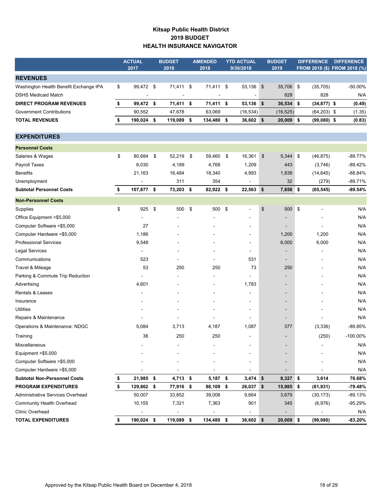## **Kitsap Public Health District 2019 BUDGET HEALTH INSURANCE NAVIGATOR**

|                                        | <b>ACTUAL</b><br>2017 |            | <b>BUDGET</b><br>2018 | <b>AMENDED</b><br>2018 | <b>YTD ACTUAL</b><br>9/30/2018 | <b>BUDGET</b><br>2019    | <b>DIFFERENCE</b> | <b>DIFFERENCE</b><br>FROM 2018 (\$) FROM 2018 (%) |
|----------------------------------------|-----------------------|------------|-----------------------|------------------------|--------------------------------|--------------------------|-------------------|---------------------------------------------------|
| <b>REVENUES</b>                        |                       |            |                       |                        |                                |                          |                   |                                                   |
| Washington Health Benefit Exchange IPA | \$<br>99,472 \$       |            | 71,411                | \$<br>71,411 \$        | 53,136 \$                      | 35,706 \$                | (35, 705)         | $-50.00%$                                         |
| <b>DSHS Medicaid Match</b>             |                       |            |                       |                        |                                | 828                      | 828               | N/A                                               |
| <b>DIRECT PROGRAM REVENUES</b>         | \$<br>99,472 \$       |            | 71,411 \$             | 71,411 \$              | $53,136$ \$                    | 36,534 \$                | $(34, 877)$ \$    | (0.49)                                            |
| <b>Government Contributions</b>        | 90,552                |            | 47,678                | 63,069                 | (16, 534)                      | (16, 525)                | $(64,203)$ \$     | (1.35)                                            |
| <b>TOTAL REVENUES</b>                  | \$<br>190,024 \$      |            | 119,089               | \$<br>134,480 \$       | 36,602 \$                      | $20,009$ \$              | $(99,080)$ \$     | (0.83)                                            |
| <b>EXPENDITURES</b>                    |                       |            |                       |                        |                                |                          |                   |                                                   |
| <b>Personnel Costs</b>                 |                       |            |                       |                        |                                |                          |                   |                                                   |
| Salaries & Wages                       | \$<br>80,684          | $\sqrt{3}$ | 52,219                | \$<br>59,460           | \$<br>16,361                   | \$<br>5,344 \$           | (46, 875)         | $-89.77%$                                         |
| Payroll Taxes                          | 6,030                 |            | 4,189                 | 4,768                  | 1,209                          | 443                      | (3,746)           | $-89.42%$                                         |
| <b>Benefits</b>                        | 21,163                |            | 16,484                | 18,340                 | 4,993                          | 1,839                    | (14, 645)         | -88.84%                                           |
| Unemployment                           |                       |            | 311                   | 354                    |                                | 32                       | (279)             | $-89.71%$                                         |
| <b>Subtotal Personnel Costs</b>        | \$<br>107,877 \$      |            | 73,203                | \$<br>82,922 \$        | 22,563 \$                      | $7,658$ \$               | (65, 545)         | $-89.54%$                                         |
| <b>Non-Personnel Costs</b>             |                       |            |                       |                        |                                |                          |                   |                                                   |
| Supplies                               | \$<br>925             | \$         | 500                   | \$<br>500              | \$                             | \$<br>500 \$             | $\overline{a}$    | N/A                                               |
| Office Equipment <\$5,000              |                       |            |                       |                        |                                |                          |                   | N/A                                               |
| Computer Software <\$5,000             | 27                    |            |                       |                        |                                |                          |                   | N/A                                               |
| Computer Hardware <\$5,000             | 1,186                 |            |                       |                        | $\blacksquare$                 | 1,200                    | 1,200             | N/A                                               |
| <b>Professional Services</b>           | 9,548                 |            |                       |                        | -                              | 6,000                    | 6,000             | N/A                                               |
| <b>Legal Services</b>                  | $\blacksquare$        |            |                       |                        | $\blacksquare$                 |                          | $\blacksquare$    | N/A                                               |
| Communications                         | 523                   |            |                       |                        | 531                            | $\overline{\phantom{a}}$ |                   | N/A                                               |
| Travel & Mileage                       | 53                    |            | 250                   | 250                    | 73                             | 250                      |                   | N/A                                               |
| Parking & Commute Trip Reduction       |                       |            |                       |                        |                                |                          |                   | N/A                                               |
| Advertising                            | 4,601                 |            |                       |                        | 1,783                          |                          |                   | N/A                                               |
| Rentals & Leases                       |                       |            |                       |                        |                                | $\overline{\phantom{a}}$ |                   | N/A                                               |
| Insurance                              |                       |            |                       |                        |                                |                          |                   | N/A                                               |
| <b>Utilities</b>                       |                       |            |                       |                        |                                |                          |                   | N/A                                               |
| Repairs & Maintenance                  |                       |            |                       |                        | $\blacksquare$                 | $\overline{\phantom{a}}$ |                   | N/A                                               |
| Operations & Maintenance: NDGC         | 5,084                 |            | 3,713                 | 4,187                  | 1,087                          | 377                      | (3,336)           | $-89.85%$                                         |
| Training                               | 38                    |            | 250                   | 250                    |                                |                          | (250)             | $-100.00\%$                                       |
| Miscellaneous                          |                       |            |                       |                        |                                |                          |                   | N/A                                               |
| Equipment >\$5,000                     |                       |            |                       |                        |                                |                          |                   | N/A                                               |
| Computer Software >\$5,000             |                       |            |                       |                        |                                |                          |                   | N/A                                               |
| Computer Hardware > \$5,000            |                       |            |                       |                        | -                              |                          |                   | N/A                                               |
| <b>Subtotal Non-Personnel Costs</b>    | \$<br>21,985 \$       |            | 4,713                 | \$<br>5,187 \$         | $3,474$ \$                     | $8,327$ \$               | 3,614             | 76.68%                                            |
| <b>PROGRAM EXPENDITURES</b>            | \$<br>129,862 \$      |            | 77,916                | \$<br>88,109           | \$<br>26,037 \$                | 15,985 \$                | (61, 931)         | -79.48%                                           |
| Administrative Services Overhead       | 50,007                |            | 33,852                | 39,008                 | 9,664                          | 3,679                    | (30, 173)         | $-89.13%$                                         |
| <b>Community Health Overhead</b>       | 10,155                |            | 7,321                 | 7,363                  | 901                            | 345                      | (6,976)           | -95.29%                                           |
| Clinic Overhead                        |                       |            |                       |                        |                                |                          |                   | N/A                                               |
| <b>TOTAL EXPENDITURES</b>              | \$<br>190,024 \$      |            | 119,089 \$            | 134,480 \$             | 36,602 \$                      | $20,009$ \$              | (99,080)          | $-83.20%$                                         |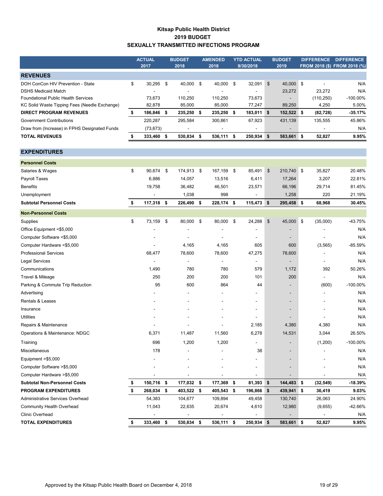#### **Kitsap Public Health District 2019 BUDGET SEXUALLY TRANSMITTED INFECTIONS PROGRAM**

|                                               | <b>ACTUAL</b> |     | <b>BUDGET</b>            |     | <b>AMENDED</b>           |     | <b>YTD ACTUAL</b> |      | <b>BUDGET</b>            | <b>DIFFERENCE</b> | <b>DIFFERENCE</b>            |
|-----------------------------------------------|---------------|-----|--------------------------|-----|--------------------------|-----|-------------------|------|--------------------------|-------------------|------------------------------|
|                                               | 2017          |     | 2018                     |     | 2018                     |     | 9/30/2018         |      | 2019                     |                   | FROM 2018 (\$) FROM 2018 (%) |
| <b>REVENUES</b>                               |               |     |                          |     |                          |     |                   |      |                          |                   |                              |
| DOH ConCon HIV Prevention - State             | \$<br>30.295  | -\$ | 40.000                   | - S | 40.000                   | \$  | 32,091            | - \$ | 40.000 \$                |                   | N/A                          |
| <b>DSHS Medicaid Match</b>                    |               |     | $\overline{\phantom{a}}$ |     | $\overline{\phantom{0}}$ |     |                   |      | 23.272                   | 23.272            | N/A                          |
| <b>Foundational Public Health Services</b>    | 73.673        |     | 110.250                  |     | 110.250                  |     | 73.673            |      | $\overline{\phantom{a}}$ | (110, 250)        | $-100.00\%$                  |
| KC Solid Waste Tipping Fees (Needle Exchange) | 82.878        |     | 85,000                   |     | 85,000                   |     | 77.247            |      | 89,250                   | 4,250             | 5.00%                        |
| <b>DIRECT PROGRAM REVENUES</b>                | 186.846       | -S  | 235.250 \$               |     | 235.250                  | - 5 | 183,011           | S    | 152,522 \$               | (82, 728)         | $-35.17%$                    |
| <b>Government Contributions</b>               | 220.287       |     | 295.584                  |     | 300.861                  |     | 67.923            |      | 431.139                  | 135.555           | 45.86%                       |
| Draw from (Increase) in FPHS Designated Funds | (73, 673)     |     | $\overline{\phantom{a}}$ |     |                          |     |                   |      | $\overline{\phantom{a}}$ |                   | N/A                          |
| <b>TOTAL REVENUES</b>                         | 333,460 \$    |     | 530,834 \$               |     | 536,111 \$               |     | $250,934$ \$      |      | 583,661 \$               | 52,827            | 9.95%                        |
|                                               |               |     |                          |     |                          |     |                   |      |                          |                   |                              |

## Salaries & Wages \$ 90,674 \$ 174,913 \$ 167,159 \$ 85,491 \$ 210,740 \$ 35,827 20.48% Payroll Taxes 6,886 14,057 13,516 6,411 17,264 3,207 22.81% Benefits 19,758 36,482 46,501 23,571 66,196 29,714 81.45% Unemployment - 1,038 998 - 1,258 220 21.19% **Subtotal Personnel Costs \$ 117,318 \$ 226,490 \$ 228,174 \$ 115,473 \$ 295,458 \$ 68,968 30.45%** Supplies \$ 73,159 \$ 80,000 \$ 80,000 \$ 24,288 \$ 45,000 \$ (35,000) -43.75% Office Equipment <\$5,000 - - - - - N/A - Computer Software <\$5,000 - - - - - N/A - Computer Hardware <\$5,000  $-$  4,165 4,165 605 600 (3,565) -85.59% Professional Services 68,477 78,600 78,600 47,275 78,600 N/A - Legal Services - - - - - N/A - Communications 1,490 780 780 579 1,172 392 50.26% Travel & Mileage 250 200 200 101 200 N/A - Parking & Commute Trip Reduction  $95$  800 864 44 - (600) -100.00% Advertising the contract of the contract of the contract of the contract of the contract of the contract of the contract of the contract of the contract of the contract of the contract of the contract of the contract of th Rentals & Leases - - - - - N/A - Insurance and the set of the set of the set of the set of the set of the set of the set of the set of the set of the set of the set of the set of the set of the set of the set of the set of the set of the set of the set of Utilities - - - - - N/A - Repairs & Maintenance 2008 10 10 10 2,185 4,380 4,380 4,380 4,380 A/A Operations & Maintenance: NDGC 6,371 11,487 11,560 6,278 14,531 3,044 26.50% Training 696 1,200 1,200 - (1,200) -100.00% Miscellaneous 178 - - 38 - N/A - Equipment >\$5,000 - - - - - N/A - Computer Software >\$5,000 - - - - - N/A - Computer Hardware >\$5,000 - - - - - N/A - **Subtotal Non-Personnel Costs \$ 150,716 \$ 177,032 \$ 177,369 \$ 81,393 \$ 144,483 \$ (32,549) -18.39% PROGRAM EXPENDITURES \$ 268,034 \$ 403,522 \$ 405,543 \$ 196,866 \$ 439,941 \$ 36,419 9.03%** Administrative Services Overhead **54,383** 104,677 109,894 49,458 130,740 26,063 24.90% Community Health Overhead 11,043 22,635 20,674 4,610 12,980 (9,655) -42.66% Clinic Overhead - - - - - N/A - **TOTAL EXPENDITURES \$ 333,460 \$ 530,834 \$ 536,111 \$ 250,934 \$ 583,661 \$ 52,827 9.95% Non-Personnel Costs EXPENDITURES Personnel Costs**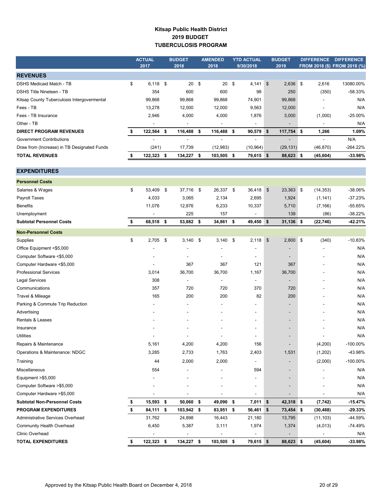## **Kitsap Public Health District 2019 BUDGET TUBERCULOSIS PROGRAM**

|                                             | <b>ACTUAL</b>    |      | <b>BUDGET</b>            |      | <b>AMENDED</b>  | <b>YTD ACTUAL</b>        |               | <b>BUDGET</b>            |      |           | DIFFERENCE DIFFERENCE        |
|---------------------------------------------|------------------|------|--------------------------|------|-----------------|--------------------------|---------------|--------------------------|------|-----------|------------------------------|
|                                             | 2017             |      | 2018                     |      | 2018            | 9/30/2018                |               | 2019                     |      |           | FROM 2018 (\$) FROM 2018 (%) |
| <b>REVENUES</b>                             |                  |      |                          |      |                 |                          |               |                          |      |           |                              |
| <b>DSHS Medicaid Match - TB</b>             | \$<br>$6,118$ \$ |      | 20                       | \$   | 20 <sup>5</sup> | 4,141                    | $\sqrt[6]{3}$ | 2,636                    | \$   | 2,616     | 13080.00%                    |
| <b>DSHS Title Nineteen - TB</b>             | 354              |      | 600                      |      | 600             | 98                       |               | 250                      |      | (350)     | -58.33%                      |
| Kitsap County Tuberculosis Intergovermental | 99,868           |      | 99,868                   |      | 99,868          | 74,901                   |               | 99,868                   |      |           | N/A                          |
| Fees - TB                                   | 13,278           |      | 12,000                   |      | 12,000          | 9,563                    |               | 12,000                   |      |           | N/A                          |
| Fees - TB Insurance                         | 2,946            |      | 4,000                    |      | 4,000           | 1,876                    |               | 3,000                    |      | (1,000)   | -25.00%                      |
| Other - TB                                  |                  |      |                          |      |                 |                          |               |                          |      |           | N/A                          |
| <b>DIRECT PROGRAM REVENUES</b>              | \$<br>122,564 \$ |      | 116,488                  | \$   | 116,488 \$      | 90,579                   | -\$           | $117,754$ \$             |      | 1,266     | 1.09%                        |
| <b>Government Contributions</b>             | $\overline{a}$   |      | $\overline{\phantom{a}}$ |      | $\overline{a}$  | $\overline{a}$           |               | $\overline{\phantom{a}}$ |      |           | N/A                          |
| Draw from (Increase) in TB Designated Funds | (241)            |      | 17,739                   |      | (12,983)        | (10, 964)                |               | (29, 131)                |      | (46, 870) | -264.22%                     |
| <b>TOTAL REVENUES</b>                       | \$<br>122,323 \$ |      | 134,227                  | \$   | 103,505 \$      | 79,615 \$                |               | 88,623 \$                |      | (45, 604) | $-33.98%$                    |
|                                             |                  |      |                          |      |                 |                          |               |                          |      |           |                              |
| <b>EXPENDITURES</b>                         |                  |      |                          |      |                 |                          |               |                          |      |           |                              |
| <b>Personnel Costs</b>                      |                  |      |                          |      |                 |                          |               |                          |      |           |                              |
| Salaries & Wages                            | \$<br>53,409     | - \$ | 37,716                   | - \$ | 26,337 \$       | 36,418                   | $\sqrt[6]{3}$ | 23,363 \$                |      | (14, 353) | -38.06%                      |
| Payroll Taxes                               | 4,033            |      | 3,065                    |      | 2,134           | 2,695                    |               | 1,924                    |      | (1, 141)  | -37.23%                      |
| <b>Benefits</b>                             | 11,076           |      | 12,876                   |      | 6,233           | 10,337                   |               | 5,710                    |      | (7, 166)  | -55.65%                      |
| Unemployment                                |                  |      | 225                      |      | 157             |                          |               | 139                      |      | (86)      | $-38.22%$                    |
| <b>Subtotal Personnel Costs</b>             | \$<br>68,518 \$  |      | 53,882                   | \$   | 34,861 \$       | 49,450 \$                |               | $31,136$ \$              |      | (22, 746) | $-42.21%$                    |
| <b>Non-Personnel Costs</b>                  |                  |      |                          |      |                 |                          |               |                          |      |           |                              |
|                                             | \$               |      |                          |      |                 |                          |               |                          |      |           | -10.83%                      |
| Supplies                                    | $2,705$ \$       |      | 3,140                    | \$   | $3,140$ \$      | 2,118                    | \$            | 2,800                    | - \$ | (340)     | N/A                          |
| Office Equipment <\$5,000                   |                  |      |                          |      |                 | $\frac{1}{2}$            |               |                          |      |           |                              |
| Computer Software <\$5,000                  |                  |      | $\overline{\phantom{a}}$ |      | $\blacksquare$  | $\blacksquare$           |               | $\overline{\phantom{a}}$ |      |           | N/A                          |
| Computer Hardware <\$5,000                  |                  |      | 367                      |      | 367             | 121                      |               | 367                      |      |           | N/A                          |
| <b>Professional Services</b>                | 3,014            |      | 36,700                   |      | 36,700          | 1,167                    |               | 36,700                   |      |           | N/A                          |
| <b>Legal Services</b>                       | 308              |      | $\blacksquare$           |      |                 | $\overline{\phantom{a}}$ |               |                          |      |           | N/A                          |
| Communications                              | 357              |      | 720                      |      | 720             | 370                      |               | 720                      |      |           | N/A                          |
| Travel & Mileage                            | 165              |      | 200                      |      | 200             | 82                       |               | 200                      |      |           | N/A                          |
| Parking & Commute Trip Reduction            |                  |      |                          |      |                 |                          |               |                          |      |           | N/A                          |
| Advertising                                 |                  |      |                          |      |                 |                          |               |                          |      |           | N/A                          |
| Rentals & Leases                            |                  |      |                          |      |                 |                          |               |                          |      |           | N/A                          |
| Insurance                                   |                  |      |                          |      |                 |                          |               |                          |      |           | N/A                          |
| <b>Utilities</b>                            |                  |      |                          |      |                 |                          |               |                          |      |           | N/A                          |
| Repairs & Maintenance                       | 5,161            |      | 4,200                    |      | 4,200           | 156                      |               |                          |      | (4,200)   | $-100.00\%$                  |
| Operations & Maintenance: NDGC              | 3,285            |      | 2,733                    |      | 1,763           | 2,403                    |               | 1,531                    |      | (1,202)   | -43.98%                      |
| Training                                    | 44               |      | 2,000                    |      | 2,000           | $\overline{\phantom{a}}$ |               |                          |      | (2,000)   | $-100.00\%$                  |
| Miscellaneous                               | 554              |      |                          |      |                 | 594                      |               |                          |      |           | N/A                          |
| Equipment > \$5,000                         |                  |      |                          |      |                 |                          |               |                          |      |           | N/A                          |
| Computer Software > \$5,000                 |                  |      |                          |      |                 |                          |               |                          |      |           | N/A                          |
| Computer Hardware > \$5,000                 |                  |      |                          |      |                 |                          |               |                          |      |           | N/A                          |
| <b>Subtotal Non-Personnel Costs</b>         | \$<br>15,593     | \$   | 50,060                   | \$   | 49,090          | \$<br>7,011              | -\$           | 42,318 \$                |      | (7, 742)  | $-15.47%$                    |
| <b>PROGRAM EXPENDITURES</b>                 | \$<br>84,111 \$  |      | 103,942                  | - \$ | 83,951 \$       | 56,461 \$                |               | 73,454 \$                |      | (30, 488) | -29.33%                      |
| Administrative Services Overhead            | 31,762           |      | 24,898                   |      | 16,443          | 21,180                   |               | 13,795                   |      | (11, 103) | -44.59%                      |
| <b>Community Health Overhead</b>            | 6,450            |      | 5,387                    |      | 3,111           | 1,974                    |               | 1,374                    |      | (4,013)   | $-74.49%$                    |
| Clinic Overhead                             |                  |      |                          |      |                 |                          |               |                          |      |           | N/A                          |
| <b>TOTAL EXPENDITURES</b>                   | \$<br>122,323 \$ |      | 134,227 \$               |      | 103,505 \$      | 79,615 \$                |               | 88,623 \$                |      | (45, 604) | $-33.98%$                    |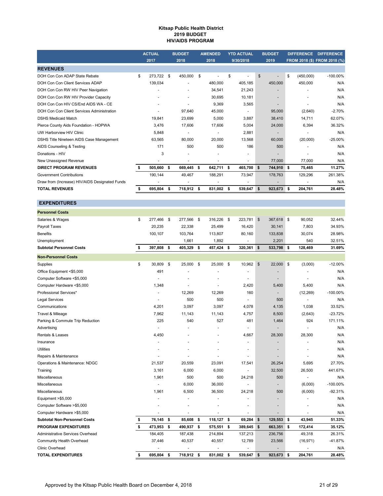#### **Kitsap Public Health District 2019 BUDGET HIV/AIDS PROGRAM**

|                                                | <b>ACTUAL</b> |      | <b>BUDGET</b> |     | <b>AMENDED</b> |    | <b>YTD ACTUAL</b> | <b>BUDGET</b>            |      | <b>DIFFERENCE</b> | <b>DIFFERENCE</b>            |
|------------------------------------------------|---------------|------|---------------|-----|----------------|----|-------------------|--------------------------|------|-------------------|------------------------------|
|                                                | 2017          |      | 2018          |     | 2018           |    | 9/30/2018         | 2019                     |      |                   | FROM 2018 (\$) FROM 2018 (%) |
| <b>REVENUES</b>                                |               |      |               |     |                |    |                   |                          |      |                   |                              |
| DOH Con Con ADAP State Rebate                  | \$<br>273.722 | - \$ | 450,000       | \$  |                | \$ |                   | \$<br>۰                  | \$   | (450,000)         | $-100.00\%$                  |
| DOH Con Con Client Services ADAP               | 139,034       |      |               |     | 480,000        |    | 405,185           | 450,000                  |      | 450,000           | N/A                          |
| DOH Con Con RW HIV Peer Navigation             |               |      |               |     | 34,541         |    | 21,243            | $\overline{\phantom{0}}$ |      |                   | N/A                          |
| DOH Con Con RW HIV Provider Capacity           |               |      |               |     | 30.695         |    | 10.181            |                          |      |                   | N/A                          |
| DOH Con Con HIV CS/End AIDS WA - CE            |               |      |               |     | 9,369          |    | 3,565             | ٠                        |      |                   | N/A                          |
| DOH Con Con Client Services Administration     |               |      | 97,640        |     | 45,000         |    | ٠                 | 95,000                   |      | (2,640)           | $-2.70%$                     |
| <b>DSHS Medicaid Match</b>                     | 19,841        |      | 23,699        |     | 5.000          |    | 3,887             | 38,410                   |      | 14,711            | 62.07%                       |
| Pierce County Aids Foundation - HOPWA          | 3,476         |      | 17,606        |     | 17,606         |    | 5,004             | 24,000                   |      | 6.394             | 36.32%                       |
| UW Harborview HIV Clinic                       | 5,848         |      |               |     | ٠              |    | 2,881             | -                        |      |                   | N/A                          |
| DSHS Title Nineteen AIDS Case Management       | 63,565        |      | 80.000        |     | 20.000         |    | 13,568            | 60,000                   |      | (20,000)          | $-25.00%$                    |
| AIDS Counseling & Testing                      | 171           |      | 500           |     | 500            |    | 186               | 500                      |      |                   | N/A                          |
| Donations - HIV                                | 3             |      | ٠             |     |                |    | ٠                 | -                        |      |                   | N/A                          |
| New Unassigned Revenue                         |               |      |               |     |                |    |                   | 77,000                   |      | 77,000            | N/A                          |
| <b>DIRECT PROGRAM REVENUES</b>                 | 505,660       | -\$  | 669,445       | \$  | 642,711        | s  | 465,700           | \$<br>744,910 \$         |      | 75,465            | 11.27%                       |
| <b>Government Contributions</b>                | 190.144       |      | 49.467        |     | 188.291        |    | 73,947            | 178.763                  |      | 129.296           | 261.38%                      |
| Draw from (Increase) HIV/AIDS Designated Funds |               |      |               |     | ۰              |    | ٠                 | ٠                        |      |                   | N/A                          |
| <b>TOTAL REVENUES</b>                          | 695,804       | - 5  | 718,912       | -\$ | 831,002        | -S | 539,647           | \$<br>923,673            | - \$ | 204,761           | 28.48%                       |

| <b>Personnel Costs</b>              |                  |      |         |                  |                      |                |                          |    |           |             |
|-------------------------------------|------------------|------|---------|------------------|----------------------|----------------|--------------------------|----|-----------|-------------|
| Salaries & Wages                    | \$<br>277,466 \$ |      | 277,566 | \$<br>316,226    | \$<br>223,781        | \$             | 367,618 \$               |    | 90,052    | 32.44%      |
| Payroll Taxes                       | 20,235           |      | 22,338  | 25,499           | 16,420               |                | 30,141                   |    | 7,803     | 34.93%      |
| <b>Benefits</b>                     | 100,107          |      | 103,764 | 113,807          | 80,160               |                | 133,838                  |    | 30,074    | 28.98%      |
| Unemployment                        | ÷,               |      | 1,661   | 1,892            | ÷.                   |                | 2,201                    |    | 540       | 32.51%      |
| <b>Subtotal Personnel Costs</b>     | \$<br>397,808    | - \$ | 405,329 | \$<br>457,424 \$ | 320,361              | \$             | 533,798                  | \$ | 128,469   | 31.69%      |
| <b>Non-Personnel Costs</b>          |                  |      |         |                  |                      |                |                          |    |           |             |
| Supplies                            | \$<br>30,809     | \$   | 25,000  | \$<br>25.000     | \$<br>10,962         | $$\mathbb{S}$$ | 22,000                   | \$ | (3,000)   | $-12.00%$   |
| Office Equipment <\$5,000           | 491              |      |         |                  |                      |                |                          |    |           | N/A         |
| Computer Software <\$5,000          |                  |      |         |                  | $\ddot{\phantom{1}}$ |                |                          |    |           | N/A         |
| Computer Hardware <\$5,000          | 1,348            |      |         |                  | 2,420                |                | 5,400                    |    | 5,400     | N/A         |
| Professional Services*              |                  |      | 12,269  | 12,269           | 160                  |                |                          |    | (12, 269) | $-100.00\%$ |
| <b>Legal Services</b>               |                  |      | 500     | 500              | ÷.                   |                | 500                      |    |           | N/A         |
| Communications                      | 4,201            |      | 3,097   | 3,097            | 4,078                |                | 4,135                    |    | 1,038     | 33.52%      |
| Travel & Mileage                    | 7,962            |      | 11,143  | 11,143           | 4,757                |                | 8,500                    |    | (2,643)   | $-23.72%$   |
| Parking & Commute Trip Reduction    | 225              |      | 540     | 527              | 481                  |                | 1,464                    |    | 924       | 171.11%     |
| Advertising                         |                  |      |         |                  | $\ddot{\phantom{1}}$ |                |                          |    |           | N/A         |
| <b>Rentals &amp; Leases</b>         | 4,450            |      |         |                  | 4,667                |                | 28,300                   |    | 28,300    | N/A         |
| Insurance                           |                  |      |         |                  |                      |                |                          |    |           | N/A         |
| <b>Utilities</b>                    |                  |      |         |                  |                      |                | $\overline{\phantom{a}}$ |    |           | N/A         |
| Repairs & Maintenance               |                  |      |         |                  | $\blacksquare$       |                |                          |    |           | N/A         |
| Operations & Maintenance: NDGC      | 21,537           |      | 20,559  | 23,091           | 17,541               |                | 26,254                   |    | 5,695     | 27.70%      |
| Training                            | 3,161            |      | 6,000   | 6,000            | ä,                   |                | 32,500                   |    | 26,500    | 441.67%     |
| Miscellaneous                       | 1,961            |      | 500     | 500              | 24,218               |                | 500                      |    |           | N/A         |
| Miscellaneous                       |                  |      | 6,000   | 36,000           | ÷.                   |                |                          |    | (6,000)   | $-100.00\%$ |
| Miscellaneous                       | 1,961            |      | 6,500   | 36,500           | 24,218               |                | 500                      |    | (6,000)   | $-92.31%$   |
| Equipment >\$5,000                  |                  |      |         |                  |                      |                |                          |    |           | N/A         |
| Computer Software >\$5,000          |                  |      |         |                  |                      |                |                          |    |           | N/A         |
| Computer Hardware >\$5,000          |                  |      |         |                  |                      |                |                          |    |           | N/A         |
| <b>Subtotal Non-Personnel Costs</b> | \$<br>76,145 \$  |      | 85,608  | \$<br>118,127    | \$<br>69,284 \$      |                | 129,553                  | \$ | 43,945    | 51.33%      |
| <b>PROGRAM EXPENDITURES</b>         | \$<br>473,953    | \$   | 490,937 | \$<br>575,551    | \$<br>389,645 \$     |                | 663,351                  | \$ | 172,414   | 35.12%      |
| Administrative Services Overhead    | 184,405          |      | 187,438 | 214,894          | 137,213              |                | 236,756                  |    | 49,318    | 26.31%      |
| Community Health Overhead           | 37,446           |      | 40,537  | 40,557           | 12,789               |                | 23,566                   |    | (16, 971) | -41.87%     |
| <b>Clinic Overhead</b>              |                  |      |         |                  |                      |                |                          |    |           | N/A         |
| <b>TOTAL EXPENDITURES</b>           | \$<br>695,804 \$ |      | 718,912 | \$<br>831,002 \$ | 539,647              | \$             | 923,673                  | S. | 204,761   | 28.48%      |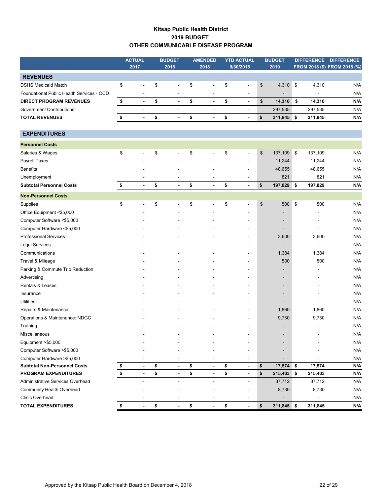## **Kitsap Public Health District 2019 BUDGET OTHER COMMUNICABLE DISEASE PROGRAM**

|                                           |               | <b>ACTUAL</b>  | <b>BUDGET</b>                  | <b>AMENDED</b>                 | <b>YTD ACTUAL</b>                  | <b>BUDGET</b>            |                          | DIFFERENCE DIFFERENCE        |
|-------------------------------------------|---------------|----------------|--------------------------------|--------------------------------|------------------------------------|--------------------------|--------------------------|------------------------------|
|                                           |               | 2017           | 2018                           | 2018                           | 9/30/2018                          | 2019                     |                          | FROM 2018 (\$) FROM 2018 (%) |
| <b>REVENUES</b>                           |               |                |                                |                                |                                    |                          |                          |                              |
| <b>DSHS Medicaid Match</b>                | \$            | ÷,             | \$<br>$\blacksquare$           | \$<br>$\blacksquare$           | \$<br>$\overline{a}$               | \$<br>14,310 \$          | 14,310                   | N/A                          |
| Foundational Public Health Services - OCD |               |                |                                |                                | $\blacksquare$                     |                          |                          | N/A                          |
| <b>DIRECT PROGRAM REVENUES</b>            | \$            | $\blacksquare$ | \$<br>$\overline{\phantom{a}}$ | \$<br>$\blacksquare$           | \$<br>$\overline{\phantom{a}}$     | \$<br>14,310             | \$<br>14,310             | N/A                          |
| <b>Government Contributions</b>           |               | $\blacksquare$ | $\blacksquare$                 | $\blacksquare$                 |                                    | 297,535                  | 297,535                  | N/A                          |
| <b>TOTAL REVENUES</b>                     | \$            | $\blacksquare$ | \$<br>$\blacksquare$           | \$<br>$\overline{\phantom{a}}$ | \$<br>$\qquad \qquad \blacksquare$ | \$<br>311,845 \$         | 311,845                  | N/A                          |
|                                           |               |                |                                |                                |                                    |                          |                          |                              |
| <b>EXPENDITURES</b>                       |               |                |                                |                                |                                    |                          |                          |                              |
| <b>Personnel Costs</b>                    |               |                |                                |                                |                                    |                          |                          |                              |
| Salaries & Wages                          | \$            |                | \$                             | \$                             | \$<br>٠                            | \$<br>137,109 \$         | 137,109                  | N/A                          |
| Payroll Taxes                             |               |                |                                |                                | $\blacksquare$                     | 11,244                   | 11,244                   | N/A                          |
| <b>Benefits</b>                           |               |                |                                |                                |                                    | 48,655                   | 48,655                   | N/A                          |
| Unemployment                              |               |                |                                | $\overline{\phantom{a}}$       | $\overline{a}$                     | 821                      | 821                      | N/A                          |
| <b>Subtotal Personnel Costs</b>           | \$            | $\overline{a}$ | \$                             | \$                             | \$<br>$\overline{a}$               | \$<br>197,829 \$         | 197,829                  | N/A                          |
| <b>Non-Personnel Costs</b>                |               |                |                                |                                |                                    |                          |                          |                              |
| Supplies                                  | \$            |                | \$<br>$\blacksquare$           | \$                             | \$<br>$\blacksquare$               | \$<br>500 \$             | 500                      | N/A                          |
| Office Equipment <\$5,000                 |               |                |                                |                                |                                    |                          |                          | N/A                          |
| Computer Software <\$5,000                |               |                |                                |                                |                                    |                          |                          | N/A                          |
| Computer Hardware <\$5,000                |               |                |                                |                                |                                    |                          | $\blacksquare$           | N/A                          |
| <b>Professional Services</b>              |               |                |                                |                                | -                                  | 3,600                    | 3,600                    | N/A                          |
| <b>Legal Services</b>                     |               |                |                                |                                |                                    |                          | $\blacksquare$           | N/A                          |
| Communications                            |               |                |                                |                                |                                    | 1,384                    | 1,384                    | N/A                          |
| Travel & Mileage                          |               |                |                                |                                |                                    | 500                      | 500                      | N/A                          |
| Parking & Commute Trip Reduction          |               |                |                                |                                | $\overline{a}$                     |                          | $\blacksquare$           | N/A                          |
| Advertising                               |               |                |                                |                                | $\blacksquare$                     |                          |                          | N/A                          |
| Rentals & Leases                          |               |                |                                |                                |                                    |                          |                          | N/A                          |
| Insurance                                 |               |                |                                |                                |                                    |                          |                          | N/A                          |
| Utilities                                 |               |                |                                |                                |                                    |                          |                          | N/A                          |
| Repairs & Maintenance                     |               |                |                                |                                |                                    | 1,860                    | 1,860                    | N/A                          |
| Operations & Maintenance: NDGC            |               |                |                                |                                |                                    | 9,730                    | 9,730                    | N/A                          |
| Training                                  |               |                |                                |                                |                                    |                          |                          | N/A                          |
| Miscellaneous                             |               |                |                                |                                | $\overline{a}$                     | $\overline{\phantom{a}}$ | $\overline{\phantom{a}}$ | N/A                          |
| Equipment >\$5,000                        |               |                |                                |                                |                                    |                          |                          | N/A                          |
| Computer Software > \$5,000               |               |                |                                |                                |                                    |                          |                          | N/A                          |
| Computer Hardware > \$5,000               |               |                |                                |                                |                                    |                          |                          | N/A                          |
| <b>Subtotal Non-Personnel Costs</b>       | $\frac{1}{2}$ | $\blacksquare$ | \$<br>$\overline{\phantom{a}}$ | \$<br>$\blacksquare$           | \$<br>$\overline{\phantom{a}}$     | \$<br>17,574 \$          | 17,574                   | N/A                          |
| PROGRAM EXPENDITURES                      | $\pmb{\$}$    |                | \$                             | \$                             | \$<br>$\qquad \qquad \blacksquare$ | \$<br>215,403 \$         | 215,403                  | N/A                          |
| Administrative Services Overhead          |               |                | $\blacksquare$                 | $\blacksquare$                 | $\blacksquare$                     | 87,712                   | 87,712                   | N/A                          |
| Community Health Overhead                 |               |                |                                |                                |                                    | 8,730                    | 8,730                    | N/A                          |
| <b>Clinic Overhead</b>                    |               |                |                                |                                |                                    |                          |                          | N/A                          |
| <b>TOTAL EXPENDITURES</b>                 | \$            | $\blacksquare$ | \$<br>$\overline{\phantom{a}}$ | \$<br>$\blacksquare$           | \$<br>$\overline{\phantom{a}}$     | \$<br>311,845 \$         | 311,845                  | N/A                          |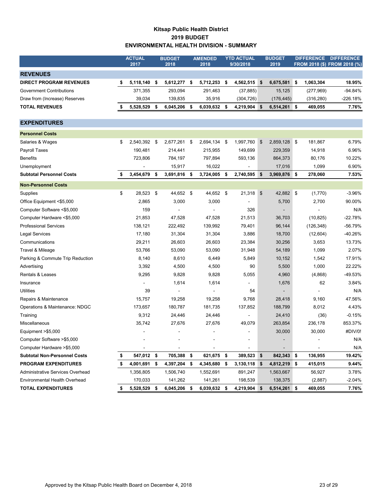## **Kitsap Public Health District 2019 BUDGET ENVIRONMENTAL HEALTH DIVISION - SUMMARY**

|                                     |    | <b>ACTUAL</b> |     | <b>BUDGET</b>  |      | <b>AMENDED</b> | <b>YTD ACTUAL</b>    | <b>BUDGET</b>      | <b>DIFFERENCE</b> | <b>DIFFERENCE</b>            |
|-------------------------------------|----|---------------|-----|----------------|------|----------------|----------------------|--------------------|-------------------|------------------------------|
|                                     |    | 2017          |     | 2018           |      | 2018           | 9/30/2018            | 2019               |                   | FROM 2018 (\$) FROM 2018 (%) |
| <b>REVENUES</b>                     |    |               |     |                |      |                |                      |                    |                   |                              |
| <b>DIRECT PROGRAM REVENUES</b>      | \$ | 5,118,140     | -\$ | 5,612,277      | \$   | 5,712,253      | \$<br>4,562,515      | \$<br>6,675,581    | \$<br>1,063,304   | 18.95%                       |
| <b>Government Contributions</b>     |    | 371,355       |     | 293,094        |      | 291,463        | (37, 885)            | 15,125             | (277, 969)        | -94.84%                      |
| Draw from (Increase) Reserves       |    | 39,034        |     | 139,835        |      | 35,916         | (304, 726)           | (176, 445)         | (316, 280)        | $-226.18%$                   |
| <b>TOTAL REVENUES</b>               |    | 5,528,529     | \$  | 6,045,206      | \$   | 6,039,632      | \$<br>4,219,904      | \$<br>6,514,261 \$ | 469,055           | 7.76%                        |
|                                     |    |               |     |                |      |                |                      |                    |                   |                              |
| <b>EXPENDITURES</b>                 |    |               |     |                |      |                |                      |                    |                   |                              |
| <b>Personnel Costs</b>              |    |               |     |                |      |                |                      |                    |                   |                              |
| Salaries & Wages                    | \$ | 2,540,392 \$  |     | 2,677,261      | \$   | 2,694,134 \$   | 1,997,760            | \$<br>2,859,128    | \$<br>181,867     | 6.79%                        |
| Payroll Taxes                       |    | 190,481       |     | 214,441        |      | 215,955        | 149,699              | 229,359            | 14,918            | 6.96%                        |
| <b>Benefits</b>                     |    | 723,806       |     | 784,197        |      | 797,894        | 593,136              | 864,373            | 80,176            | 10.22%                       |
| Unemployment                        |    |               |     | 15,917         |      | 16,022         |                      | 17,016             | 1,099             | 6.90%                        |
| <b>Subtotal Personnel Costs</b>     | S  | 3,454,679     | \$  | 3,691,816      | \$   | 3,724,005      | \$<br>2,740,595      | \$<br>3,969,876 \$ | 278,060           | 7.53%                        |
| <b>Non-Personnel Costs</b>          |    |               |     |                |      |                |                      |                    |                   |                              |
| <b>Supplies</b>                     | \$ | 28,523 \$     |     | 44,652 \$      |      | 44,652 \$      | $21,318$ \$          | 42,882 \$          | (1,770)           | -3.96%                       |
| Office Equipment <\$5,000           |    | 2,865         |     | 3,000          |      | 3,000          |                      | 5,700              | 2,700             | 90.00%                       |
| Computer Software <\$5,000          |    | 159           |     | $\overline{a}$ |      |                | 326                  |                    |                   | N/A                          |
| Computer Hardware <\$5,000          |    | 21,853        |     | 47,528         |      | 47,528         | 21,513               | 36,703             | (10, 825)         | $-22.78%$                    |
| <b>Professional Services</b>        |    | 138,121       |     | 222,492        |      | 139,992        | 79,401               | 96,144             | (126, 348)        | $-56.79%$                    |
| Legal Services                      |    | 17,180        |     | 31,304         |      | 31,304         | 3,886                | 18,700             | (12,604)          | -40.26%                      |
| Communications                      |    | 29,211        |     | 26,603         |      | 26,603         | 23,384               | 30,256             | 3,653             | 13.73%                       |
| Travel & Mileage                    |    | 53,766        |     | 53,090         |      | 53,090         | 31,948               | 54,189             | 1,099             | 2.07%                        |
| Parking & Commute Trip Reduction    |    | 8,140         |     | 8,610          |      | 6,449          | 5,849                | 10,152             | 1,542             | 17.91%                       |
| Advertising                         |    | 3,392         |     | 4,500          |      | 4,500          | 90                   | 5,500              | 1,000             | 22.22%                       |
| Rentals & Leases                    |    | 9,295         |     | 9,828          |      | 9,828          | 5,055                | 4,960              | (4,868)           | -49.53%                      |
| Insurance                           |    |               |     | 1,614          |      | 1,614          |                      | 1,676              | 62                | 3.84%                        |
| <b>Utilities</b>                    |    | 39            |     | $\blacksquare$ |      |                | 54                   |                    |                   | N/A                          |
| Repairs & Maintenance               |    | 15,757        |     | 19,258         |      | 19,258         | 9,768                | 28,418             | 9,160             | 47.56%                       |
| Operations & Maintenance: NDGC      |    | 173,657       |     | 180,787        |      | 181,735        | 137,852              | 188,799            | 8,012             | 4.43%                        |
| Training                            |    | 9,312         |     | 24,446         |      | 24,446         |                      | 24,410             | (36)              | $-0.15%$                     |
| Miscellaneous                       |    | 35,742        |     | 27,676         |      | 27,676         | 49,079               | 263,854            | 236,178           | 853.37%                      |
| Equipment $> $5,000$                |    |               |     | ÷,             |      | $\overline{a}$ |                      | 30,000             | 30,000            | #DIV/0!                      |
| Computer Software > \$5,000         |    |               |     |                |      |                |                      |                    |                   | N/A                          |
| Computer Hardware >\$5,000          |    |               |     |                |      |                |                      |                    |                   | N/A                          |
| <b>Subtotal Non-Personnel Costs</b> | \$ | 547,012 \$    |     | 705,388        | - \$ | 621,675        | \$<br>389,523 \$     | 842,343 \$         | 136,955           | 19.42%                       |
| <b>PROGRAM EXPENDITURES</b>         | \$ | 4,001,691 \$  |     | 4,397,204 \$   |      | 4,345,680      | \$<br>$3,130,118$ \$ | 4,812,219 \$       | 415,015           | 9.44%                        |
| Administrative Services Overhead    |    | 1,356,805     |     | 1,506,740      |      | 1,552,691      | 891,247              | 1,563,667          | 56,927            | 3.78%                        |
| Environmental Health Overhead       |    | 170,033       |     | 141,262        |      | 141,261        | 198,539              | 138,375            | (2,887)           | $-2.04%$                     |
| <b>TOTAL EXPENDITURES</b>           | \$ | 5,528,529     | \$  | 6,045,206 \$   |      | 6,039,632      | \$<br>4,219,904 \$   | 6,514,261 \$       | 469,055           | 7.76%                        |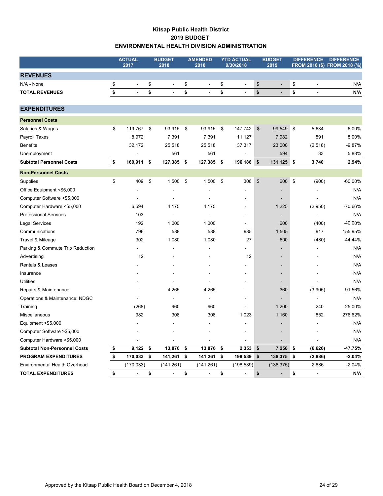## **Kitsap Public Health District 2019 BUDGET ENVIRONMENTAL HEALTH DIVISION ADMINISTRATION**

|                                          | <b>ACTUAL</b><br>2017 | <b>BUDGET</b><br>2018          | <b>AMENDED</b><br>2018 | <b>YTD ACTUAL</b><br>9/30/2018 |                                           | <b>BUDGET</b><br>2019    | <b>DIFFERENCE</b>              | <b>DIFFERENCE</b><br>FROM 2018 (\$) FROM 2018 (%) |
|------------------------------------------|-----------------------|--------------------------------|------------------------|--------------------------------|-------------------------------------------|--------------------------|--------------------------------|---------------------------------------------------|
| <b>REVENUES</b>                          |                       |                                |                        |                                |                                           |                          |                                |                                                   |
| N/A - None                               | \$                    | \$                             | \$<br>$\overline{a}$   | \$<br>$\overline{a}$           | $\, \, \raisebox{12pt}{$\scriptstyle \$}$ |                          | \$<br>÷,                       | N/A                                               |
| <b>TOTAL REVENUES</b>                    | \$<br>$\blacksquare$  | \$<br>$\overline{\phantom{a}}$ | \$<br>$\blacksquare$   | \$<br>$\blacksquare$           | \$                                        | $\overline{a}$           | \$<br>$\overline{\phantom{a}}$ | N/A                                               |
| <b>EXPENDITURES</b>                      |                       |                                |                        |                                |                                           |                          |                                |                                                   |
| <b>Personnel Costs</b>                   |                       |                                |                        |                                |                                           |                          |                                |                                                   |
|                                          | \$<br>119,767         | \$<br>93,915                   | \$<br>93,915           | \$<br>147,742                  | \$                                        | 99,549                   | \$<br>5,634                    | 6.00%                                             |
| Salaries & Wages<br><b>Payroll Taxes</b> | 8,972                 | 7,391                          | 7,391                  | 11,127                         |                                           | 7,982                    | 591                            | 8.00%                                             |
| <b>Benefits</b>                          | 32,172                | 25,518                         | 25,518                 | 37,317                         |                                           | 23,000                   | (2, 518)                       | $-9.87%$                                          |
| Unemployment                             | $\ddot{\phantom{1}}$  | 561                            | 561                    |                                |                                           | 594                      | 33                             | 5.88%                                             |
| <b>Subtotal Personnel Costs</b>          | \$<br>160,911         | \$<br>127,385                  | \$<br>127,385          | \$<br>196,186                  | \$                                        | 131,125                  | \$<br>3,740                    | 2.94%                                             |
|                                          |                       |                                |                        |                                |                                           |                          |                                |                                                   |
| <b>Non-Personnel Costs</b>               |                       |                                |                        |                                |                                           |                          |                                |                                                   |
| Supplies                                 | \$<br>409             | \$<br>1,500                    | \$<br>1,500            | \$<br>306                      | $\frac{1}{2}$                             | 600                      | \$<br>(900)                    | $-60.00%$                                         |
| Office Equipment <\$5,000                |                       |                                |                        |                                |                                           |                          |                                | N/A                                               |
| Computer Software <\$5,000               |                       | $\ddot{\phantom{1}}$           | L.                     |                                |                                           | $\blacksquare$           | ۷                              | N/A                                               |
| Computer Hardware <\$5,000               | 6,594                 | 4,175                          | 4,175                  |                                |                                           | 1,225                    | (2,950)                        | -70.66%                                           |
| <b>Professional Services</b>             | 103                   | $\blacksquare$                 | $\overline{a}$         |                                |                                           | $\overline{\phantom{0}}$ |                                | N/A                                               |
| <b>Legal Services</b>                    | 192                   | 1,000                          | 1,000                  |                                |                                           | 600                      | (400)                          | -40.00%                                           |
| Communications                           | 796                   | 588                            | 588                    | 985                            |                                           | 1,505                    | 917                            | 155.95%                                           |
| Travel & Mileage                         | 302                   | 1,080                          | 1,080                  | 27                             |                                           | 600                      | (480)                          | $-44.44%$                                         |
| Parking & Commute Trip Reduction         |                       |                                |                        |                                |                                           |                          |                                | N/A                                               |
| Advertising                              | 12                    |                                |                        | 12                             |                                           | $\overline{a}$           |                                | N/A                                               |
| Rentals & Leases                         |                       |                                |                        |                                |                                           | $\blacksquare$           |                                | N/A                                               |
| Insurance                                |                       |                                |                        |                                |                                           |                          |                                | N/A                                               |
| <b>Utilities</b>                         |                       |                                |                        |                                |                                           | Ē,                       |                                | N/A                                               |
| Repairs & Maintenance                    |                       | 4,265                          | 4,265                  |                                |                                           | 360                      | (3,905)                        | $-91.56%$                                         |
| Operations & Maintenance: NDGC           |                       |                                |                        |                                |                                           |                          |                                | N/A                                               |
| Training                                 | (268)                 | 960                            | 960                    |                                |                                           | 1,200                    | 240                            | 25.00%                                            |
| Miscellaneous                            | 982                   | 308                            | 308                    | 1,023                          |                                           | 1,160                    | 852                            | 276.62%                                           |
| Equipment >\$5,000                       |                       |                                |                        |                                |                                           |                          |                                | N/A                                               |
| Computer Software >\$5,000               |                       |                                |                        |                                |                                           |                          |                                | N/A                                               |
| Computer Hardware >\$5,000               |                       |                                |                        |                                |                                           |                          |                                | N/A                                               |
| <b>Subtotal Non-Personnel Costs</b>      | \$<br>9,122           | \$<br>13,876                   | \$<br>13,876           | \$<br>2,353                    | \$                                        | 7,250                    | \$<br>(6,626)                  | $-47.75%$                                         |
| <b>PROGRAM EXPENDITURES</b>              | \$<br>170,033         | \$<br>141,261                  | \$<br>141,261          | \$<br>198,539                  | \$                                        | 138,375                  | \$<br>(2,886)                  | $-2.04%$                                          |
| Environmental Health Overhead            | (170, 033)            | (141, 261)                     | (141, 261)             | (198, 539)                     |                                           | (138, 375)               | 2,886                          | $-2.04%$                                          |
| <b>TOTAL EXPENDITURES</b>                | \$<br>$\blacksquare$  | \$<br>$\overline{\phantom{a}}$ | \$<br>$\overline{a}$   | \$<br>$\blacksquare$           | \$                                        | $\overline{a}$           | \$<br>$\overline{\phantom{a}}$ | N/A                                               |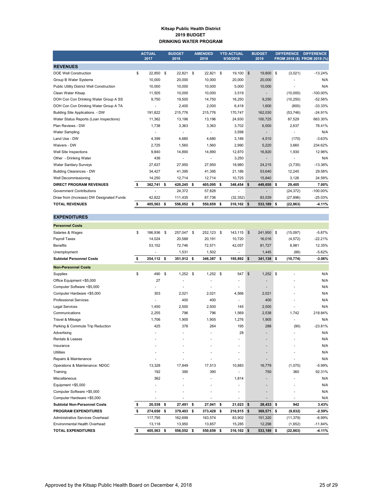#### **Kitsap Public Health District 2019 BUDGET DRINKING WATER PROGRAM**

|                                           | <b>ACTUAL</b><br>2017 |            | <b>BUDGET</b><br>2018 | <b>AMENDED</b><br>2018 |      | <b>YTD ACTUAL</b><br>9/30/2018 |                | <b>BUDGET</b><br>2019    | <b>DIFFERENCE</b> | <b>DIFFERENCE</b><br>FROM 2018 (\$) FROM 2018 (%) |
|-------------------------------------------|-----------------------|------------|-----------------------|------------------------|------|--------------------------------|----------------|--------------------------|-------------------|---------------------------------------------------|
| <b>REVENUES</b>                           |                       |            |                       |                        |      |                                |                |                          |                   |                                                   |
| <b>DOE Well Construction</b>              | \$                    | 22.850 \$  | 22.821                | \$<br>22.821           | - \$ | 19.100                         | $\mathfrak{s}$ | 19,800 \$                | (3,021)           | $-13.24%$                                         |
| Group B Water Systems                     |                       | 10.000     | 20,000                | 10,000                 |      | 20,000                         |                | 20,000                   |                   | N/A                                               |
| Public Utility District Well Construction |                       | 10,000     | 10,000                | 10,000                 |      | 5,000                          |                | 10,000                   |                   | N/A                                               |
| Clean Water Kitsap                        |                       | 11,505     | 10,000                | 10.000                 |      | 3,519                          |                | $\overline{\phantom{0}}$ | (10,000)          | $-100.00\%$                                       |
| DOH Con Con Drinking Water Group A SS     |                       | 9,750      | 19,500                | 14,750                 |      | 18,250                         |                | 9,250                    | (10, 250)         | $-52.56%$                                         |
| DOH Con Con Drinking Water Group A TA     |                       |            | 2,400                 | 2,000                  |      | 6,418                          |                | 1,600                    | (800)             | $-33.33%$                                         |
| Building Site Applications - DW           |                       | 191.822    | 215,776               | 215,776                |      | 170,747                        |                | 162,030                  | (53, 746)         | $-24.91%$                                         |
| Water Status Reports (Loan Inspections)   |                       | 11,362     | 13,196                | 13,196                 |      | 24,930                         |                | 100,725                  | 87,529            | 663.30%                                           |
| Plan Reviews - DW                         |                       | 1.738      | 3,363                 | 3,363                  |      | 3.702                          |                | 6.000                    | 2,637             | 78.41%                                            |
| <b>Water Sampling</b>                     |                       |            | ٠                     |                        |      | 3,598                          |                |                          |                   | N/A                                               |
| Land Use - DW                             |                       | 4.399      | 4,680                 | 4.680                  |      | 3,189                          |                | 4,510                    | (170)             | $-3.63%$                                          |
| Waivers - DW                              |                       | 2,725      | 1,560                 | 1,560                  |      | 2,990                          |                | 5,220                    | 3,660             | 234.62%                                           |
| Well Site Inspections                     |                       | 9,840      | 14,890                | 14,890                 |      | 12,870                         |                | 16,820                   | 1,930             | 12.96%                                            |
| Other - Drinking Water                    |                       | 436        | ٠                     | ٠                      |      | 3,250                          |                | $\overline{\phantom{a}}$ | ٠                 | N/A                                               |
| <b>Water Sanitary Surveys</b>             |                       | 27,637     | 27,950                | 27,950                 |      | 18,980                         |                | 24,215                   | (3,735)           | $-13.36%$                                         |
| <b>Building Clearances - DW</b>           |                       | 34.427     | 41.395                | 41.395                 |      | 21,186                         |                | 53,640                   | 12,245            | 29.58%                                            |
| Well Decommissioning                      |                       | 14,250     | 12,714                | 12,714                 |      | 10,725                         |                | 15,840                   | 3,126             | 24.59%                                            |
| <b>DIRECT PROGRAM REVENUES</b>            | \$                    | 362,741 \$ | 420,245 \$            | 405,095 \$             |      | 348,454                        | \$             | 449,650 \$               | 29,405            | 7.00%                                             |
| <b>Government Contributions</b>           |                       |            | 24.372                | 57,828                 |      | ٠                              |                |                          | (24, 372)         | $-100.00\%$                                       |
| Draw from (Increase) DW Designated Funds  |                       | 42,822     | 111,435               | 87,736                 |      | (32, 352)                      |                | 83,539                   | (27, 896)         | $-25.03%$                                         |
| <b>TOTAL REVENUES</b>                     | \$                    | 405,563 \$ | 556,052 \$            | 550,659 \$             |      | 316,102 \$                     |                | 533,189 \$               | (22, 863)         | $-4.11%$                                          |

 $$257,047$  \$ 252,123 \$ 143,115 \$ 241,950 \$ (15,097) -5.87% Payroll Taxes 14,024 20,588 20,191 10,720 16,016 (4,572) -22.21% Benefits 53,152 72,746 72,571 42,057 81,727 8,981 12.35%

| <b>Subtotal Personnel Costs</b> | 254.112       |
|---------------------------------|---------------|
| Unemployment                    |               |
| <b>Benefits</b>                 | 53.152        |
| Payroll Taxes                   | 14.024        |
| Salaries & Wages                | \$<br>186.936 |
| <b>Personnel Costs</b>          |               |

| Unemployment                        |                  | 1,531            | 1,502      |    |              |               | 1,445                    | (86)            | $-5.62%$  |
|-------------------------------------|------------------|------------------|------------|----|--------------|---------------|--------------------------|-----------------|-----------|
| <b>Subtotal Personnel Costs</b>     | \$<br>254,112 \$ | 351,912 \$       | 346,387 \$ |    | 195,892 \$   |               | 341,138 \$               | (10, 774)       | $-3.06%$  |
| <b>Non-Personnel Costs</b>          |                  |                  |            |    |              |               |                          |                 |           |
| Supplies                            | \$<br>490        | \$<br>$1.252$ \$ | 1.252      | -S | 547          | $\mathsf{\$}$ | $1,252$ \$               |                 | N/A       |
| Office Equipment <\$5,000           | 27               |                  |            |    |              |               |                          |                 | N/A       |
| Computer Software <\$5,000          |                  |                  |            |    |              |               |                          |                 | N/A       |
| Computer Hardware <\$5,000          | 303              | 2,021            | 2.021      |    | 4,566        |               | 2,021                    |                 | N/A       |
| <b>Professional Services</b>        |                  | 400              | 400        |    |              |               | 400                      |                 | N/A       |
| <b>Legal Services</b>               | 1,450            | 2,500            | 2,500      |    | 145          |               | 2,500                    |                 | N/A       |
| Communications                      | 2.255            | 796              | 796        |    | 1.569        |               | 2,538                    | 1.742           | 218.84%   |
| Travel & Mileage                    | 1.706            | 1,905            | 1,905      |    | 1.276        |               | 1,905                    |                 | N/A       |
| Parking & Commute Trip Reduction    | 425              | 378              | 264        |    | 195          |               | 288                      | (90)            | $-23.81%$ |
| Advertising                         |                  |                  |            |    | 28           |               |                          |                 | N/A       |
| Rentals & Leases                    |                  |                  |            |    |              |               | $\overline{\phantom{a}}$ |                 | N/A       |
| Insurance                           |                  |                  |            |    |              |               |                          |                 | N/A       |
| <b>Utilities</b>                    |                  |                  |            |    |              |               |                          |                 | N/A       |
| Repairs & Maintenance               |                  |                  |            |    |              |               |                          |                 | N/A       |
| Operations & Maintenance: NDGC      | 13,328           | 17,849           | 17.513     |    | 10,883       |               | 16,779                   | (1,070)         | $-5.99%$  |
| Training                            | 192              | 390              | 390        |    |              |               | 750                      | 360             | 92.31%    |
| Miscellaneous                       | 362              |                  |            |    | 1,814        |               |                          |                 | N/A       |
| Equipment >\$5,000                  |                  |                  |            |    |              |               |                          |                 | N/A       |
| Computer Software >\$5,000          |                  |                  |            |    |              |               |                          |                 | N/A       |
| Computer Hardware >\$5,000          |                  |                  |            |    |              |               |                          |                 | N/A       |
| <b>Subtotal Non-Personnel Costs</b> | \$<br>20,538 \$  | 27,491 \$        | 27,041     | \$ | $21,023$ \$  |               | 28,433 \$                | 942             | 3.43%     |
| <b>PROGRAM EXPENDITURES</b>         | \$<br>274,650 \$ | 379,403 \$       | 373,428 \$ |    | 216,915      | \$            | 369,571 \$               | (9, 832)        | $-2.59%$  |
| Administrative Services Overhead    | 117,795          | 162,699          | 163,574    |    | 83,902       |               | 151,320                  | (11, 379)       | $-6.99%$  |
| Environmental Health Overhead       | 13,118           | 13,950           | 13,657     |    | 15,285       |               | 12,298                   | (1,652)         | $-11.84%$ |
| <b>TOTAL EXPENDITURES</b>           | \$<br>405,563    | \$<br>556,052 \$ | 550,659    | \$ | $316,102$ \$ |               | 533,189                  | \$<br>(22, 863) | $-4.11%$  |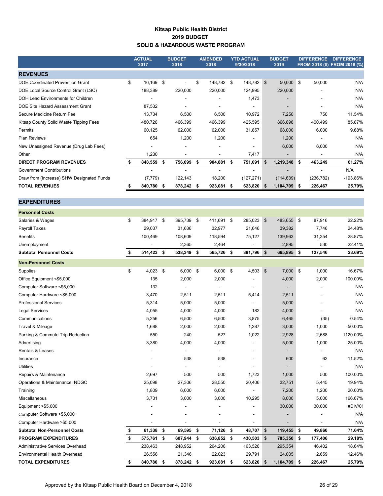## **Kitsap Public Health District 2019 BUDGET SOLID & HAZARDOUS WASTE PROGRAM**

|                                           | <b>ACTUAL</b><br>2017 | <b>BUDGET</b><br>2018 |      | <b>AMENDED</b><br>2018 |     | <b>YTD ACTUAL</b><br>9/30/2018 |                | <b>BUDGET</b><br>2019    |            |                | DIFFERENCE DIFFERENCE<br>FROM 2018 (\$) FROM 2018 (%) |
|-------------------------------------------|-----------------------|-----------------------|------|------------------------|-----|--------------------------------|----------------|--------------------------|------------|----------------|-------------------------------------------------------|
| <b>REVENUES</b>                           |                       |                       |      |                        |     |                                |                |                          |            |                |                                                       |
| <b>DOE Coordinated Prevention Grant</b>   | \$<br>16,169          | \$<br>$\blacksquare$  | \$   | 148,782 \$             |     | 148,782 \$                     |                | 50,000 \$                |            | 50,000         | N/A                                                   |
| DOE Local Source Control Grant (LSC)      | 188,389               | 220,000               |      | 220,000                |     | 124,995                        |                | 220,000                  |            |                | N/A                                                   |
| <b>DOH Lead Environments for Children</b> |                       |                       |      |                        |     | 1,473                          |                |                          |            |                | N/A                                                   |
| DOE Site Hazard Assessment Grant          | 87,532                |                       |      |                        |     |                                |                | $\overline{\phantom{a}}$ |            |                | N/A                                                   |
| Secure Medicine Return Fee                | 13,734                | 6,500                 |      | 6,500                  |     | 10,972                         |                | 7,250                    |            | 750            | 11.54%                                                |
| Kitsap County Solid Waste Tipping Fees    | 480,726               | 466,399               |      | 466,399                |     | 425,595                        |                | 866,898                  |            | 400,499        | 85.87%                                                |
| Permits                                   | 60,125                | 62,000                |      | 62,000                 |     | 31,857                         |                | 68,000                   |            | 6,000          | 9.68%                                                 |
| Plan Reviews                              | 654                   | 1,200                 |      | 1,200                  |     |                                |                | 1,200                    |            |                | N/A                                                   |
| New Unassigned Revenue (Drug Lab Fees)    |                       |                       |      |                        |     |                                |                | 6,000                    |            | 6,000          | N/A                                                   |
| Other                                     | 1,230                 | J.                    |      | $\blacksquare$         |     | 7,417                          |                |                          |            |                | N/A                                                   |
| <b>DIRECT PROGRAM REVENUES</b>            | \$<br>848,559         | \$<br>756,099         | \$   | 904,881                | \$  | 751,091                        | \$             | 1,219,348                | \$         | 463,249        | 61.27%                                                |
| <b>Government Contributions</b>           |                       | $\overline{a}$        |      |                        |     |                                |                |                          |            |                | N/A                                                   |
| Draw from (Increase) SHW Designated Funds | (7, 779)              | 122,143               |      | 18,200                 |     | (127, 271)                     |                | (114, 639)               |            | (236, 782)     | -193.86%                                              |
| <b>TOTAL REVENUES</b>                     | \$<br>840,780         | \$<br>878,242         | -\$  | 923,081                | \$  | 623,820                        | \$             | 1,104,709 \$             |            | 226,467        | 25.79%                                                |
|                                           |                       |                       |      |                        |     |                                |                |                          |            |                |                                                       |
| <b>EXPENDITURES</b>                       |                       |                       |      |                        |     |                                |                |                          |            |                |                                                       |
| <b>Personnel Costs</b>                    |                       |                       |      |                        |     |                                |                |                          |            |                |                                                       |
| Salaries & Wages                          | \$<br>384,917 \$      | 395,739 \$            |      | 411,691 \$             |     | 285,023                        | $\mathfrak{S}$ | 483,655 \$               |            | 87,916         | 22.22%                                                |
| Payroll Taxes                             | 29,037                | 31,636                |      | 32,977                 |     | 21,646                         |                | 39,382                   |            | 7,746          | 24.48%                                                |
| <b>Benefits</b>                           | 100,469               | 108,609               |      | 118,594                |     | 75,127                         |                | 139,963                  |            | 31,354         | 28.87%                                                |
| Unemployment                              |                       | 2,365                 |      | 2,464                  |     |                                |                | 2,895                    |            | 530            | 22.41%                                                |
| <b>Subtotal Personnel Costs</b>           | \$<br>514,423         | \$<br>538,349         | -\$  | 565,726                | -\$ | 381,796                        | \$             | 665,895                  | S.         | 127,546        | 23.69%                                                |
| <b>Non-Personnel Costs</b>                |                       |                       |      |                        |     |                                |                |                          |            |                |                                                       |
| Supplies                                  | \$<br>4,023           | \$<br>6,000           | - \$ | 6,000                  | \$  | 4,503                          | \$             | 7,000                    | $\sqrt{3}$ | 1,000          | 16.67%                                                |
| Office Equipment <\$5,000                 | 135                   | 2,000                 |      | 2,000                  |     | $\blacksquare$                 |                | 4,000                    |            | 2,000          | 100.00%                                               |
| Computer Software <\$5,000                | 132                   | $\blacksquare$        |      | $\overline{a}$         |     |                                |                |                          |            |                | N/A                                                   |
| Computer Hardware <\$5,000                | 3,470                 | 2,511                 |      | 2,511                  |     | 5,414                          |                | 2,511                    |            |                | N/A                                                   |
| <b>Professional Services</b>              | 5,314                 | 5,000                 |      | 5,000                  |     |                                |                | 5,000                    |            |                | N/A                                                   |
| <b>Legal Services</b>                     | 4,055                 | 4,000                 |      | 4,000                  |     | 182                            |                | 4,000                    |            |                | N/A                                                   |
| Communications                            | 5,256                 | 6,500                 |      | 6,500                  |     | 3,875                          |                | 6,465                    |            | (35)           | $-0.54%$                                              |
| Travel & Mileage                          | 1,688                 | 2,000                 |      | 2,000                  |     | 1,287                          |                | 3,000                    |            | 1,000          | 50.00%                                                |
| Parking & Commute Trip Reduction          | 550                   | 240                   |      | 527                    |     | 1,022                          |                | 2,928                    |            | 2,688          | 1120.00%                                              |
| Advertising                               | 3,380                 | 4,000                 |      | 4,000                  |     |                                |                | 5,000                    |            | 1,000          | 25.00%                                                |
| <b>Rentals &amp; Leases</b>               | $\blacksquare$        | $\blacksquare$        |      | $\blacksquare$         |     | $\blacksquare$                 |                | $\blacksquare$           |            | $\overline{a}$ | N/A                                                   |

| <b>TOTAL EXPENDITURES</b>           | 840,780 | s  | 878,242 \$               | 923,081                  | 5 | 623,820    | -\$ | 1,104,709                | S | 226,467 | 25.79%  |
|-------------------------------------|---------|----|--------------------------|--------------------------|---|------------|-----|--------------------------|---|---------|---------|
| Environmental Health Overhead       | 26,556  |    | 21,346                   | 22,023                   |   | 29,791     |     | 24,005                   |   | 2,659   | 12.46%  |
| Administrative Services Overhead    | 238,463 |    | 248,952                  | 264,206                  |   | 163,526    |     | 295,354                  |   | 46,402  | 18.64%  |
| <b>PROGRAM EXPENDITURES</b>         | 575,761 | \$ | 607,944 \$               | 636,852 \$               |   | 430,503 \$ |     | 785,350 \$               |   | 177,406 | 29.18%  |
| <b>Subtotal Non-Personnel Costs</b> | 61,338  | -S | 69,595 \$                | $71,126$ \$              |   | 48,707     | \$  | $119,455$ \$             |   | 49,860  | 71.64%  |
| Computer Hardware >\$5,000          |         |    |                          |                          |   |            |     | $\overline{\phantom{a}}$ |   |         | N/A     |
| Computer Software >\$5,000          |         |    |                          |                          |   |            |     | $\overline{\phantom{a}}$ |   |         | N/A     |
| Equipment >\$5,000                  |         |    | ٠                        |                          |   |            |     | 30,000                   |   | 30,000  | #DIV/0! |
| Miscellaneous                       | 3,731   |    | 3,000                    | 3,000                    |   | 10,295     |     | 8,000                    |   | 5,000   | 166.67% |
| Training                            | 1,809   |    | 6,000                    | 6,000                    |   |            |     | 7,200                    |   | 1,200   | 20.00%  |
| Operations & Maintenance: NDGC      | 25,098  |    | 27,306                   | 28,550                   |   | 20,406     |     | 32,751                   |   | 5,445   | 19.94%  |
| Repairs & Maintenance               | 2,697   |    | 500                      | 500                      |   | 1,723      |     | 1,000                    |   | 500     | 100.00% |
| Utilities                           |         |    | $\overline{\phantom{a}}$ | $\overline{\phantom{a}}$ |   |            |     | $\blacksquare$           |   |         | N/A     |
| Insurance                           |         |    | 538                      | 538                      |   |            |     | 600                      |   | 62      | 11.52%  |
|                                     |         |    |                          |                          |   |            |     |                          |   |         |         |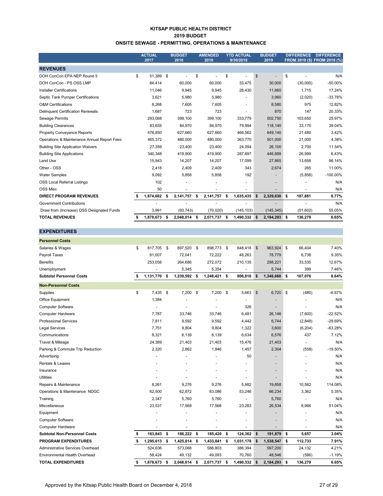#### **KITSAP PUBLIC HEALTH DISTRICT 2019 BUDGET ONSITE SEWAGE - PERMITTING, OPERATIONS & MAINTENANCE**

|                                             |     | <b>ACTUAL</b><br>2017 |          | <b>BUDGET</b><br>2018 |      | <b>AMENDED</b><br>2018 |    | <b>YTD ACTUAL</b><br>9/30/2018 |     | <b>BUDGET</b><br>2019 |     | <b>DIFFERENCE</b> | <b>DIFFERENCE</b><br>FROM 2018 (\$) FROM 2018 (%) |
|---------------------------------------------|-----|-----------------------|----------|-----------------------|------|------------------------|----|--------------------------------|-----|-----------------------|-----|-------------------|---------------------------------------------------|
| <b>REVENUES</b>                             |     |                       |          |                       |      |                        |    |                                |     |                       |     |                   |                                                   |
| DOH ConCon EPA NEP Round 5                  | \$  | 51,389                | <b>S</b> |                       | \$   |                        | \$ |                                | \$  |                       | \$  |                   | N/A                                               |
| DOH ConCon - PS OSS LMP                     |     | 84,414                |          | 60,000                |      | 60,000                 |    | 33,475                         |     | 30,000                |     | (30,000)          | $-50.00%$                                         |
| <b>Installer Certifications</b>             |     | 11.046                |          | 9.945                 |      | 9,945                  |    | 28,430                         |     | 11,660                |     | 1.715             | 17.24%                                            |
| Septic Tank Pumper Certifications           |     | 3,621                 |          | 5,980                 |      | 5,980                  |    |                                |     | 3,960                 |     | (2,020)           | $-33.78%$                                         |
| <b>O&amp;M Certifications</b>               |     | 8,268                 |          | 7.605                 |      | 7.605                  |    | $\overline{\phantom{a}}$       |     | 8,580                 |     | 975               | 12.82%                                            |
| Delinquent Certification Renewals           |     | 1,687                 |          | 723                   |      | 723                    |    | $\blacksquare$                 |     | 870                   |     | 147               | 20.33%                                            |
| Sewage Permits                              |     | 293,068               |          | 399,100               |      | 399,100                |    | 333,779                        |     | 502,750               |     | 103,650           | 25.97%                                            |
| <b>Building Clearances</b>                  |     | 83,655                |          | 84,970                |      | 84,970                 |    | 79,994                         |     | 118,140               |     | 33,170            | 39.04%                                            |
| Property Conveyance Reports                 |     | 476,850               |          | 627,660               |      | 627,660                |    | 466,562                        |     | 649,140               |     | 21,480            | 3.42%                                             |
| Operations & Maintenance Annual Report Fees |     | 465,372               |          | 480,000               |      | 480,000                |    | 363,770                        |     | 501,000               |     | 21,000            | 4.38%                                             |
| <b>Building Site Application Waivers</b>    |     | 27,359                |          | 23,400                |      | 23,400                 |    | 24,094                         |     | 26,100                |     | 2,700             | 11.54%                                            |
| <b>Building Site Applications</b>           |     | 340,348               |          | 419,900               |      | 419,900                |    | 287,697                        |     | 446,899               |     | 26,999            | 6.43%                                             |
| Land Use                                    |     | 15,943                |          | 14,207                |      | 14,207                 |    | 17,099                         |     | 27,865                |     | 13,658            | 96.14%                                            |
| Other - OSS                                 |     | 2.418                 |          | 2.409                 |      | 2,409                  |    | 343                            |     | 2,674                 |     | 265               | 11.00%                                            |
| <b>Water Samples</b>                        |     | 9,092                 |          | 5,858                 |      | 5,858                  |    | 192                            |     | ۰                     |     | (5,858)           | $-100.00\%$                                       |
| <b>OSS Local Referral Listings</b>          |     | 102                   |          |                       |      |                        |    |                                |     | ٠                     |     |                   | N/A                                               |
| OSS Misc                                    |     | 50                    |          |                       |      |                        |    | ٠                              |     | -                     |     |                   | N/A                                               |
| <b>DIRECT PROGRAM REVENUES</b>              |     | 1,874,682             | -\$      | 2,141,757             | \$   | 2,141,757              | S. | 1,635,435                      | \$  | 2,329,638             | \$  | 187,881           | 8.77%                                             |
| <b>Government Contributions</b>             |     |                       |          |                       |      |                        |    |                                |     |                       |     |                   | N/A                                               |
| Draw from (Increase) OSS Designated Funds   |     | 3,991                 |          | (93, 743)             |      | (70, 020)              |    | (145, 103)                     |     | (145, 345)            |     | (51,602)          | 55.05%                                            |
| <b>TOTAL REVENUES</b>                       | \$. | 1,878,673             | -\$      | 2,048,014             | - \$ | 2,071,737 \$           |    | 1,490,332                      | -\$ | 2,184,293             | -\$ | 136,279           | 6.65%                                             |

| <b>Personnel Costs</b>              |                 |      |              |                    |     |           |                |                          |          |           |
|-------------------------------------|-----------------|------|--------------|--------------------|-----|-----------|----------------|--------------------------|----------|-----------|
| Salaries & Wages                    | \$<br>817.705   | - \$ | 897,520 \$   | 898,773 \$         |     | 648.418   | $\mathfrak{S}$ | 963,924 \$               | 66,404   | 7.40%     |
| Payroll Taxes                       | 61.007          |      | 72,041       | 72,222             |     | 48.263    |                | 78,779                   | 6,738    | 9.35%     |
| <b>Benefits</b>                     | 253,058         |      | 264,686      | 272,072            |     | 210,135   |                | 298,221                  | 33,535   | 12.67%    |
| Unemployment                        |                 |      | 5,345        | 5,354              |     |           |                | 5,744                    | 399      | 7.46%     |
| <b>Subtotal Personnel Costs</b>     | \$<br>1,131,770 | S.   | 1,239,592 \$ | 1,248,421 \$       |     | 906,816   | \$             | 1,346,668 \$             | 107,076  | 8.64%     |
| <b>Non-Personnel Costs</b>          |                 |      |              |                    |     |           |                |                          |          |           |
| Supplies                            | \$<br>7,435     | \$   | 7,200 \$     | 7,200 \$           |     | 5,663     | $\mathfrak{S}$ | $6,720$ \$               | (480)    | $-6.67%$  |
| Office Equipment                    | 1,384           |      |              |                    |     |           |                |                          |          | N/A       |
| Computer Software                   |                 |      |              |                    |     | 326       |                |                          |          | N/A       |
| <b>Computer Hardware</b>            | 7,787           |      | 33,746       | 33,746             |     | 6,481     |                | 26,146                   | (7,600)  | $-22.52%$ |
| <b>Professional Services</b>        | 7,811           |      | 9,592        | 9,592              |     | 4,442     |                | 6,744                    | (2,848)  | -29.69%   |
| <b>Legal Services</b>               | 7,751           |      | 9,804        | 9,804              |     | 1,322     |                | 3,600                    | (6, 204) | $-63.28%$ |
| Communications                      | 8,321           |      | 6,139        | 6,139              |     | 6,634     |                | 6,576                    | 437      | 7.12%     |
| Travel & Mileage                    | 24,389          |      | 21,403       | 21,403             |     | 15,476    |                | 21,403                   |          | N/A       |
| Parking & Commute Trip Reduction    | 2,320           |      | 2,862        | 1,846              |     | 1,457     |                | 2,304                    | (558)    | $-19.50%$ |
| Advertising                         |                 |      |              |                    |     | 50        |                |                          |          | N/A       |
| Rentals & Leases                    |                 |      |              |                    |     |           |                |                          |          | N/A       |
| Insurance                           |                 |      |              |                    |     |           |                | $\blacksquare$           |          | N/A       |
| <b>Utilities</b>                    |                 |      |              |                    |     |           |                |                          |          | N/A       |
| Repairs & Maintenance               | 8,261           |      | 9,276        | 9,276              |     | 5,982     |                | 19,858                   | 10,582   | 114.08%   |
| Operations & Maintenance: NDGC      | 62,500          |      | 62,872       | 63,086             |     | 53,246    |                | 66,234                   | 3,362    | 5.35%     |
| Training                            | 2,347           |      | 5,760        | 5,760              |     |           |                | 5,760                    |          | N/A       |
| Miscellaneous                       | 23,537          |      | 17,568       | 17,568             |     | 23,283    |                | 26,534                   | 8,966    | 51.04%    |
| Equipment                           |                 |      |              |                    |     |           |                | ٠                        |          | N/A       |
| <b>Computer Software</b>            |                 |      |              |                    |     |           |                | $\overline{\phantom{a}}$ |          | N/A       |
| <b>Computer Hardware</b>            | $\overline{a}$  |      | ÷            |                    |     |           |                | $\overline{a}$           |          | N/A       |
| <b>Subtotal Non-Personnel Costs</b> | \$<br>163,843   | \$   | 186,222 \$   | 185,420            | -\$ | 124,362   | \$             | 191,879 \$               | 5,657    | 3.04%     |
| <b>PROGRAM EXPENDITURES</b>         | \$<br>1,295,613 | \$   | 1,425,814 \$ | 1,433,841          | \$  | 1,031,178 | \$             | 1,538,547 \$             | 112,733  | 7.91%     |
| Administrative Services Overhead    | 524,636         |      | 573,068      | 588,803            |     | 388,394   |                | 597,200                  | 24,132   | 4.21%     |
| Environmental Health Overhead       | 58,424          |      | 49,132       | 49,093             |     | 70,760    |                | 48,546                   | (586)    | $-1.19%$  |
| <b>TOTAL EXPENDITURES</b>           | \$<br>1,878,673 | \$   | 2,048,014    | \$<br>2,071,737 \$ |     | 1,490,332 | \$             | 2,184,293 \$             | 136,279  | 6.65%     |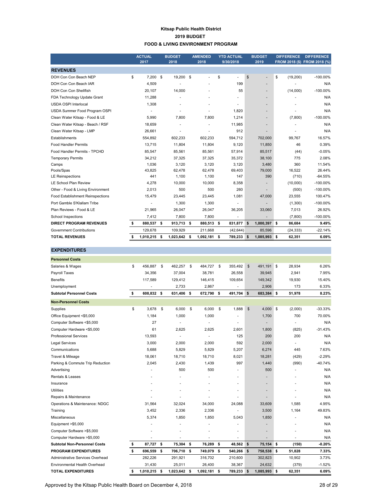#### **Kitsap Public Health District 2019 BUDGET FOOD & LIVING ENVIRONMENT PROGRAM**

|                                         |    | <b>ACTUAL</b><br>2017 | <b>BUDGET</b><br>2018 |          | <b>AMENDED</b><br>2018 | <b>YTD ACTUAL</b><br>9/30/2018 |              | <b>BUDGET</b><br>2019    | <b>DIFFERENCE</b> | <b>DIFFERENCE</b><br>FROM 2018 (\$) FROM 2018 (%) |
|-----------------------------------------|----|-----------------------|-----------------------|----------|------------------------|--------------------------------|--------------|--------------------------|-------------------|---------------------------------------------------|
|                                         |    |                       |                       |          |                        |                                |              |                          |                   |                                                   |
| <b>REVENUES</b>                         |    |                       |                       |          |                        |                                |              |                          |                   |                                                   |
| DOH Con Con Beach NEP                   | \$ | $7.200$ \$            | 19,200                | <b>S</b> |                        | \$<br>÷.                       | $\mathbb{S}$ | $\overline{\phantom{a}}$ | \$<br>(19, 200)   | $-100.00\%$                                       |
| DOH Con Con Beach IAR                   |    | 4,509                 |                       |          |                        | 199                            |              |                          |                   | N/A                                               |
| DOH Con Con Shellfish                   |    | 20,107                | 14.000                |          |                        | 55                             |              | ٠                        | (14,000)          | $-100.00\%$                                       |
| FDA Technology Update Grant             |    | 11,288                |                       |          |                        |                                |              | $\overline{\phantom{a}}$ |                   | N/A                                               |
| <b>USDA OSPI Interlocal</b>             |    | 1,308                 |                       |          |                        | ٠                              |              | ٠                        |                   | N/A                                               |
| USDA Summer Food Program OSPI           |    |                       | ٠                     |          |                        | 1.820                          |              |                          |                   | N/A                                               |
| Clean Water Kitsap - Food & LE          |    | 5,990                 | 7,800                 |          | 7,800                  | 1,214                          |              | $\overline{\phantom{a}}$ | (7,800)           | $-100.00\%$                                       |
| Clean Water Kitsap - Beach / RSF        |    | 18,659                |                       |          |                        | 11,985                         |              |                          |                   | N/A                                               |
| Clean Water Kitsap - LMP                |    | 26,661                | ä,                    |          |                        | 912                            |              | ٠                        |                   | N/A                                               |
| Establishments                          |    | 554,892               | 602,233               |          | 602,233                | 594,712                        |              | 702,000                  | 99,767            | 16.57%                                            |
| <b>Food Handler Permits</b>             |    | 13,715                | 11.804                |          | 11,804                 | 9.120                          |              | 11,850                   | 46                | 0.39%                                             |
| Food Handler Permits - TPCHD            |    | 85,547                | 85,561                |          | 85,561                 | 57,914                         |              | 85,517                   | (44)              | $-0.05%$                                          |
| <b>Temporary Permits</b>                |    | 34.212                | 37,325                |          | 37.325                 | 35.372                         |              | 38.100                   | 775               | 2.08%                                             |
| Camps                                   |    | 1,036                 | 3.120                 |          | 3.120                  | 3,120                          |              | 3,480                    | 360               | 11.54%                                            |
| Pools/Spas                              |    | 43,825                | 62,478                |          | 62,478                 | 69,403                         |              | 79,000                   | 16,522            | 26.44%                                            |
| <b>LE Reinspections</b>                 |    | 441                   | 1,100                 |          | 1,100                  | 147                            |              | 390                      | (710)             | $-64.55%$                                         |
| <b>LE School Plan Review</b>            |    | 4,278                 | 10,000                |          | 10,000                 | 8,358                          |              |                          | (10,000)          | $-100.00\%$                                       |
| Other - Food & Living Environment       |    | 2,013                 | 500                   |          | 500                    | 260                            |              |                          | (500)             | $-100.00\%$                                       |
| <b>Food Establishment Reinspections</b> |    | 15,479                | 23,445                |          | 23,445                 | 1,081                          |              | 47,000                   | 23,555            | 100.47%                                           |
| Port Gamble S'Klallam Tribe             |    |                       | 1,300                 |          | 1,300                  |                                |              |                          | (1,300)           | $-100.00%$                                        |
| Plan Reviews - Food & LE                |    | 21,965                | 26,047                |          | 26,047                 | 36,205                         |              | 33,060                   | 7,013             | 26.92%                                            |
| School Inspections                      |    | 7,412                 | 7,800                 |          | 7,800                  | ÷                              |              |                          | (7,800)           | $-100.00\%$                                       |
| <b>DIRECT PROGRAM REVENUES</b>          | s  | 880,537 \$            | 913,713               | \$       | 880,513 \$             | 831,877 \$                     |              | 1,000,397 \$             | 86,684            | 9.49%                                             |
| <b>Government Contributions</b>         |    | 129,678               | 109.929               |          | 211.668                | (42, 644)                      |              | 85,596                   | (24, 333)         | $-22.14%$                                         |
| <b>TOTAL REVENUES</b>                   |    | 1,010,215 \$          | 1,023,642             | Ŝ.       | 1,092,181              | \$<br>789,233                  | \$           | 1,085,993 \$             | 62,351            | 6.09%                                             |

| <b>EXPENDITURES</b>                 |                  |          |           |    |            |      |                          |               |              |         |           |
|-------------------------------------|------------------|----------|-----------|----|------------|------|--------------------------|---------------|--------------|---------|-----------|
| <b>Personnel Costs</b>              |                  |          |           |    |            |      |                          |               |              |         |           |
| Salaries & Wages                    | \$<br>456.887    | <b>S</b> | 462,257   | \$ | 484,727    | \$   | 355,492                  | $\mathsf{\$}$ | 491.191 \$   | 28,934  | 6.26%     |
| Payroll Taxes                       | 34,356           |          | 37,004    |    | 38,781     |      | 26,558                   |               | 39,945       | 2,941   | 7.95%     |
| <b>Benefits</b>                     | 117,589          |          | 129,412   |    | 146,415    |      | 109,654                  |               | 149,342      | 19,930  | 15.40%    |
| Unemployment                        |                  |          | 2,733     |    | 2,867      |      |                          |               | 2,906        | 173     | 6.33%     |
| <b>Subtotal Personnel Costs</b>     | \$<br>608,832    | - \$     | 631,406   | \$ | 672,790 \$ |      | 491,704                  | \$            | 683,384 \$   | 51,978  | 8.23%     |
| <b>Non-Personnel Costs</b>          |                  |          |           |    |            |      |                          |               |              |         |           |
| Supplies                            | \$<br>3.678      | \$       | 6.000     | \$ | 6.000      | \$   | 1.888                    | \$            | $4,000$ \$   | (2,000) | -33.33%   |
| Office Equipment <\$5,000           | 1.184            |          | 1.000     |    | 1.000      |      |                          |               | 1.700        | 700     | 70.00%    |
| Computer Software <\$5,000          | 27               |          | ä,        |    |            |      |                          |               |              |         | N/A       |
| Computer Hardware <\$5,000          | 61               |          | 2,625     |    | 2,625      |      | 2,601                    |               | 1,800        | (825)   | $-31.43%$ |
| <b>Professional Services</b>        | 13,593           |          | ä,        |    |            |      | 125                      |               | 200          | 200     | N/A       |
| <b>Legal Services</b>               | 3,000            |          | 2,000     |    | 2.000      |      | 592                      |               | 2,000        | ÷.      | N/A       |
| Communications                      | 5,688            |          | 5,829     |    | 5.829      |      | 5,207                    |               | 6,274        | 445     | 7.63%     |
| Travel & Mileage                    | 18,061           |          | 18,710    |    | 18,710     |      | 8,021                    |               | 18,281       | (429)   | $-2.29%$  |
| Parking & Commute Trip Reduction    | 2,045            |          | 2,430     |    | 1,439      |      | 997                      |               | 1,440        | (990)   | $-40.74%$ |
| Advertising                         |                  |          | 500       |    | 500        |      |                          |               | 500          | ÷       | N/A       |
| Rentals & Leases                    |                  |          | ÷         |    | ٠          |      |                          |               |              |         | N/A       |
| Insurance                           |                  |          |           |    |            |      |                          |               |              |         | N/A       |
| Utilities                           |                  |          | ÷,        |    |            |      | $\overline{\phantom{a}}$ |               |              |         | N/A       |
| Repairs & Maintenance               |                  |          |           |    |            |      |                          |               |              |         | N/A       |
| Operations & Maintenance: NDGC      | 31,564           |          | 32,024    |    | 34,000     |      | 24,088                   |               | 33,609       | 1,585   | 4.95%     |
| Training                            | 3,452            |          | 2,336     |    | 2,336      |      |                          |               | 3,500        | 1,164   | 49.83%    |
| Miscellaneous                       | 5,374            |          | 1,850     |    | 1,850      |      | 5,043                    |               | 1,850        |         | N/A       |
| Equipment >\$5,000                  | $\blacksquare$   |          | ٠         |    |            |      |                          |               |              |         | N/A       |
| Computer Software > \$5,000         |                  |          | ä,        |    |            |      | ٠                        |               |              |         | N/A       |
| Computer Hardware >\$5,000          |                  |          |           |    |            |      |                          |               |              |         | N/A       |
| <b>Subtotal Non-Personnel Costs</b> | \$<br>87,727     | \$       | 75,304    | \$ | 76,289     | \$   | 48,562                   | \$            | 75,154 \$    | (150)   | $-0.20%$  |
| <b>PROGRAM EXPENDITURES</b>         | \$<br>696,559 \$ |          | 706,710   | \$ | 749,079 \$ |      | 540,266                  | \$            | 758,538 \$   | 51,828  | 7.33%     |
| Administrative Services Overhead    | 282,226          |          | 291,921   |    | 316,702    |      | 210,600                  |               | 302,823      | 10,902  | 3.73%     |
| Environmental Health Overhead       | 31,430           |          | 25,011    |    | 26,400     |      | 38,367                   |               | 24,632       | (379)   | $-1.52%$  |
| <b>TOTAL EXPENDITURES</b>           | \$<br>1,010,215  | S.       | 1,023,642 | S. | 1,092,181  | - \$ | 789,233                  | \$            | 1,085,993 \$ | 62.351  | 6.09%     |